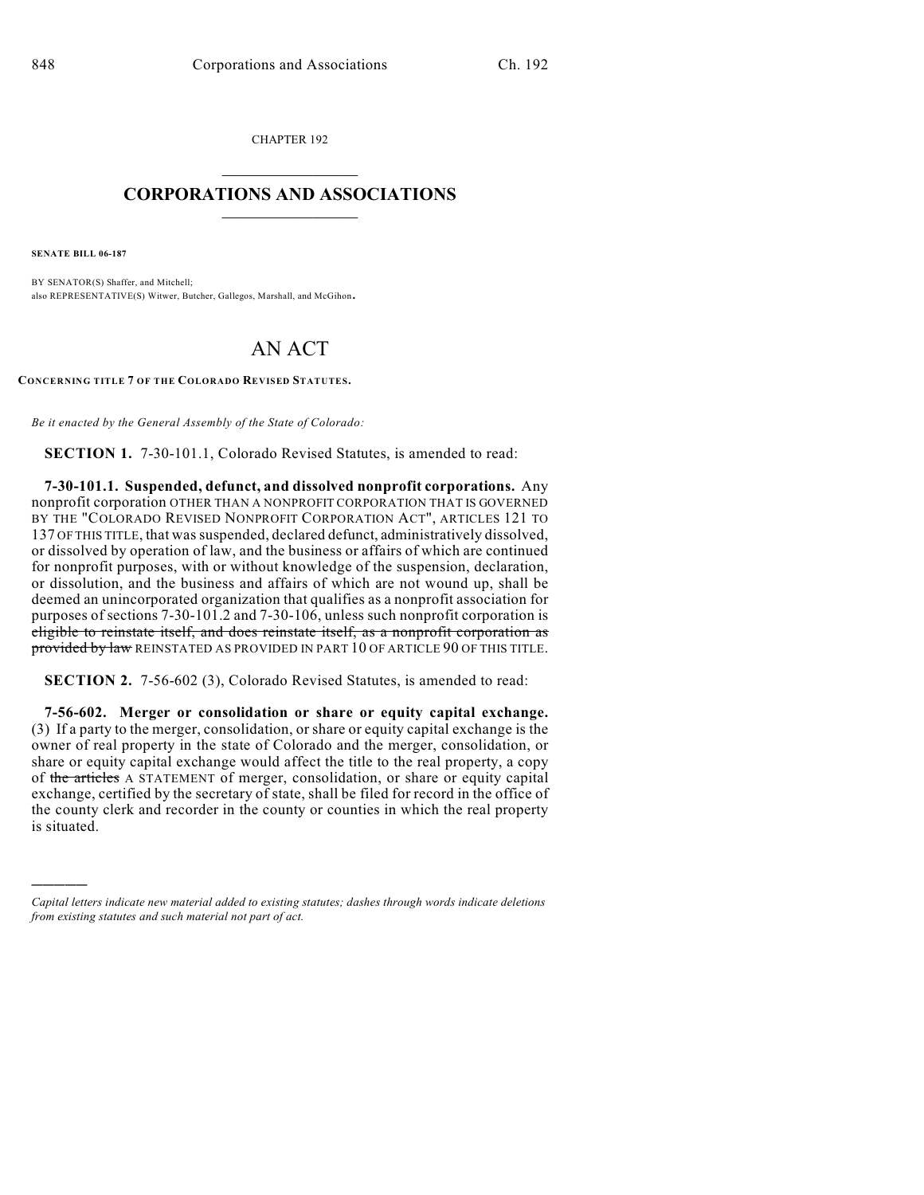CHAPTER 192  $\mathcal{L}_\text{max}$  . The set of the set of the set of the set of the set of the set of the set of the set of the set of the set of the set of the set of the set of the set of the set of the set of the set of the set of the set

## **CORPORATIONS AND ASSOCIATIONS**  $\_$   $\_$   $\_$   $\_$   $\_$   $\_$   $\_$   $\_$   $\_$

**SENATE BILL 06-187**

)))))

BY SENATOR(S) Shaffer, and Mitchell; also REPRESENTATIVE(S) Witwer, Butcher, Gallegos, Marshall, and McGihon.

## AN ACT

**CONCERNING TITLE 7 OF THE COLORADO REVISED STATUTES.**

*Be it enacted by the General Assembly of the State of Colorado:*

**SECTION 1.** 7-30-101.1, Colorado Revised Statutes, is amended to read:

**7-30-101.1. Suspended, defunct, and dissolved nonprofit corporations.** Any nonprofit corporation OTHER THAN A NONPROFIT CORPORATION THAT IS GOVERNED BY THE "COLORADO REVISED NONPROFIT CORPORATION ACT", ARTICLES 121 TO 137 OF THIS TITLE, that was suspended, declared defunct, administratively dissolved, or dissolved by operation of law, and the business or affairs of which are continued for nonprofit purposes, with or without knowledge of the suspension, declaration, or dissolution, and the business and affairs of which are not wound up, shall be deemed an unincorporated organization that qualifies as a nonprofit association for purposes of sections 7-30-101.2 and 7-30-106, unless such nonprofit corporation is eligible to reinstate itself, and does reinstate itself, as a nonprofit corporation as provided by law REINSTATED AS PROVIDED IN PART 10 OF ARTICLE 90 OF THIS TITLE.

**SECTION 2.** 7-56-602 (3), Colorado Revised Statutes, is amended to read:

**7-56-602. Merger or consolidation or share or equity capital exchange.** (3) If a party to the merger, consolidation, or share or equity capital exchange is the owner of real property in the state of Colorado and the merger, consolidation, or share or equity capital exchange would affect the title to the real property, a copy of the articles A STATEMENT of merger, consolidation, or share or equity capital exchange, certified by the secretary of state, shall be filed for record in the office of the county clerk and recorder in the county or counties in which the real property is situated.

*Capital letters indicate new material added to existing statutes; dashes through words indicate deletions from existing statutes and such material not part of act.*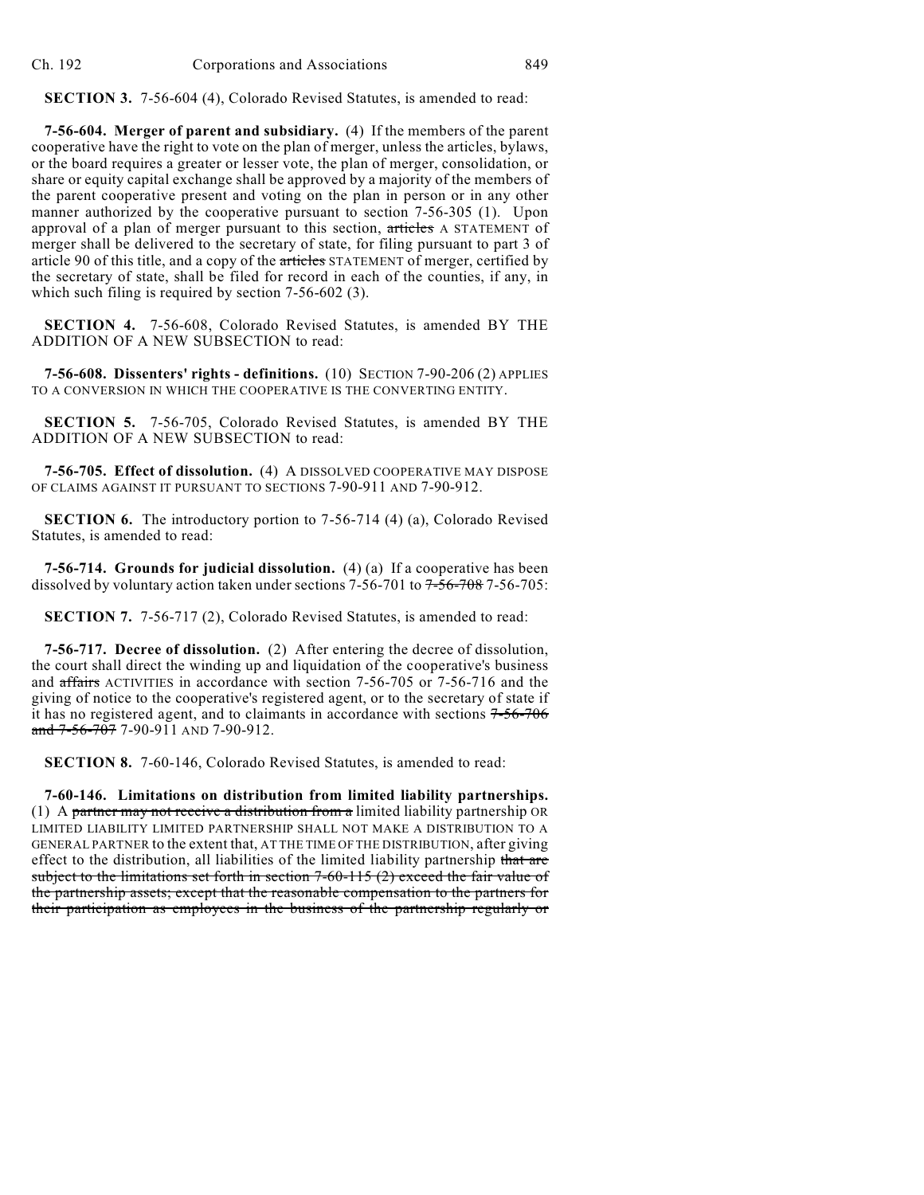**SECTION 3.** 7-56-604 (4), Colorado Revised Statutes, is amended to read:

**7-56-604. Merger of parent and subsidiary.** (4) If the members of the parent cooperative have the right to vote on the plan of merger, unless the articles, bylaws, or the board requires a greater or lesser vote, the plan of merger, consolidation, or share or equity capital exchange shall be approved by a majority of the members of the parent cooperative present and voting on the plan in person or in any other manner authorized by the cooperative pursuant to section 7-56-305 (1). Upon approval of a plan of merger pursuant to this section, articles A STATEMENT of merger shall be delivered to the secretary of state, for filing pursuant to part 3 of article 90 of this title, and a copy of the articles STATEMENT of merger, certified by the secretary of state, shall be filed for record in each of the counties, if any, in which such filing is required by section 7-56-602 (3).

**SECTION 4.** 7-56-608, Colorado Revised Statutes, is amended BY THE ADDITION OF A NEW SUBSECTION to read:

**7-56-608. Dissenters' rights - definitions.** (10) SECTION 7-90-206 (2) APPLIES TO A CONVERSION IN WHICH THE COOPERATIVE IS THE CONVERTING ENTITY.

**SECTION 5.** 7-56-705, Colorado Revised Statutes, is amended BY THE ADDITION OF A NEW SUBSECTION to read:

**7-56-705. Effect of dissolution.** (4) A DISSOLVED COOPERATIVE MAY DISPOSE OF CLAIMS AGAINST IT PURSUANT TO SECTIONS 7-90-911 AND 7-90-912.

**SECTION 6.** The introductory portion to 7-56-714 (4) (a), Colorado Revised Statutes, is amended to read:

**7-56-714. Grounds for judicial dissolution.** (4) (a) If a cooperative has been dissolved by voluntary action taken under sections  $7-56-701$  to  $7-56-708$  7-56-705:

**SECTION 7.** 7-56-717 (2), Colorado Revised Statutes, is amended to read:

**7-56-717. Decree of dissolution.** (2) After entering the decree of dissolution, the court shall direct the winding up and liquidation of the cooperative's business and affairs ACTIVITIES in accordance with section 7-56-705 or 7-56-716 and the giving of notice to the cooperative's registered agent, or to the secretary of state if it has no registered agent, and to claimants in accordance with sections 7-56-706 and  $7-56-707$  7-90-911 AND 7-90-912.

**SECTION 8.** 7-60-146, Colorado Revised Statutes, is amended to read:

**7-60-146. Limitations on distribution from limited liability partnerships.** (1) A partner may not receive a distribution from a limited liability partnership OR LIMITED LIABILITY LIMITED PARTNERSHIP SHALL NOT MAKE A DISTRIBUTION TO A GENERAL PARTNER to the extent that, AT THE TIME OF THE DISTRIBUTION, after giving effect to the distribution, all liabilities of the limited liability partnership that are subject to the limitations set forth in section  $7-60-115$  (2) exceed the fair value of the partnership assets; except that the reasonable compensation to the partners for their participation as employees in the business of the partnership regularly or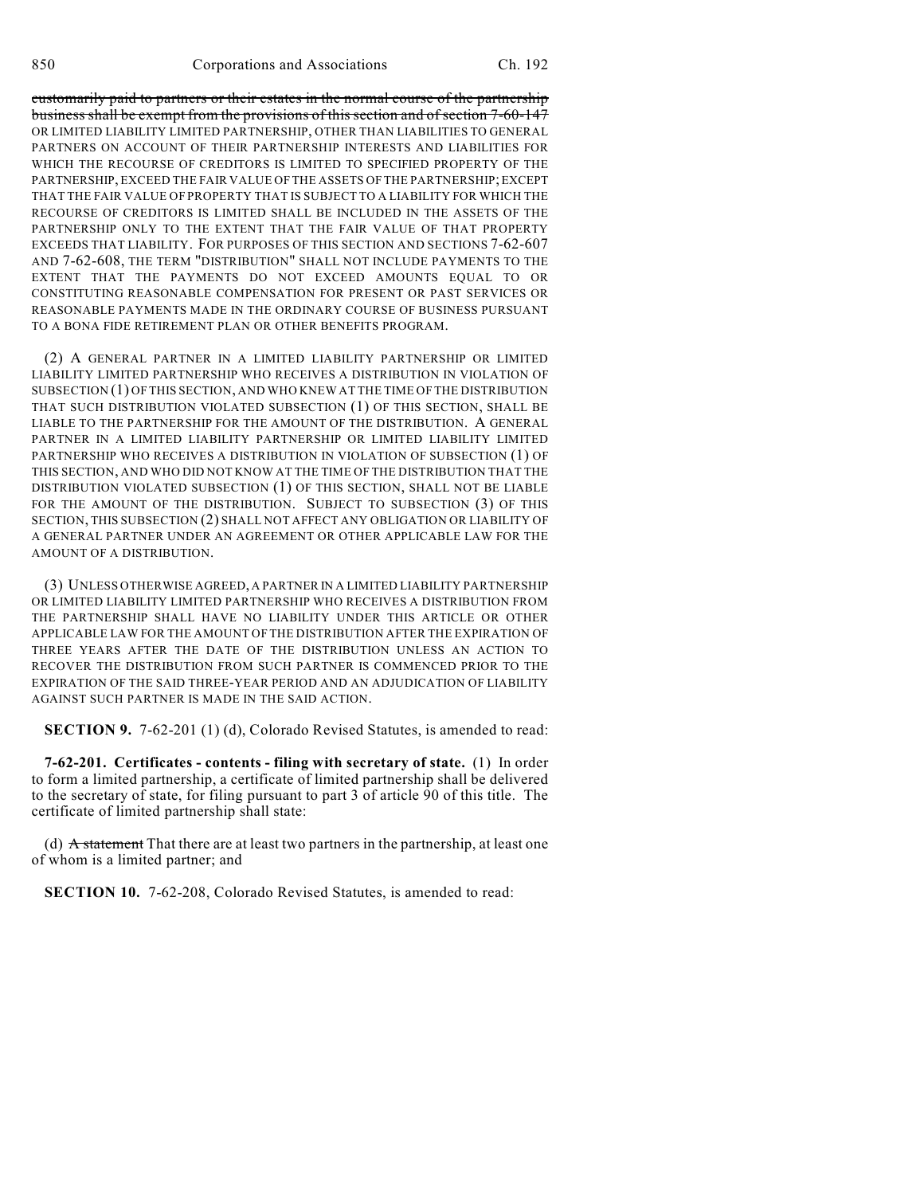customarily paid to partners or their estates in the normal course of the partnership business shall be exempt from the provisions of this section and of section 7-60-147 OR LIMITED LIABILITY LIMITED PARTNERSHIP, OTHER THAN LIABILITIES TO GENERAL PARTNERS ON ACCOUNT OF THEIR PARTNERSHIP INTERESTS AND LIABILITIES FOR WHICH THE RECOURSE OF CREDITORS IS LIMITED TO SPECIFIED PROPERTY OF THE PARTNERSHIP, EXCEED THE FAIR VALUE OF THE ASSETS OF THE PARTNERSHIP; EXCEPT THAT THE FAIR VALUE OF PROPERTY THAT IS SUBJECT TO A LIABILITY FOR WHICH THE RECOURSE OF CREDITORS IS LIMITED SHALL BE INCLUDED IN THE ASSETS OF THE PARTNERSHIP ONLY TO THE EXTENT THAT THE FAIR VALUE OF THAT PROPERTY EXCEEDS THAT LIABILITY. FOR PURPOSES OF THIS SECTION AND SECTIONS 7-62-607 AND 7-62-608, THE TERM "DISTRIBUTION" SHALL NOT INCLUDE PAYMENTS TO THE EXTENT THAT THE PAYMENTS DO NOT EXCEED AMOUNTS EQUAL TO OR CONSTITUTING REASONABLE COMPENSATION FOR PRESENT OR PAST SERVICES OR REASONABLE PAYMENTS MADE IN THE ORDINARY COURSE OF BUSINESS PURSUANT TO A BONA FIDE RETIREMENT PLAN OR OTHER BENEFITS PROGRAM.

(2) A GENERAL PARTNER IN A LIMITED LIABILITY PARTNERSHIP OR LIMITED LIABILITY LIMITED PARTNERSHIP WHO RECEIVES A DISTRIBUTION IN VIOLATION OF SUBSECTION (1) OF THIS SECTION, AND WHO KNEW AT THE TIME OF THE DISTRIBUTION THAT SUCH DISTRIBUTION VIOLATED SUBSECTION (1) OF THIS SECTION, SHALL BE LIABLE TO THE PARTNERSHIP FOR THE AMOUNT OF THE DISTRIBUTION. A GENERAL PARTNER IN A LIMITED LIABILITY PARTNERSHIP OR LIMITED LIABILITY LIMITED PARTNERSHIP WHO RECEIVES A DISTRIBUTION IN VIOLATION OF SUBSECTION (1) OF THIS SECTION, AND WHO DID NOT KNOW AT THE TIME OF THE DISTRIBUTION THAT THE DISTRIBUTION VIOLATED SUBSECTION (1) OF THIS SECTION, SHALL NOT BE LIABLE FOR THE AMOUNT OF THE DISTRIBUTION. SUBJECT TO SUBSECTION (3) OF THIS SECTION, THIS SUBSECTION (2) SHALL NOT AFFECT ANY OBLIGATION OR LIABILITY OF A GENERAL PARTNER UNDER AN AGREEMENT OR OTHER APPLICABLE LAW FOR THE AMOUNT OF A DISTRIBUTION.

(3) UNLESS OTHERWISE AGREED, A PARTNER IN A LIMITED LIABILITY PARTNERSHIP OR LIMITED LIABILITY LIMITED PARTNERSHIP WHO RECEIVES A DISTRIBUTION FROM THE PARTNERSHIP SHALL HAVE NO LIABILITY UNDER THIS ARTICLE OR OTHER APPLICABLE LAW FOR THE AMOUNT OF THE DISTRIBUTION AFTER THE EXPIRATION OF THREE YEARS AFTER THE DATE OF THE DISTRIBUTION UNLESS AN ACTION TO RECOVER THE DISTRIBUTION FROM SUCH PARTNER IS COMMENCED PRIOR TO THE EXPIRATION OF THE SAID THREE-YEAR PERIOD AND AN ADJUDICATION OF LIABILITY AGAINST SUCH PARTNER IS MADE IN THE SAID ACTION.

**SECTION 9.** 7-62-201 (1) (d), Colorado Revised Statutes, is amended to read:

**7-62-201. Certificates - contents - filing with secretary of state.** (1) In order to form a limited partnership, a certificate of limited partnership shall be delivered to the secretary of state, for filing pursuant to part 3 of article 90 of this title. The certificate of limited partnership shall state:

(d)  $\overrightarrow{A}$  statement That there are at least two partners in the partnership, at least one of whom is a limited partner; and

**SECTION 10.** 7-62-208, Colorado Revised Statutes, is amended to read: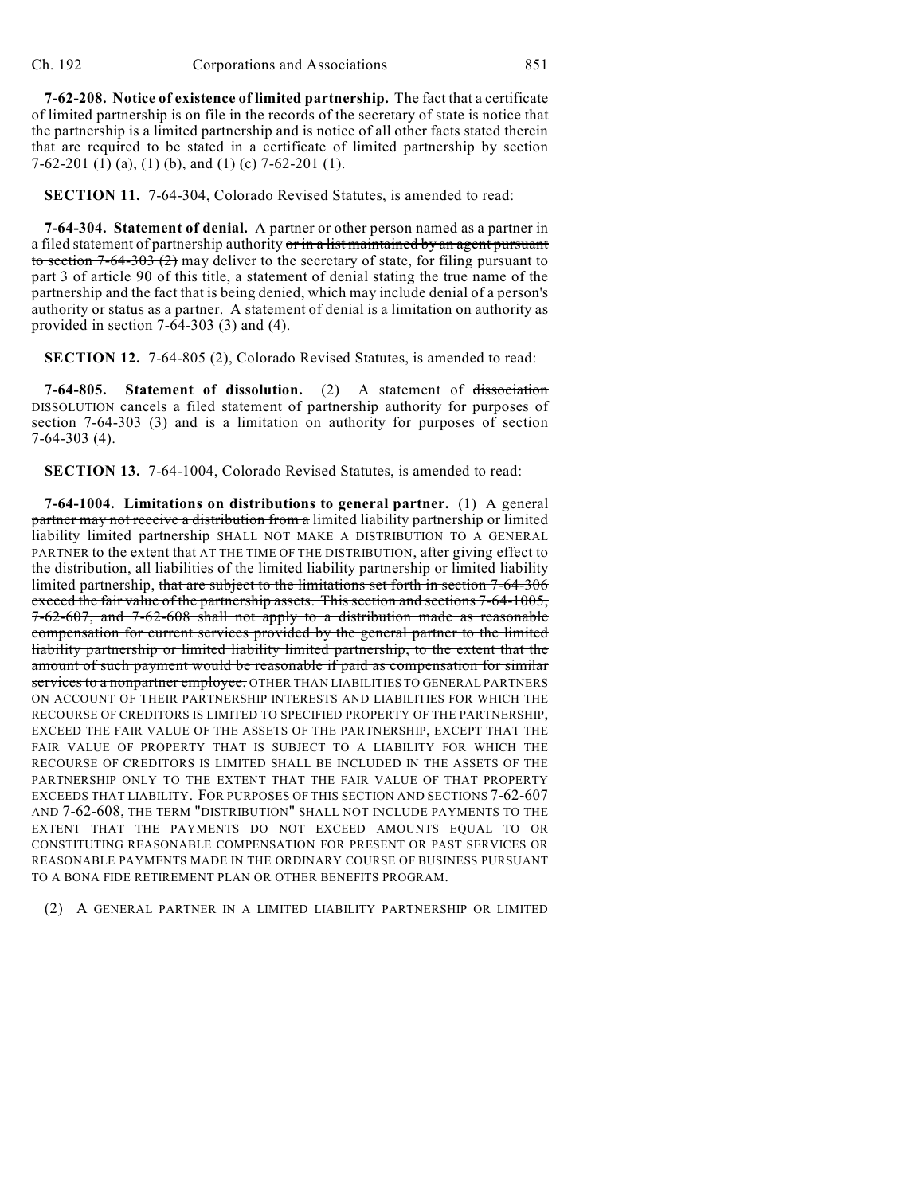**7-62-208. Notice of existence of limited partnership.** The fact that a certificate of limited partnership is on file in the records of the secretary of state is notice that the partnership is a limited partnership and is notice of all other facts stated therein that are required to be stated in a certificate of limited partnership by section  $7-62-201$  (1) (a), (1) (b), and (1) (c) 7-62-201 (1).

**SECTION 11.** 7-64-304, Colorado Revised Statutes, is amended to read:

**7-64-304. Statement of denial.** A partner or other person named as a partner in a filed statement of partnership authority or in a list maintained by an agent pursuant to section  $7-64-303$  (2) may deliver to the secretary of state, for filing pursuant to part 3 of article 90 of this title, a statement of denial stating the true name of the partnership and the fact that is being denied, which may include denial of a person's authority or status as a partner. A statement of denial is a limitation on authority as provided in section 7-64-303 (3) and (4).

**SECTION 12.** 7-64-805 (2), Colorado Revised Statutes, is amended to read:

**7-64-805. Statement of dissolution.** (2) A statement of dissociation DISSOLUTION cancels a filed statement of partnership authority for purposes of section 7-64-303 (3) and is a limitation on authority for purposes of section 7-64-303 (4).

**SECTION 13.** 7-64-1004, Colorado Revised Statutes, is amended to read:

**7-64-1004. Limitations on distributions to general partner.** (1) A general partner may not receive a distribution from a limited liability partnership or limited liability limited partnership SHALL NOT MAKE A DISTRIBUTION TO A GENERAL PARTNER to the extent that AT THE TIME OF THE DISTRIBUTION, after giving effect to the distribution, all liabilities of the limited liability partnership or limited liability limited partnership, that are subject to the limitations set forth in section 7-64-306 exceed the fair value of the partnership assets. This section and sections 7-64-1005, 7-62-607, and 7-62-608 shall not apply to a distribution made as reasonable compensation for current services provided by the general partner to the limited liability partnership or limited liability limited partnership, to the extent that the amount of such payment would be reasonable if paid as compensation for similar services to a nonpartner employee. OTHER THAN LIABILITIES TO GENERAL PARTNERS ON ACCOUNT OF THEIR PARTNERSHIP INTERESTS AND LIABILITIES FOR WHICH THE RECOURSE OF CREDITORS IS LIMITED TO SPECIFIED PROPERTY OF THE PARTNERSHIP, EXCEED THE FAIR VALUE OF THE ASSETS OF THE PARTNERSHIP, EXCEPT THAT THE FAIR VALUE OF PROPERTY THAT IS SUBJECT TO A LIABILITY FOR WHICH THE RECOURSE OF CREDITORS IS LIMITED SHALL BE INCLUDED IN THE ASSETS OF THE PARTNERSHIP ONLY TO THE EXTENT THAT THE FAIR VALUE OF THAT PROPERTY EXCEEDS THAT LIABILITY. FOR PURPOSES OF THIS SECTION AND SECTIONS 7-62-607 AND 7-62-608, THE TERM "DISTRIBUTION" SHALL NOT INCLUDE PAYMENTS TO THE EXTENT THAT THE PAYMENTS DO NOT EXCEED AMOUNTS EQUAL TO OR CONSTITUTING REASONABLE COMPENSATION FOR PRESENT OR PAST SERVICES OR REASONABLE PAYMENTS MADE IN THE ORDINARY COURSE OF BUSINESS PURSUANT TO A BONA FIDE RETIREMENT PLAN OR OTHER BENEFITS PROGRAM.

(2) A GENERAL PARTNER IN A LIMITED LIABILITY PARTNERSHIP OR LIMITED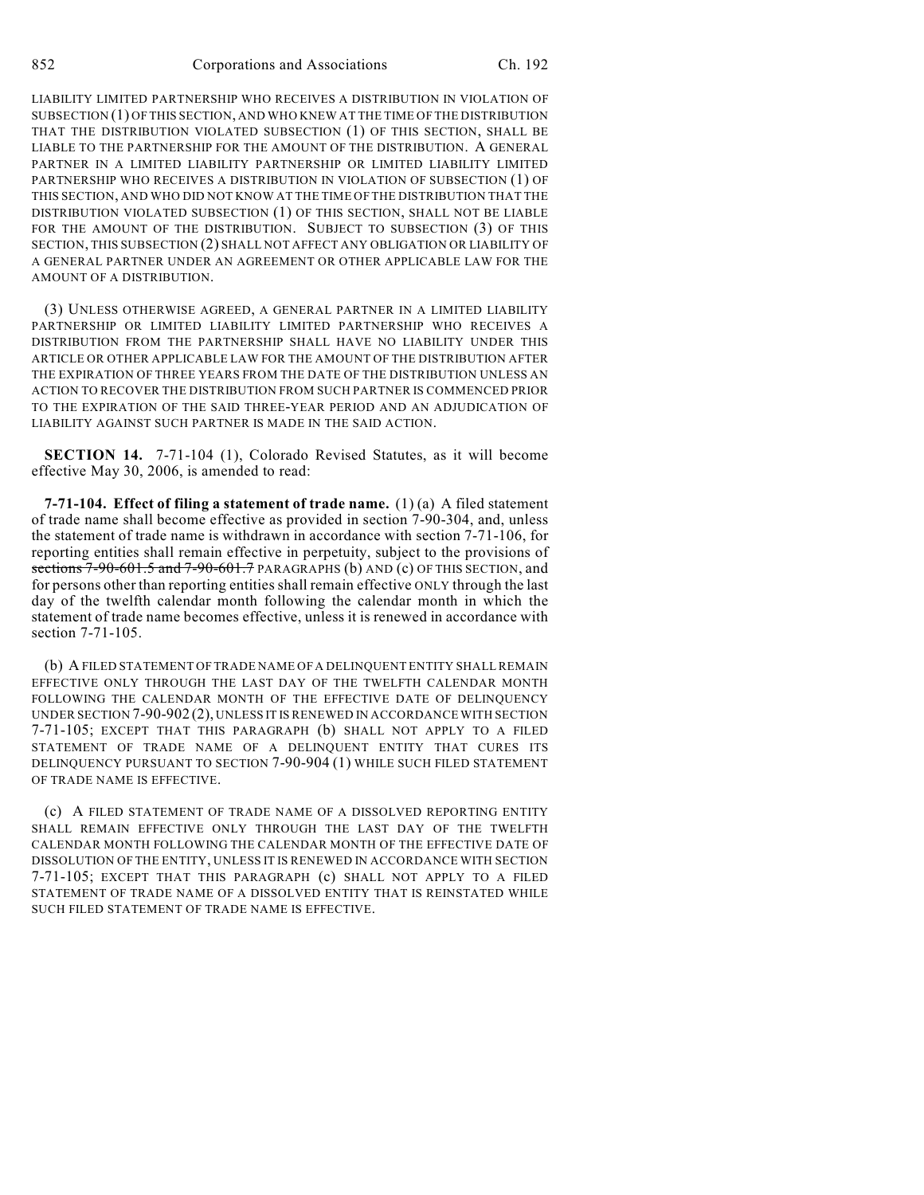LIABILITY LIMITED PARTNERSHIP WHO RECEIVES A DISTRIBUTION IN VIOLATION OF SUBSECTION (1) OF THIS SECTION, AND WHO KNEW AT THE TIME OF THE DISTRIBUTION THAT THE DISTRIBUTION VIOLATED SUBSECTION (1) OF THIS SECTION, SHALL BE LIABLE TO THE PARTNERSHIP FOR THE AMOUNT OF THE DISTRIBUTION. A GENERAL PARTNER IN A LIMITED LIABILITY PARTNERSHIP OR LIMITED LIABILITY LIMITED PARTNERSHIP WHO RECEIVES A DISTRIBUTION IN VIOLATION OF SUBSECTION (1) OF THIS SECTION, AND WHO DID NOT KNOW AT THE TIME OFTHE DISTRIBUTION THAT THE DISTRIBUTION VIOLATED SUBSECTION (1) OF THIS SECTION, SHALL NOT BE LIABLE FOR THE AMOUNT OF THE DISTRIBUTION. SUBJECT TO SUBSECTION (3) OF THIS SECTION, THIS SUBSECTION (2) SHALL NOT AFFECT ANY OBLIGATION OR LIABILITY OF A GENERAL PARTNER UNDER AN AGREEMENT OR OTHER APPLICABLE LAW FOR THE AMOUNT OF A DISTRIBUTION.

(3) UNLESS OTHERWISE AGREED, A GENERAL PARTNER IN A LIMITED LIABILITY PARTNERSHIP OR LIMITED LIABILITY LIMITED PARTNERSHIP WHO RECEIVES A DISTRIBUTION FROM THE PARTNERSHIP SHALL HAVE NO LIABILITY UNDER THIS ARTICLE OR OTHER APPLICABLE LAW FOR THE AMOUNT OF THE DISTRIBUTION AFTER THE EXPIRATION OF THREE YEARS FROM THE DATE OF THE DISTRIBUTION UNLESS AN ACTION TO RECOVER THE DISTRIBUTION FROM SUCH PARTNER IS COMMENCED PRIOR TO THE EXPIRATION OF THE SAID THREE-YEAR PERIOD AND AN ADJUDICATION OF LIABILITY AGAINST SUCH PARTNER IS MADE IN THE SAID ACTION.

**SECTION 14.** 7-71-104 (1), Colorado Revised Statutes, as it will become effective May 30, 2006, is amended to read:

**7-71-104. Effect of filing a statement of trade name.** (1) (a) A filed statement of trade name shall become effective as provided in section 7-90-304, and, unless the statement of trade name is withdrawn in accordance with section 7-71-106, for reporting entities shall remain effective in perpetuity, subject to the provisions of sections  $7-90-601.5$  and  $7-90-601.7$  PARAGRAPHS (b) AND (c) OF THIS SECTION, and for persons other than reporting entities shall remain effective ONLY through the last day of the twelfth calendar month following the calendar month in which the statement of trade name becomes effective, unless it is renewed in accordance with section 7-71-105.

(b) A FILED STATEMENT OF TRADE NAME OF A DELINQUENT ENTITY SHALL REMAIN EFFECTIVE ONLY THROUGH THE LAST DAY OF THE TWELFTH CALENDAR MONTH FOLLOWING THE CALENDAR MONTH OF THE EFFECTIVE DATE OF DELINQUENCY UNDER SECTION 7-90-902 (2), UNLESS IT IS RENEWED IN ACCORDANCE WITH SECTION 7-71-105; EXCEPT THAT THIS PARAGRAPH (b) SHALL NOT APPLY TO A FILED STATEMENT OF TRADE NAME OF A DELINQUENT ENTITY THAT CURES ITS DELINQUENCY PURSUANT TO SECTION 7-90-904 (1) WHILE SUCH FILED STATEMENT OF TRADE NAME IS EFFECTIVE.

(c) A FILED STATEMENT OF TRADE NAME OF A DISSOLVED REPORTING ENTITY SHALL REMAIN EFFECTIVE ONLY THROUGH THE LAST DAY OF THE TWELFTH CALENDAR MONTH FOLLOWING THE CALENDAR MONTH OF THE EFFECTIVE DATE OF DISSOLUTION OF THE ENTITY, UNLESS IT IS RENEWED IN ACCORDANCE WITH SECTION 7-71-105; EXCEPT THAT THIS PARAGRAPH (c) SHALL NOT APPLY TO A FILED STATEMENT OF TRADE NAME OF A DISSOLVED ENTITY THAT IS REINSTATED WHILE SUCH FILED STATEMENT OF TRADE NAME IS EFFECTIVE.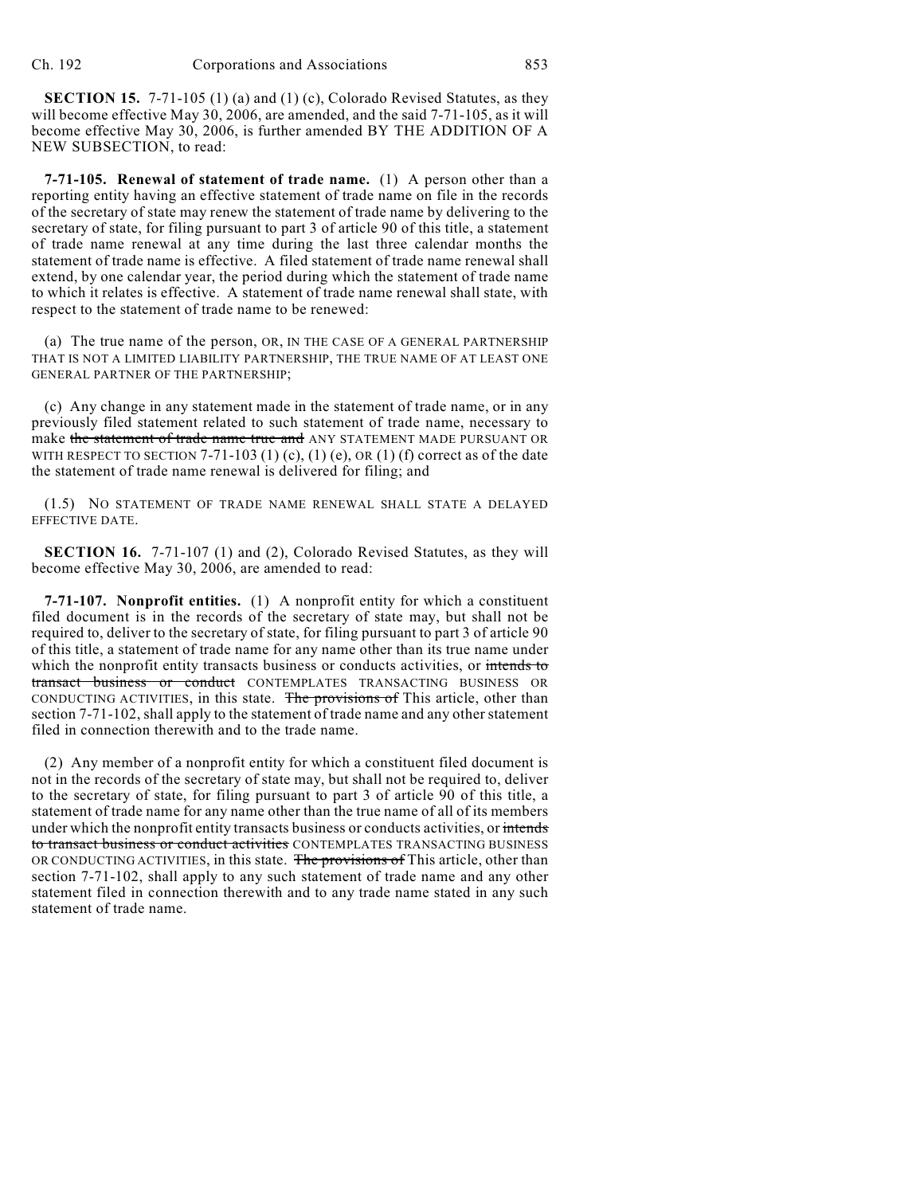**SECTION 15.** 7-71-105 (1) (a) and (1) (c), Colorado Revised Statutes, as they will become effective May 30, 2006, are amended, and the said 7-71-105, as it will become effective May 30, 2006, is further amended BY THE ADDITION OF A NEW SUBSECTION, to read:

**7-71-105. Renewal of statement of trade name.** (1) A person other than a reporting entity having an effective statement of trade name on file in the records of the secretary of state may renew the statement of trade name by delivering to the secretary of state, for filing pursuant to part 3 of article 90 of this title, a statement of trade name renewal at any time during the last three calendar months the statement of trade name is effective. A filed statement of trade name renewal shall extend, by one calendar year, the period during which the statement of trade name to which it relates is effective. A statement of trade name renewal shall state, with respect to the statement of trade name to be renewed:

(a) The true name of the person, OR, IN THE CASE OF A GENERAL PARTNERSHIP THAT IS NOT A LIMITED LIABILITY PARTNERSHIP, THE TRUE NAME OF AT LEAST ONE GENERAL PARTNER OF THE PARTNERSHIP;

(c) Any change in any statement made in the statement of trade name, or in any previously filed statement related to such statement of trade name, necessary to make the statement of trade name true and ANY STATEMENT MADE PURSUANT OR WITH RESPECT TO SECTION  $7-71-103$  (1) (c), (1) (e), OR (1) (f) correct as of the date the statement of trade name renewal is delivered for filing; and

(1.5) NO STATEMENT OF TRADE NAME RENEWAL SHALL STATE A DELAYED EFFECTIVE DATE.

**SECTION 16.** 7-71-107 (1) and (2), Colorado Revised Statutes, as they will become effective May 30, 2006, are amended to read:

**7-71-107. Nonprofit entities.** (1) A nonprofit entity for which a constituent filed document is in the records of the secretary of state may, but shall not be required to, deliver to the secretary of state, for filing pursuant to part 3 of article 90 of this title, a statement of trade name for any name other than its true name under which the nonprofit entity transacts business or conducts activities, or intends to transact business or conduct CONTEMPLATES TRANSACTING BUSINESS OR CONDUCTING ACTIVITIES, in this state. The provisions of This article, other than section 7-71-102, shall apply to the statement of trade name and any other statement filed in connection therewith and to the trade name.

(2) Any member of a nonprofit entity for which a constituent filed document is not in the records of the secretary of state may, but shall not be required to, deliver to the secretary of state, for filing pursuant to part 3 of article 90 of this title, a statement of trade name for any name other than the true name of all of its members under which the nonprofit entity transacts business or conducts activities, or intends to transact business or conduct activities CONTEMPLATES TRANSACTING BUSINESS OR CONDUCTING ACTIVITIES, in this state. The provisions of This article, other than section 7-71-102, shall apply to any such statement of trade name and any other statement filed in connection therewith and to any trade name stated in any such statement of trade name.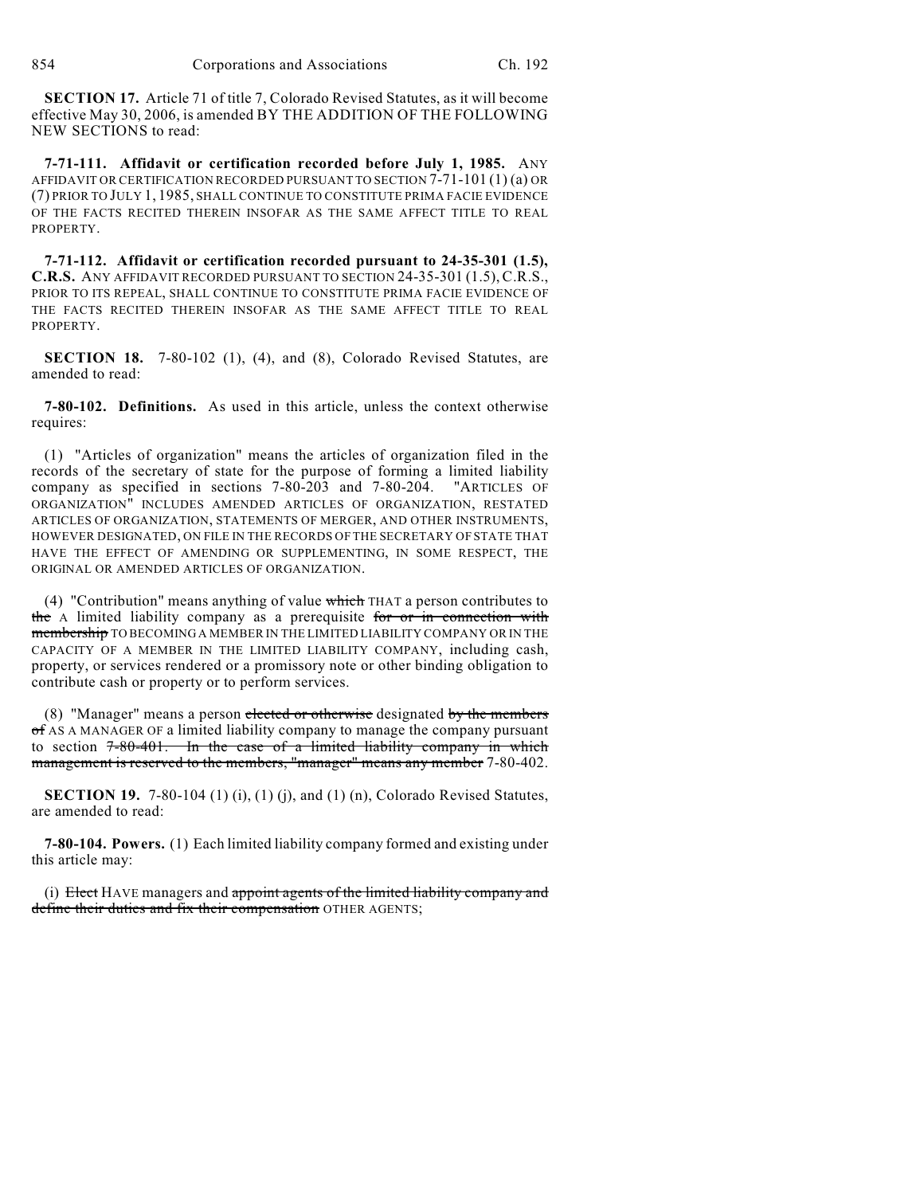**SECTION 17.** Article 71 of title 7, Colorado Revised Statutes, as it will become effective May 30, 2006, is amended BY THE ADDITION OF THE FOLLOWING NEW SECTIONS to read:

**7-71-111. Affidavit or certification recorded before July 1, 1985.** ANY AFFIDAVIT OR CERTIFICATION RECORDED PURSUANT TO SECTION 7-71-101 (1) (a) OR (7) PRIOR TO JULY 1, 1985, SHALL CONTINUE TO CONSTITUTE PRIMA FACIE EVIDENCE OF THE FACTS RECITED THEREIN INSOFAR AS THE SAME AFFECT TITLE TO REAL PROPERTY.

**7-71-112. Affidavit or certification recorded pursuant to 24-35-301 (1.5), C.R.S.** ANY AFFIDAVIT RECORDED PURSUANT TO SECTION 24-35-301 (1.5), C.R.S., PRIOR TO ITS REPEAL, SHALL CONTINUE TO CONSTITUTE PRIMA FACIE EVIDENCE OF THE FACTS RECITED THEREIN INSOFAR AS THE SAME AFFECT TITLE TO REAL PROPERTY.

**SECTION 18.** 7-80-102 (1), (4), and (8), Colorado Revised Statutes, are amended to read:

**7-80-102. Definitions.** As used in this article, unless the context otherwise requires:

(1) "Articles of organization" means the articles of organization filed in the records of the secretary of state for the purpose of forming a limited liability company as specified in sections 7-80-203 and 7-80-204. "ARTICLES OF ORGANIZATION" INCLUDES AMENDED ARTICLES OF ORGANIZATION, RESTATED ARTICLES OF ORGANIZATION, STATEMENTS OF MERGER, AND OTHER INSTRUMENTS, HOWEVER DESIGNATED, ON FILE IN THE RECORDS OF THE SECRETARY OF STATE THAT HAVE THE EFFECT OF AMENDING OR SUPPLEMENTING, IN SOME RESPECT, THE ORIGINAL OR AMENDED ARTICLES OF ORGANIZATION.

(4) "Contribution" means anything of value which THAT a person contributes to the A limited liability company as a prerequisite for or in connection with membership TO BECOMING A MEMBER IN THE LIMITED LIABILITY COMPANY OR IN THE CAPACITY OF A MEMBER IN THE LIMITED LIABILITY COMPANY, including cash, property, or services rendered or a promissory note or other binding obligation to contribute cash or property or to perform services.

(8) "Manager" means a person elected or otherwise designated by the members of AS A MANAGER OF a limited liability company to manage the company pursuant to section  $7-80-401$ . In the case of a limited liability company in which management is reserved to the members, "manager" means any member 7-80-402.

**SECTION 19.** 7-80-104 (1) (i), (1) (j), and (1) (n), Colorado Revised Statutes, are amended to read:

**7-80-104. Powers.** (1) Each limited liability company formed and existing under this article may:

(i) Elect HAVE managers and appoint agents of the limited liability company and define their duties and fix their compensation OTHER AGENTS;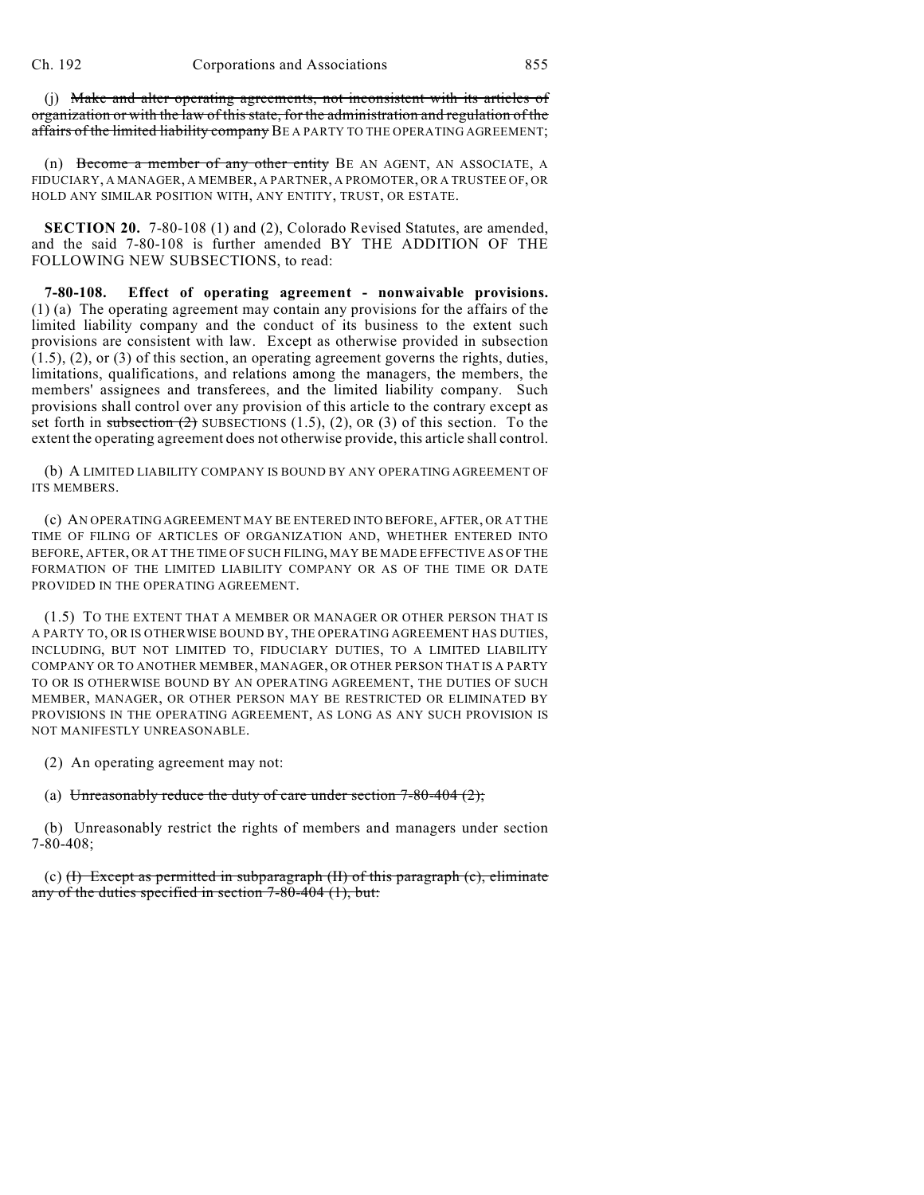(j) Make and alter operating agreements, not inconsistent with its articles of organization or with the law of this state, for the administration and regulation of the affairs of the limited liability company BE A PARTY TO THE OPERATING AGREEMENT;

(n) Become a member of any other entity BE AN AGENT, AN ASSOCIATE, A FIDUCIARY, A MANAGER, A MEMBER, A PARTNER, A PROMOTER, OR A TRUSTEE OF, OR HOLD ANY SIMILAR POSITION WITH, ANY ENTITY, TRUST, OR ESTATE.

**SECTION 20.** 7-80-108 (1) and (2), Colorado Revised Statutes, are amended, and the said 7-80-108 is further amended BY THE ADDITION OF THE FOLLOWING NEW SUBSECTIONS, to read:

**7-80-108. Effect of operating agreement - nonwaivable provisions.** (1) (a) The operating agreement may contain any provisions for the affairs of the limited liability company and the conduct of its business to the extent such provisions are consistent with law. Except as otherwise provided in subsection (1.5), (2), or (3) of this section, an operating agreement governs the rights, duties, limitations, qualifications, and relations among the managers, the members, the members' assignees and transferees, and the limited liability company. Such provisions shall control over any provision of this article to the contrary except as set forth in subsection  $(2)$  SUBSECTIONS  $(1.5)$ ,  $(2)$ , OR  $(3)$  of this section. To the extent the operating agreement does not otherwise provide, this article shall control.

(b) A LIMITED LIABILITY COMPANY IS BOUND BY ANY OPERATING AGREEMENT OF ITS MEMBERS.

(c) AN OPERATING AGREEMENT MAY BE ENTERED INTO BEFORE, AFTER, OR AT THE TIME OF FILING OF ARTICLES OF ORGANIZATION AND, WHETHER ENTERED INTO BEFORE, AFTER, OR AT THE TIME OF SUCH FILING, MAY BE MADE EFFECTIVE AS OF THE FORMATION OF THE LIMITED LIABILITY COMPANY OR AS OF THE TIME OR DATE PROVIDED IN THE OPERATING AGREEMENT.

(1.5) TO THE EXTENT THAT A MEMBER OR MANAGER OR OTHER PERSON THAT IS A PARTY TO, OR IS OTHERWISE BOUND BY, THE OPERATING AGREEMENT HAS DUTIES, INCLUDING, BUT NOT LIMITED TO, FIDUCIARY DUTIES, TO A LIMITED LIABILITY COMPANY OR TO ANOTHER MEMBER, MANAGER, OR OTHER PERSON THAT IS A PARTY TO OR IS OTHERWISE BOUND BY AN OPERATING AGREEMENT, THE DUTIES OF SUCH MEMBER, MANAGER, OR OTHER PERSON MAY BE RESTRICTED OR ELIMINATED BY PROVISIONS IN THE OPERATING AGREEMENT, AS LONG AS ANY SUCH PROVISION IS NOT MANIFESTLY UNREASONABLE.

(2) An operating agreement may not:

(a) Unreasonably reduce the duty of care under section  $7-80-404$   $(2)$ ;

(b) Unreasonably restrict the rights of members and managers under section 7-80-408;

(c)  $(H)$  Except as permitted in subparagraph  $(H)$  of this paragraph  $(c)$ , eliminate any of the duties specified in section  $7-80-404$  (1), but: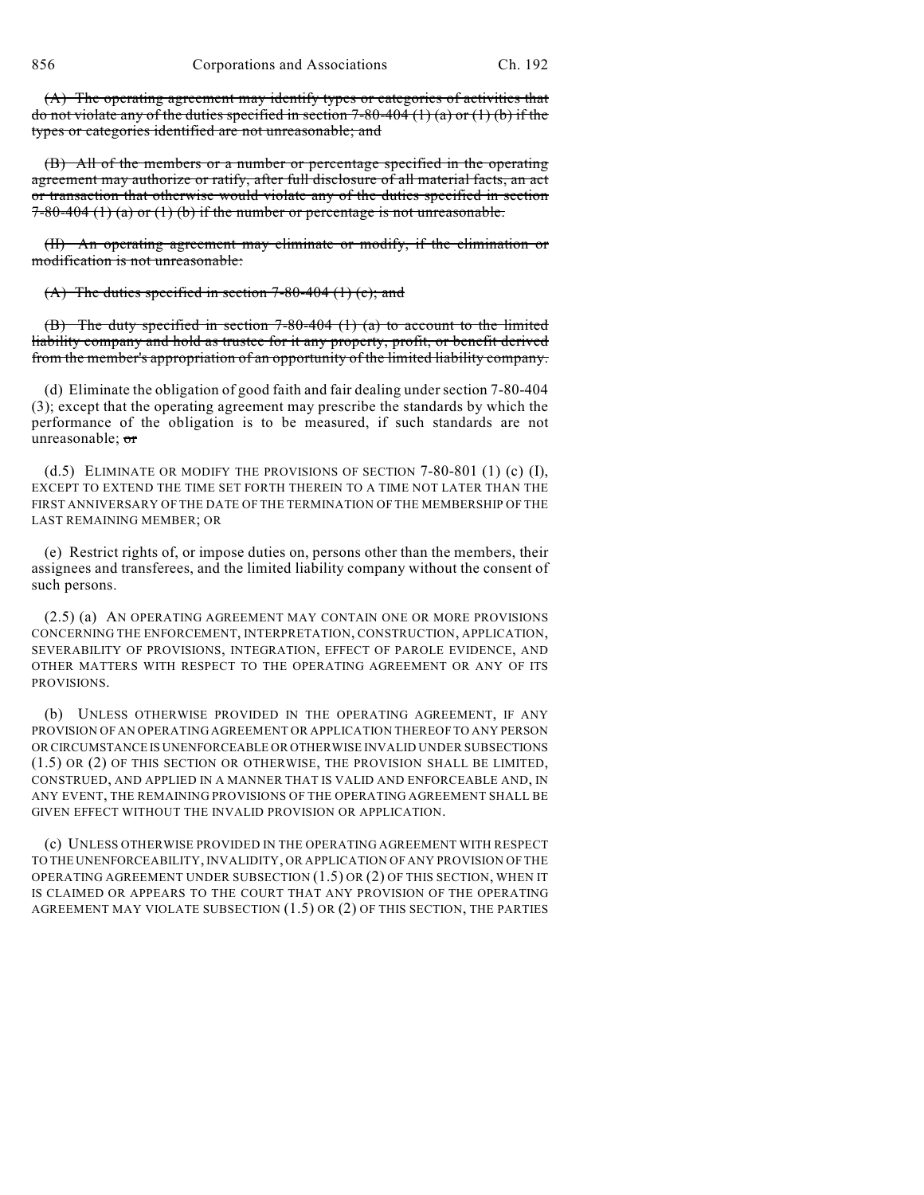(A) The operating agreement may identify types or categories of activities that do not violate any of the duties specified in section  $7-80-404$  (1) (a) or (1) (b) if the types or categories identified are not unreasonable; and

(B) All of the members or a number or percentage specified in the operating agreement may authorize or ratify, after full disclosure of all material facts, an act or transaction that otherwise would violate any of the duties specified in section  $7-80-404$  (1) (a) or (1) (b) if the number or percentage is not unreasonable.

(II) An operating agreement may eliminate or modify, if the elimination or modification is not unreasonable:

(A) The duties specified in section  $7-80-404$  (1) (c); and

(B) The duty specified in section 7-80-404 (1) (a) to account to the limited liability company and hold as trustee for it any property, profit, or benefit derived from the member's appropriation of an opportunity of the limited liability company.

(d) Eliminate the obligation of good faith and fair dealing under section 7-80-404 (3); except that the operating agreement may prescribe the standards by which the performance of the obligation is to be measured, if such standards are not unreasonable; or

(d.5) ELIMINATE OR MODIFY THE PROVISIONS OF SECTION  $7-80-801$  (1) (c) (I), EXCEPT TO EXTEND THE TIME SET FORTH THEREIN TO A TIME NOT LATER THAN THE FIRST ANNIVERSARY OF THE DATE OF THE TERMINATION OF THE MEMBERSHIP OF THE LAST REMAINING MEMBER; OR

(e) Restrict rights of, or impose duties on, persons other than the members, their assignees and transferees, and the limited liability company without the consent of such persons.

(2.5) (a) AN OPERATING AGREEMENT MAY CONTAIN ONE OR MORE PROVISIONS CONCERNING THE ENFORCEMENT, INTERPRETATION, CONSTRUCTION, APPLICATION, SEVERABILITY OF PROVISIONS, INTEGRATION, EFFECT OF PAROLE EVIDENCE, AND OTHER MATTERS WITH RESPECT TO THE OPERATING AGREEMENT OR ANY OF ITS PROVISIONS.

(b) UNLESS OTHERWISE PROVIDED IN THE OPERATING AGREEMENT, IF ANY PROVISION OF AN OPERATING AGREEMENT OR APPLICATION THEREOF TO ANY PERSON OR CIRCUMSTANCE IS UNENFORCEABLE OR OTHERWISE INVALID UNDER SUBSECTIONS (1.5) OR (2) OF THIS SECTION OR OTHERWISE, THE PROVISION SHALL BE LIMITED, CONSTRUED, AND APPLIED IN A MANNER THAT IS VALID AND ENFORCEABLE AND, IN ANY EVENT, THE REMAINING PROVISIONS OF THE OPERATING AGREEMENT SHALL BE GIVEN EFFECT WITHOUT THE INVALID PROVISION OR APPLICATION.

(c) UNLESS OTHERWISE PROVIDED IN THE OPERATING AGREEMENT WITH RESPECT TO THE UNENFORCEABILITY, INVALIDITY, OR APPLICATION OF ANY PROVISION OF THE OPERATING AGREEMENT UNDER SUBSECTION (1.5) OR (2) OF THIS SECTION, WHEN IT IS CLAIMED OR APPEARS TO THE COURT THAT ANY PROVISION OF THE OPERATING AGREEMENT MAY VIOLATE SUBSECTION (1.5) OR (2) OF THIS SECTION, THE PARTIES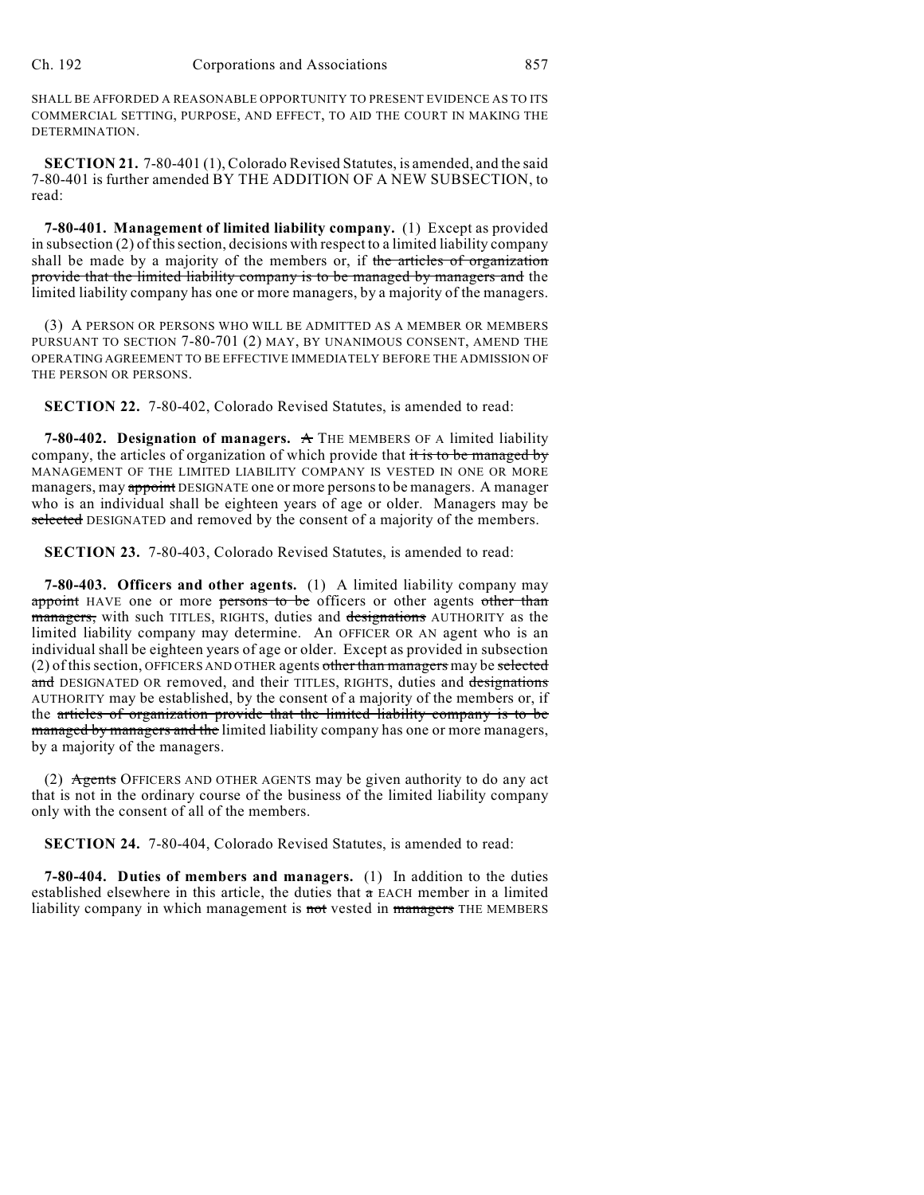SHALL BE AFFORDED A REASONABLE OPPORTUNITY TO PRESENT EVIDENCE AS TO ITS COMMERCIAL SETTING, PURPOSE, AND EFFECT, TO AID THE COURT IN MAKING THE DETERMINATION.

**SECTION 21.** 7-80-401 (1), Colorado Revised Statutes, is amended, and the said 7-80-401 is further amended BY THE ADDITION OF A NEW SUBSECTION, to read:

**7-80-401. Management of limited liability company.** (1) Except as provided in subsection (2) of this section, decisions with respect to a limited liability company shall be made by a majority of the members or, if the articles of organization provide that the limited liability company is to be managed by managers and the limited liability company has one or more managers, by a majority of the managers.

(3) A PERSON OR PERSONS WHO WILL BE ADMITTED AS A MEMBER OR MEMBERS PURSUANT TO SECTION 7-80-701 (2) MAY, BY UNANIMOUS CONSENT, AMEND THE OPERATING AGREEMENT TO BE EFFECTIVE IMMEDIATELY BEFORE THE ADMISSION OF THE PERSON OR PERSONS.

**SECTION 22.** 7-80-402, Colorado Revised Statutes, is amended to read:

**7-80-402. Designation of managers.** A THE MEMBERS OF A limited liability company, the articles of organization of which provide that it is to be managed by MANAGEMENT OF THE LIMITED LIABILITY COMPANY IS VESTED IN ONE OR MORE managers, may appoint DESIGNATE one or more persons to be managers. A manager who is an individual shall be eighteen years of age or older. Managers may be selected DESIGNATED and removed by the consent of a majority of the members.

**SECTION 23.** 7-80-403, Colorado Revised Statutes, is amended to read:

**7-80-403. Officers and other agents.** (1) A limited liability company may appoint HAVE one or more persons to be officers or other agents other than managers, with such TITLES, RIGHTS, duties and designations AUTHORITY as the limited liability company may determine. An OFFICER OR AN agent who is an individual shall be eighteen years of age or older. Except as provided in subsection (2) of this section, OFFICERS AND OTHER agents other than managers may be selected and DESIGNATED OR removed, and their TITLES, RIGHTS, duties and designations AUTHORITY may be established, by the consent of a majority of the members or, if the articles of organization provide that the limited liability company is to be managed by managers and the limited liability company has one or more managers, by a majority of the managers.

(2) Agents OFFICERS AND OTHER AGENTS may be given authority to do any act that is not in the ordinary course of the business of the limited liability company only with the consent of all of the members.

**SECTION 24.** 7-80-404, Colorado Revised Statutes, is amended to read:

**7-80-404. Duties of members and managers.** (1) In addition to the duties established elsewhere in this article, the duties that  $\alpha$  EACH member in a limited liability company in which management is not vested in managers THE MEMBERS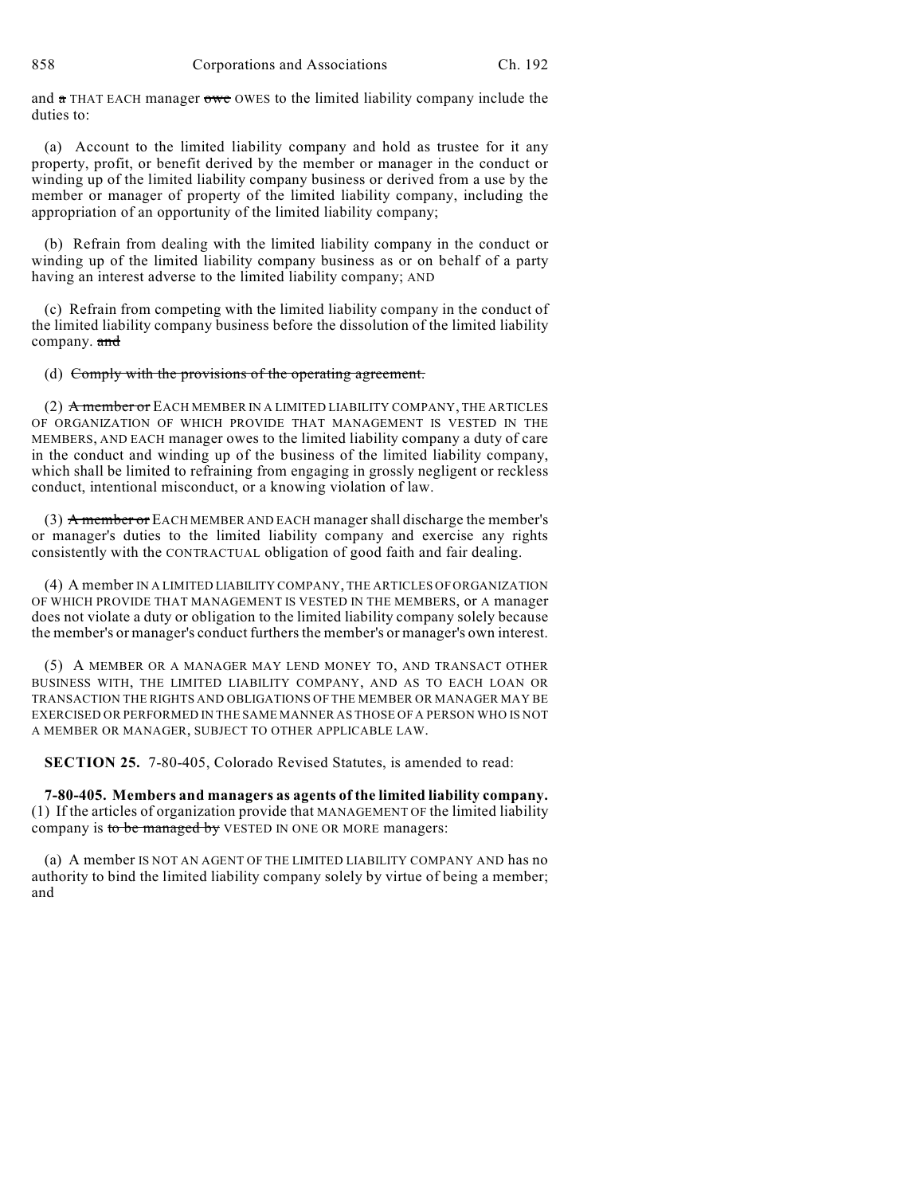and  $\alpha$  THAT EACH manager owe OWES to the limited liability company include the duties to:

(a) Account to the limited liability company and hold as trustee for it any property, profit, or benefit derived by the member or manager in the conduct or winding up of the limited liability company business or derived from a use by the member or manager of property of the limited liability company, including the appropriation of an opportunity of the limited liability company;

(b) Refrain from dealing with the limited liability company in the conduct or winding up of the limited liability company business as or on behalf of a party having an interest adverse to the limited liability company; AND

(c) Refrain from competing with the limited liability company in the conduct of the limited liability company business before the dissolution of the limited liability company. and

(d) Comply with the provisions of the operating agreement.

(2) A member or EACH MEMBER IN A LIMITED LIABILITY COMPANY, THE ARTICLES OF ORGANIZATION OF WHICH PROVIDE THAT MANAGEMENT IS VESTED IN THE MEMBERS, AND EACH manager owes to the limited liability company a duty of care in the conduct and winding up of the business of the limited liability company, which shall be limited to refraining from engaging in grossly negligent or reckless conduct, intentional misconduct, or a knowing violation of law.

(3) A member or EACH MEMBER AND EACH manager shall discharge the member's or manager's duties to the limited liability company and exercise any rights consistently with the CONTRACTUAL obligation of good faith and fair dealing.

(4) A member IN A LIMITED LIABILITY COMPANY, THE ARTICLES OF ORGANIZATION OF WHICH PROVIDE THAT MANAGEMENT IS VESTED IN THE MEMBERS, or A manager does not violate a duty or obligation to the limited liability company solely because the member's or manager's conduct furthers the member's or manager's own interest.

(5) A MEMBER OR A MANAGER MAY LEND MONEY TO, AND TRANSACT OTHER BUSINESS WITH, THE LIMITED LIABILITY COMPANY, AND AS TO EACH LOAN OR TRANSACTION THE RIGHTS AND OBLIGATIONS OF THE MEMBER OR MANAGER MAY BE EXERCISED OR PERFORMED IN THE SAME MANNER AS THOSE OF A PERSON WHO IS NOT A MEMBER OR MANAGER, SUBJECT TO OTHER APPLICABLE LAW.

**SECTION 25.** 7-80-405, Colorado Revised Statutes, is amended to read:

**7-80-405. Members and managers as agents of the limited liability company.** (1) If the articles of organization provide that MANAGEMENT OF the limited liability company is to be managed by VESTED IN ONE OR MORE managers:

(a) A member IS NOT AN AGENT OF THE LIMITED LIABILITY COMPANY AND has no authority to bind the limited liability company solely by virtue of being a member; and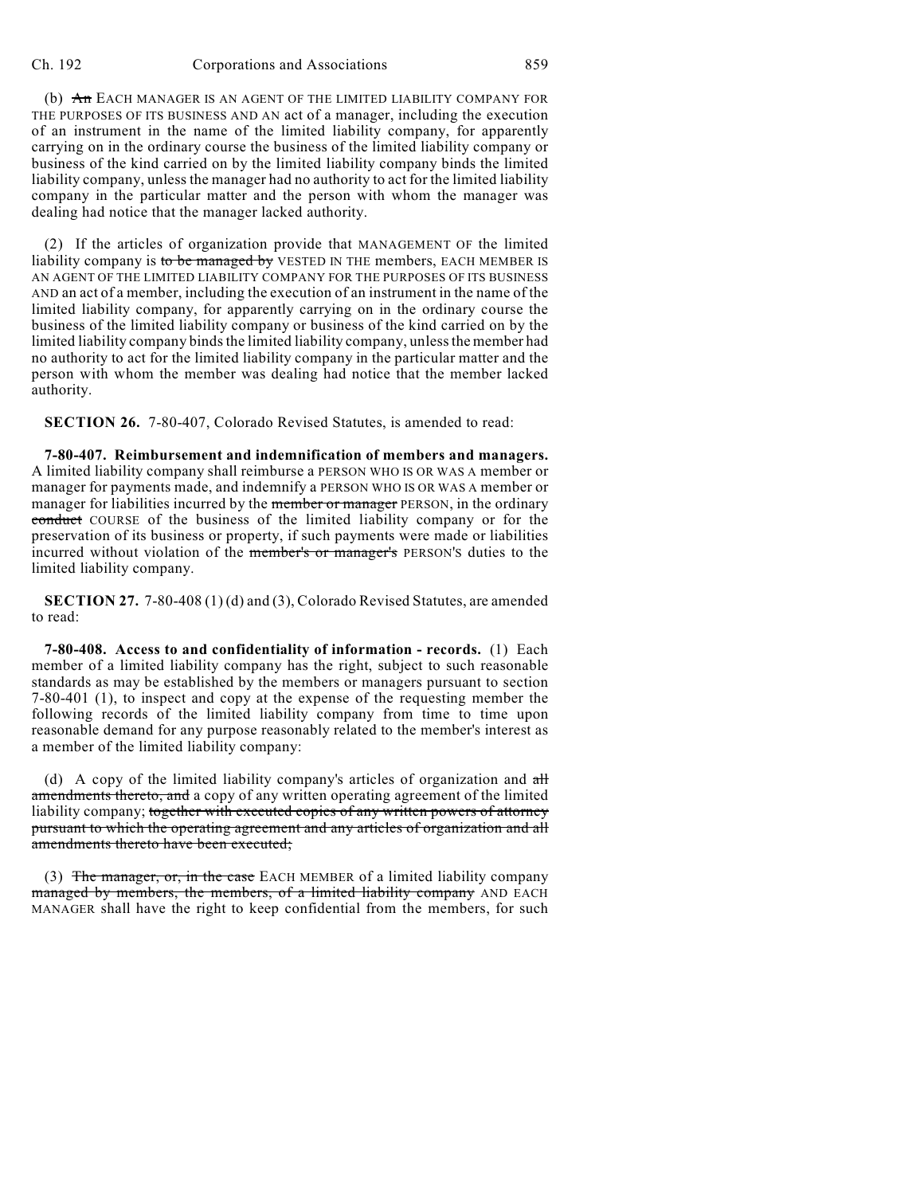(b) An EACH MANAGER IS AN AGENT OF THE LIMITED LIABILITY COMPANY FOR THE PURPOSES OF ITS BUSINESS AND AN act of a manager, including the execution of an instrument in the name of the limited liability company, for apparently carrying on in the ordinary course the business of the limited liability company or business of the kind carried on by the limited liability company binds the limited liability company, unless the manager had no authority to act for the limited liability company in the particular matter and the person with whom the manager was dealing had notice that the manager lacked authority.

(2) If the articles of organization provide that MANAGEMENT OF the limited liability company is to be managed by VESTED IN THE members, EACH MEMBER IS AN AGENT OF THE LIMITED LIABILITY COMPANY FOR THE PURPOSES OF ITS BUSINESS AND an act of a member, including the execution of an instrument in the name of the limited liability company, for apparently carrying on in the ordinary course the business of the limited liability company or business of the kind carried on by the limited liability company binds the limited liability company, unless the member had no authority to act for the limited liability company in the particular matter and the person with whom the member was dealing had notice that the member lacked authority.

**SECTION 26.** 7-80-407, Colorado Revised Statutes, is amended to read:

**7-80-407. Reimbursement and indemnification of members and managers.** A limited liability company shall reimburse a PERSON WHO IS OR WAS A member or manager for payments made, and indemnify a PERSON WHO IS OR WAS A member or manager for liabilities incurred by the member or manager PERSON, in the ordinary conduct COURSE of the business of the limited liability company or for the preservation of its business or property, if such payments were made or liabilities incurred without violation of the member's or manager's PERSON'S duties to the limited liability company.

**SECTION 27.** 7-80-408 (1) (d) and (3), Colorado Revised Statutes, are amended to read:

**7-80-408. Access to and confidentiality of information - records.** (1) Each member of a limited liability company has the right, subject to such reasonable standards as may be established by the members or managers pursuant to section 7-80-401 (1), to inspect and copy at the expense of the requesting member the following records of the limited liability company from time to time upon reasonable demand for any purpose reasonably related to the member's interest as a member of the limited liability company:

(d) A copy of the limited liability company's articles of organization and  $\frac{dH}{dt}$ amendments thereto, and a copy of any written operating agreement of the limited liability company; together with executed copies of any written powers of attorney pursuant to which the operating agreement and any articles of organization and all amendments thereto have been executed;

(3) The manager, or, in the case EACH MEMBER of a limited liability company managed by members, the members, of a limited liability company AND EACH MANAGER shall have the right to keep confidential from the members, for such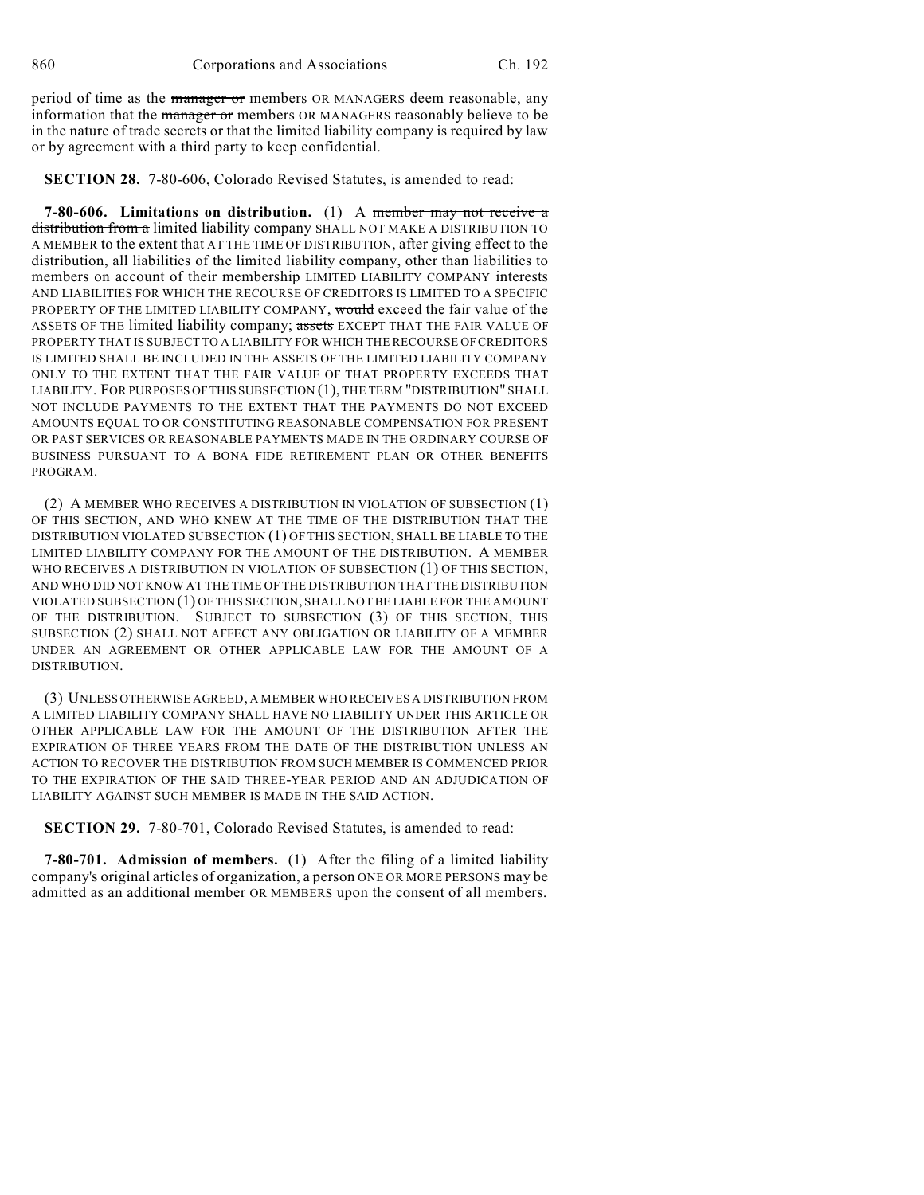period of time as the manager or members OR MANAGERS deem reasonable, any information that the *manager* or members OR MANAGERS reasonably believe to be in the nature of trade secrets or that the limited liability company is required by law or by agreement with a third party to keep confidential.

**SECTION 28.** 7-80-606, Colorado Revised Statutes, is amended to read:

**7-80-606. Limitations on distribution.** (1) A member may not receive a distribution from a limited liability company SHALL NOT MAKE A DISTRIBUTION TO A MEMBER to the extent that AT THE TIME OF DISTRIBUTION, after giving effect to the distribution, all liabilities of the limited liability company, other than liabilities to members on account of their membership LIMITED LIABILITY COMPANY interests AND LIABILITIES FOR WHICH THE RECOURSE OF CREDITORS IS LIMITED TO A SPECIFIC PROPERTY OF THE LIMITED LIABILITY COMPANY, would exceed the fair value of the ASSETS OF THE limited liability company; assets EXCEPT THAT THE FAIR VALUE OF PROPERTY THAT IS SUBJECT TO A LIABILITY FOR WHICH THE RECOURSE OF CREDITORS IS LIMITED SHALL BE INCLUDED IN THE ASSETS OF THE LIMITED LIABILITY COMPANY ONLY TO THE EXTENT THAT THE FAIR VALUE OF THAT PROPERTY EXCEEDS THAT LIABILITY. FOR PURPOSES OF THIS SUBSECTION (1), THE TERM "DISTRIBUTION" SHALL NOT INCLUDE PAYMENTS TO THE EXTENT THAT THE PAYMENTS DO NOT EXCEED AMOUNTS EQUAL TO OR CONSTITUTING REASONABLE COMPENSATION FOR PRESENT OR PAST SERVICES OR REASONABLE PAYMENTS MADE IN THE ORDINARY COURSE OF BUSINESS PURSUANT TO A BONA FIDE RETIREMENT PLAN OR OTHER BENEFITS PROGRAM.

(2) A MEMBER WHO RECEIVES A DISTRIBUTION IN VIOLATION OF SUBSECTION (1) OF THIS SECTION, AND WHO KNEW AT THE TIME OF THE DISTRIBUTION THAT THE DISTRIBUTION VIOLATED SUBSECTION (1) OF THIS SECTION, SHALL BE LIABLE TO THE LIMITED LIABILITY COMPANY FOR THE AMOUNT OF THE DISTRIBUTION. A MEMBER WHO RECEIVES A DISTRIBUTION IN VIOLATION OF SUBSECTION (1) OF THIS SECTION, AND WHO DID NOT KNOW AT THE TIME OF THE DISTRIBUTION THAT THE DISTRIBUTION VIOLATED SUBSECTION (1) OF THIS SECTION, SHALL NOT BE LIABLE FOR THE AMOUNT OF THE DISTRIBUTION. SUBJECT TO SUBSECTION (3) OF THIS SECTION, THIS SUBSECTION (2) SHALL NOT AFFECT ANY OBLIGATION OR LIABILITY OF A MEMBER UNDER AN AGREEMENT OR OTHER APPLICABLE LAW FOR THE AMOUNT OF A DISTRIBUTION.

(3) UNLESS OTHERWISE AGREED, A MEMBER WHO RECEIVES A DISTRIBUTION FROM A LIMITED LIABILITY COMPANY SHALL HAVE NO LIABILITY UNDER THIS ARTICLE OR OTHER APPLICABLE LAW FOR THE AMOUNT OF THE DISTRIBUTION AFTER THE EXPIRATION OF THREE YEARS FROM THE DATE OF THE DISTRIBUTION UNLESS AN ACTION TO RECOVER THE DISTRIBUTION FROM SUCH MEMBER IS COMMENCED PRIOR TO THE EXPIRATION OF THE SAID THREE-YEAR PERIOD AND AN ADJUDICATION OF LIABILITY AGAINST SUCH MEMBER IS MADE IN THE SAID ACTION.

**SECTION 29.** 7-80-701, Colorado Revised Statutes, is amended to read:

**7-80-701. Admission of members.** (1) After the filing of a limited liability company's original articles of organization, a person ONE OR MORE PERSONS may be admitted as an additional member OR MEMBERS upon the consent of all members.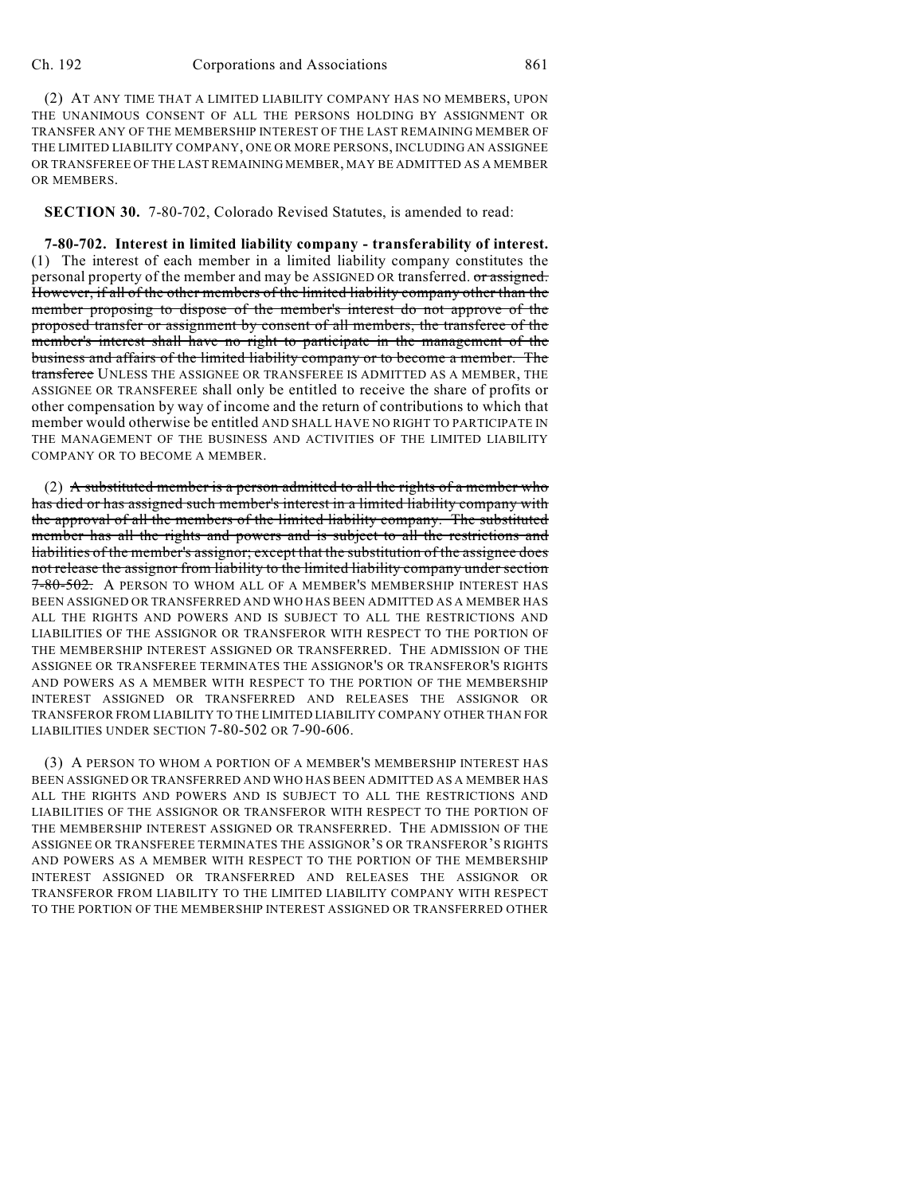(2) AT ANY TIME THAT A LIMITED LIABILITY COMPANY HAS NO MEMBERS, UPON THE UNANIMOUS CONSENT OF ALL THE PERSONS HOLDING BY ASSIGNMENT OR TRANSFER ANY OF THE MEMBERSHIP INTEREST OF THE LAST REMAINING MEMBER OF THE LIMITED LIABILITY COMPANY, ONE OR MORE PERSONS, INCLUDING AN ASSIGNEE OR TRANSFEREE OF THE LAST REMAINING MEMBER, MAY BE ADMITTED AS A MEMBER OR MEMBERS.

**SECTION 30.** 7-80-702, Colorado Revised Statutes, is amended to read:

**7-80-702. Interest in limited liability company - transferability of interest.** (1) The interest of each member in a limited liability company constitutes the personal property of the member and may be ASSIGNED OR transferred. or assigned. However, if all of the other members of the limited liability company other than the member proposing to dispose of the member's interest do not approve of the proposed transfer or assignment by consent of all members, the transferee of the member's interest shall have no right to participate in the management of the business and affairs of the limited liability company or to become a member. The transferee UNLESS THE ASSIGNEE OR TRANSFEREE IS ADMITTED AS A MEMBER, THE ASSIGNEE OR TRANSFEREE shall only be entitled to receive the share of profits or other compensation by way of income and the return of contributions to which that member would otherwise be entitled AND SHALL HAVE NO RIGHT TO PARTICIPATE IN THE MANAGEMENT OF THE BUSINESS AND ACTIVITIES OF THE LIMITED LIABILITY COMPANY OR TO BECOME A MEMBER.

(2) A substituted member is a person admitted to all the rights of a member who has died or has assigned such member's interest in a limited liability company with the approval of all the members of the limited liability company. The substituted member has all the rights and powers and is subject to all the restrictions and liabilities of the member's assignor; except that the substitution of the assignee does not release the assignor from liability to the limited liability company under section 7-80-502. A PERSON TO WHOM ALL OF A MEMBER'S MEMBERSHIP INTEREST HAS BEEN ASSIGNED OR TRANSFERRED AND WHO HAS BEEN ADMITTED AS A MEMBER HAS ALL THE RIGHTS AND POWERS AND IS SUBJECT TO ALL THE RESTRICTIONS AND LIABILITIES OF THE ASSIGNOR OR TRANSFEROR WITH RESPECT TO THE PORTION OF THE MEMBERSHIP INTEREST ASSIGNED OR TRANSFERRED. THE ADMISSION OF THE ASSIGNEE OR TRANSFEREE TERMINATES THE ASSIGNOR'S OR TRANSFEROR'S RIGHTS AND POWERS AS A MEMBER WITH RESPECT TO THE PORTION OF THE MEMBERSHIP INTEREST ASSIGNED OR TRANSFERRED AND RELEASES THE ASSIGNOR OR TRANSFEROR FROM LIABILITY TO THE LIMITED LIABILITY COMPANY OTHER THAN FOR LIABILITIES UNDER SECTION 7-80-502 OR 7-90-606.

(3) A PERSON TO WHOM A PORTION OF A MEMBER'S MEMBERSHIP INTEREST HAS BEEN ASSIGNED OR TRANSFERRED AND WHO HAS BEEN ADMITTED AS A MEMBER HAS ALL THE RIGHTS AND POWERS AND IS SUBJECT TO ALL THE RESTRICTIONS AND LIABILITIES OF THE ASSIGNOR OR TRANSFEROR WITH RESPECT TO THE PORTION OF THE MEMBERSHIP INTEREST ASSIGNED OR TRANSFERRED. THE ADMISSION OF THE ASSIGNEE OR TRANSFEREE TERMINATES THE ASSIGNOR'S OR TRANSFEROR'S RIGHTS AND POWERS AS A MEMBER WITH RESPECT TO THE PORTION OF THE MEMBERSHIP INTEREST ASSIGNED OR TRANSFERRED AND RELEASES THE ASSIGNOR OR TRANSFEROR FROM LIABILITY TO THE LIMITED LIABILITY COMPANY WITH RESPECT TO THE PORTION OF THE MEMBERSHIP INTEREST ASSIGNED OR TRANSFERRED OTHER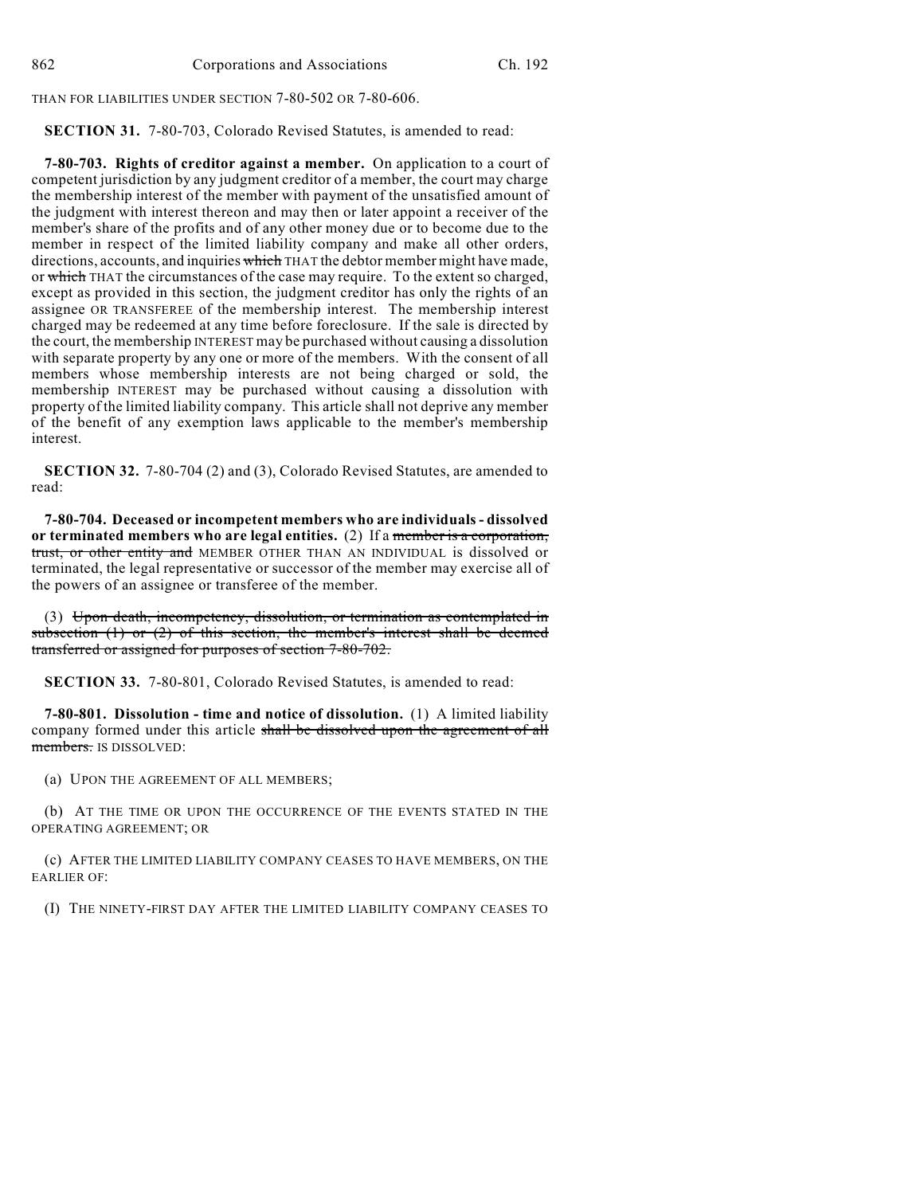THAN FOR LIABILITIES UNDER SECTION 7-80-502 OR 7-80-606.

**SECTION 31.** 7-80-703, Colorado Revised Statutes, is amended to read:

**7-80-703. Rights of creditor against a member.** On application to a court of competent jurisdiction by any judgment creditor of a member, the court may charge the membership interest of the member with payment of the unsatisfied amount of the judgment with interest thereon and may then or later appoint a receiver of the member's share of the profits and of any other money due or to become due to the member in respect of the limited liability company and make all other orders, directions, accounts, and inquiries which THAT the debtor member might have made, or which THAT the circumstances of the case may require. To the extent so charged, except as provided in this section, the judgment creditor has only the rights of an assignee OR TRANSFEREE of the membership interest. The membership interest charged may be redeemed at any time before foreclosure. If the sale is directed by the court, the membership INTEREST may be purchased without causing a dissolution with separate property by any one or more of the members. With the consent of all members whose membership interests are not being charged or sold, the membership INTEREST may be purchased without causing a dissolution with property of the limited liability company. This article shall not deprive any member of the benefit of any exemption laws applicable to the member's membership interest.

**SECTION 32.** 7-80-704 (2) and (3), Colorado Revised Statutes, are amended to read:

**7-80-704. Deceased or incompetent members who are individuals - dissolved or terminated members who are legal entities.** (2) If a member is a corporation, trust, or other entity and MEMBER OTHER THAN AN INDIVIDUAL is dissolved or terminated, the legal representative or successor of the member may exercise all of the powers of an assignee or transferee of the member.

(3) Upon death, incompetency, dissolution, or termination as contemplated in subsection  $(1)$  or  $(2)$  of this section, the member's interest shall be deemed transferred or assigned for purposes of section 7-80-702.

**SECTION 33.** 7-80-801, Colorado Revised Statutes, is amended to read:

**7-80-801. Dissolution - time and notice of dissolution.** (1) A limited liability company formed under this article shall be dissolved upon the agreement of all members. IS DISSOLVED:

(a) UPON THE AGREEMENT OF ALL MEMBERS;

(b) AT THE TIME OR UPON THE OCCURRENCE OF THE EVENTS STATED IN THE OPERATING AGREEMENT; OR

(c) AFTER THE LIMITED LIABILITY COMPANY CEASES TO HAVE MEMBERS, ON THE EARLIER OF:

(I) THE NINETY-FIRST DAY AFTER THE LIMITED LIABILITY COMPANY CEASES TO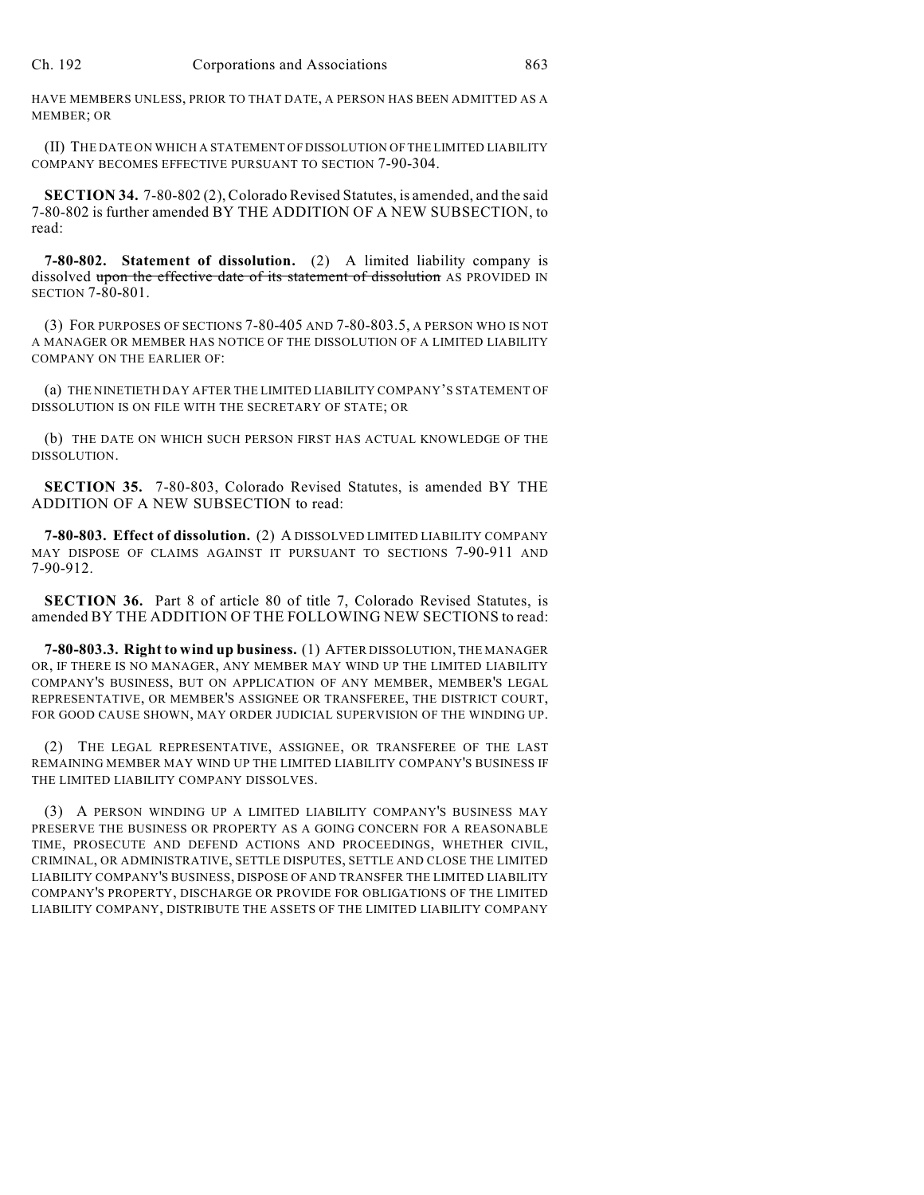HAVE MEMBERS UNLESS, PRIOR TO THAT DATE, A PERSON HAS BEEN ADMITTED AS A MEMBER; OR

(II) THE DATE ON WHICH A STATEMENT OF DISSOLUTION OF THE LIMITED LIABILITY COMPANY BECOMES EFFECTIVE PURSUANT TO SECTION 7-90-304.

**SECTION 34.** 7-80-802 (2), Colorado Revised Statutes, is amended, and the said 7-80-802 is further amended BY THE ADDITION OF A NEW SUBSECTION, to read:

**7-80-802. Statement of dissolution.** (2) A limited liability company is dissolved upon the effective date of its statement of dissolution AS PROVIDED IN SECTION 7-80-801.

(3) FOR PURPOSES OF SECTIONS 7-80-405 AND 7-80-803.5, A PERSON WHO IS NOT A MANAGER OR MEMBER HAS NOTICE OF THE DISSOLUTION OF A LIMITED LIABILITY COMPANY ON THE EARLIER OF:

(a) THE NINETIETH DAY AFTER THE LIMITED LIABILITY COMPANY'S STATEMENT OF DISSOLUTION IS ON FILE WITH THE SECRETARY OF STATE; OR

(b) THE DATE ON WHICH SUCH PERSON FIRST HAS ACTUAL KNOWLEDGE OF THE DISSOLUTION.

**SECTION 35.** 7-80-803, Colorado Revised Statutes, is amended BY THE ADDITION OF A NEW SUBSECTION to read:

**7-80-803. Effect of dissolution.** (2) A DISSOLVED LIMITED LIABILITY COMPANY MAY DISPOSE OF CLAIMS AGAINST IT PURSUANT TO SECTIONS 7-90-911 AND 7-90-912.

**SECTION 36.** Part 8 of article 80 of title 7, Colorado Revised Statutes, is amended BY THE ADDITION OF THE FOLLOWING NEW SECTIONS to read:

**7-80-803.3. Right to wind up business.** (1) AFTER DISSOLUTION, THE MANAGER OR, IF THERE IS NO MANAGER, ANY MEMBER MAY WIND UP THE LIMITED LIABILITY COMPANY'S BUSINESS, BUT ON APPLICATION OF ANY MEMBER, MEMBER'S LEGAL REPRESENTATIVE, OR MEMBER'S ASSIGNEE OR TRANSFEREE, THE DISTRICT COURT, FOR GOOD CAUSE SHOWN, MAY ORDER JUDICIAL SUPERVISION OF THE WINDING UP.

(2) THE LEGAL REPRESENTATIVE, ASSIGNEE, OR TRANSFEREE OF THE LAST REMAINING MEMBER MAY WIND UP THE LIMITED LIABILITY COMPANY'S BUSINESS IF THE LIMITED LIABILITY COMPANY DISSOLVES.

(3) A PERSON WINDING UP A LIMITED LIABILITY COMPANY'S BUSINESS MAY PRESERVE THE BUSINESS OR PROPERTY AS A GOING CONCERN FOR A REASONABLE TIME, PROSECUTE AND DEFEND ACTIONS AND PROCEEDINGS, WHETHER CIVIL, CRIMINAL, OR ADMINISTRATIVE, SETTLE DISPUTES, SETTLE AND CLOSE THE LIMITED LIABILITY COMPANY'S BUSINESS, DISPOSE OF AND TRANSFER THE LIMITED LIABILITY COMPANY'S PROPERTY, DISCHARGE OR PROVIDE FOR OBLIGATIONS OF THE LIMITED LIABILITY COMPANY, DISTRIBUTE THE ASSETS OF THE LIMITED LIABILITY COMPANY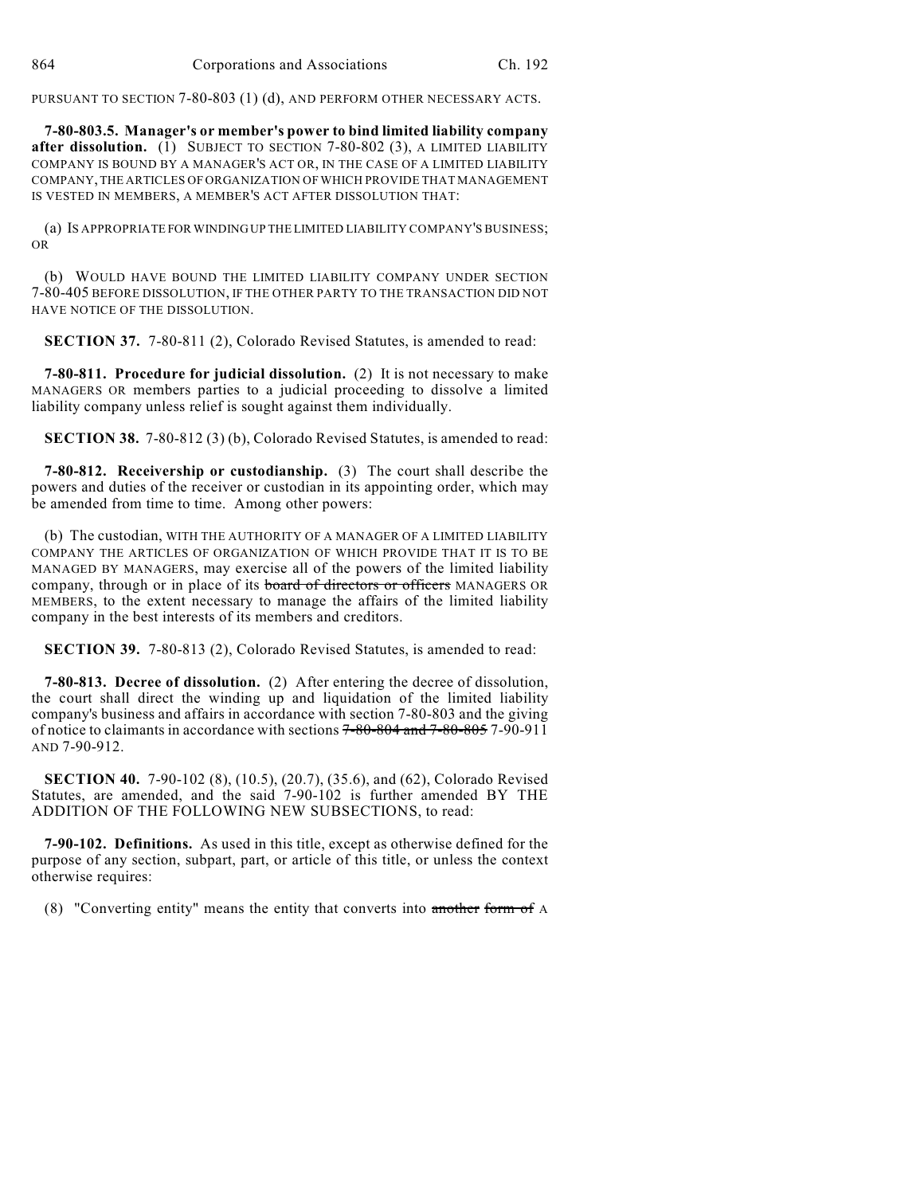PURSUANT TO SECTION 7-80-803 (1) (d), AND PERFORM OTHER NECESSARY ACTS.

**7-80-803.5. Manager's or member's power to bind limited liability company after dissolution.** (1) SUBJECT TO SECTION 7-80-802 (3), A LIMITED LIABILITY COMPANY IS BOUND BY A MANAGER'S ACT OR, IN THE CASE OF A LIMITED LIABILITY COMPANY, THE ARTICLES OF ORGANIZATION OF WHICH PROVIDE THAT MANAGEMENT IS VESTED IN MEMBERS, A MEMBER'S ACT AFTER DISSOLUTION THAT:

(a) IS APPROPRIATE FOR WINDING UP THE LIMITED LIABILITY COMPANY'S BUSINESS; OR

(b) WOULD HAVE BOUND THE LIMITED LIABILITY COMPANY UNDER SECTION 7-80-405 BEFORE DISSOLUTION, IF THE OTHER PARTY TO THE TRANSACTION DID NOT HAVE NOTICE OF THE DISSOLUTION.

**SECTION 37.** 7-80-811 (2), Colorado Revised Statutes, is amended to read:

**7-80-811. Procedure for judicial dissolution.** (2) It is not necessary to make MANAGERS OR members parties to a judicial proceeding to dissolve a limited liability company unless relief is sought against them individually.

**SECTION 38.** 7-80-812 (3) (b), Colorado Revised Statutes, is amended to read:

**7-80-812. Receivership or custodianship.** (3) The court shall describe the powers and duties of the receiver or custodian in its appointing order, which may be amended from time to time. Among other powers:

(b) The custodian, WITH THE AUTHORITY OF A MANAGER OF A LIMITED LIABILITY COMPANY THE ARTICLES OF ORGANIZATION OF WHICH PROVIDE THAT IT IS TO BE MANAGED BY MANAGERS, may exercise all of the powers of the limited liability company, through or in place of its board of directors or officers MANAGERS OR MEMBERS, to the extent necessary to manage the affairs of the limited liability company in the best interests of its members and creditors.

**SECTION 39.** 7-80-813 (2), Colorado Revised Statutes, is amended to read:

**7-80-813. Decree of dissolution.** (2) After entering the decree of dissolution, the court shall direct the winding up and liquidation of the limited liability company's business and affairs in accordance with section 7-80-803 and the giving of notice to claimants in accordance with sections 7-80-804 and 7-80-805 7-90-911 AND 7-90-912.

**SECTION 40.** 7-90-102 (8), (10.5), (20.7), (35.6), and (62), Colorado Revised Statutes, are amended, and the said 7-90-102 is further amended BY THE ADDITION OF THE FOLLOWING NEW SUBSECTIONS, to read:

**7-90-102. Definitions.** As used in this title, except as otherwise defined for the purpose of any section, subpart, part, or article of this title, or unless the context otherwise requires:

(8) "Converting entity" means the entity that converts into another form of A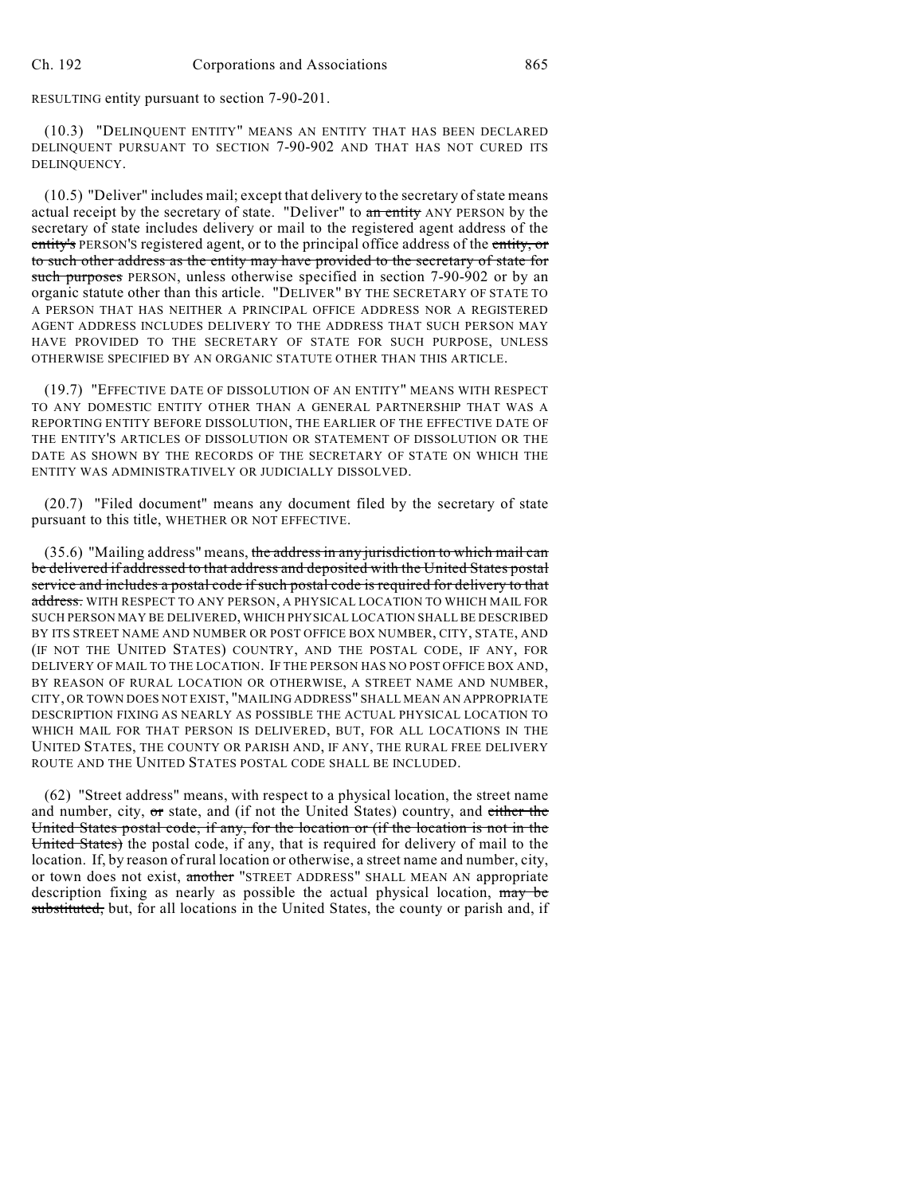RESULTING entity pursuant to section 7-90-201.

(10.3) "DELINQUENT ENTITY" MEANS AN ENTITY THAT HAS BEEN DECLARED DELINQUENT PURSUANT TO SECTION 7-90-902 AND THAT HAS NOT CURED ITS DELINQUENCY.

(10.5) "Deliver" includes mail; except that delivery to the secretary of state means actual receipt by the secretary of state. "Deliver" to an entity ANY PERSON by the secretary of state includes delivery or mail to the registered agent address of the entity's PERSON's registered agent, or to the principal office address of the entity, or to such other address as the entity may have provided to the secretary of state for such purposes PERSON, unless otherwise specified in section 7-90-902 or by an organic statute other than this article. "DELIVER" BY THE SECRETARY OF STATE TO A PERSON THAT HAS NEITHER A PRINCIPAL OFFICE ADDRESS NOR A REGISTERED AGENT ADDRESS INCLUDES DELIVERY TO THE ADDRESS THAT SUCH PERSON MAY HAVE PROVIDED TO THE SECRETARY OF STATE FOR SUCH PURPOSE, UNLESS OTHERWISE SPECIFIED BY AN ORGANIC STATUTE OTHER THAN THIS ARTICLE.

(19.7) "EFFECTIVE DATE OF DISSOLUTION OF AN ENTITY" MEANS WITH RESPECT TO ANY DOMESTIC ENTITY OTHER THAN A GENERAL PARTNERSHIP THAT WAS A REPORTING ENTITY BEFORE DISSOLUTION, THE EARLIER OF THE EFFECTIVE DATE OF THE ENTITY'S ARTICLES OF DISSOLUTION OR STATEMENT OF DISSOLUTION OR THE DATE AS SHOWN BY THE RECORDS OF THE SECRETARY OF STATE ON WHICH THE ENTITY WAS ADMINISTRATIVELY OR JUDICIALLY DISSOLVED.

(20.7) "Filed document" means any document filed by the secretary of state pursuant to this title, WHETHER OR NOT EFFECTIVE.

(35.6) "Mailing address" means, the address in any jurisdiction to which mail can be delivered if addressed to that address and deposited with the United States postal service and includes a postal code if such postal code is required for delivery to that address. WITH RESPECT TO ANY PERSON, A PHYSICAL LOCATION TO WHICH MAIL FOR SUCH PERSON MAY BE DELIVERED, WHICH PHYSICAL LOCATION SHALL BE DESCRIBED BY ITS STREET NAME AND NUMBER OR POST OFFICE BOX NUMBER, CITY, STATE, AND (IF NOT THE UNITED STATES) COUNTRY, AND THE POSTAL CODE, IF ANY, FOR DELIVERY OF MAIL TO THE LOCATION. IF THE PERSON HAS NO POST OFFICE BOX AND, BY REASON OF RURAL LOCATION OR OTHERWISE, A STREET NAME AND NUMBER, CITY, OR TOWN DOES NOT EXIST, "MAILING ADDRESS" SHALL MEAN AN APPROPRIATE DESCRIPTION FIXING AS NEARLY AS POSSIBLE THE ACTUAL PHYSICAL LOCATION TO WHICH MAIL FOR THAT PERSON IS DELIVERED, BUT, FOR ALL LOCATIONS IN THE UNITED STATES, THE COUNTY OR PARISH AND, IF ANY, THE RURAL FREE DELIVERY ROUTE AND THE UNITED STATES POSTAL CODE SHALL BE INCLUDED.

(62) "Street address" means, with respect to a physical location, the street name and number, city, or state, and (if not the United States) country, and either the United States postal code, if any, for the location or (if the location is not in the United States) the postal code, if any, that is required for delivery of mail to the location. If, by reason of rural location or otherwise, a street name and number, city, or town does not exist, another "STREET ADDRESS" SHALL MEAN AN appropriate description fixing as nearly as possible the actual physical location, may be substituted, but, for all locations in the United States, the county or parish and, if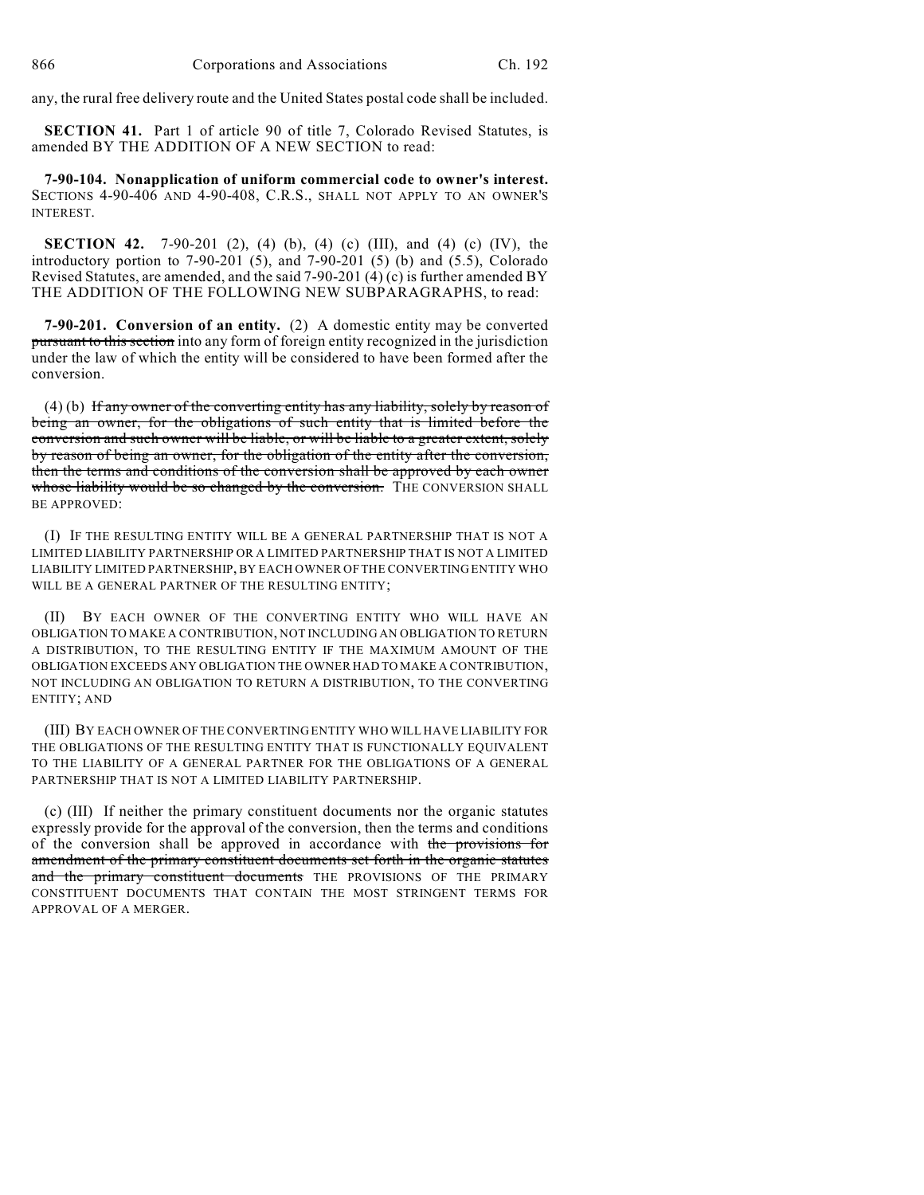any, the rural free delivery route and the United States postal code shall be included.

**SECTION 41.** Part 1 of article 90 of title 7, Colorado Revised Statutes, is amended BY THE ADDITION OF A NEW SECTION to read:

**7-90-104. Nonapplication of uniform commercial code to owner's interest.** SECTIONS 4-90-406 AND 4-90-408, C.R.S., SHALL NOT APPLY TO AN OWNER'S INTEREST.

**SECTION 42.** 7-90-201 (2), (4) (b), (4) (c) (III), and (4) (c) (IV), the introductory portion to 7-90-201 (5), and 7-90-201 (5) (b) and (5.5), Colorado Revised Statutes, are amended, and the said 7-90-201 (4) (c) is further amended BY THE ADDITION OF THE FOLLOWING NEW SUBPARAGRAPHS, to read:

**7-90-201. Conversion of an entity.** (2) A domestic entity may be converted pursuant to this section into any form of foreign entity recognized in the jurisdiction under the law of which the entity will be considered to have been formed after the conversion.

(4) (b) If any owner of the converting entity has any liability, solely by reason of being an owner, for the obligations of such entity that is limited before the conversion and such owner will be liable, or will be liable to a greater extent, solely by reason of being an owner, for the obligation of the entity after the conversion, then the terms and conditions of the conversion shall be approved by each owner whose liability would be so changed by the conversion. THE CONVERSION SHALL BE APPROVED:

(I) IF THE RESULTING ENTITY WILL BE A GENERAL PARTNERSHIP THAT IS NOT A LIMITED LIABILITY PARTNERSHIP OR A LIMITED PARTNERSHIP THAT IS NOT A LIMITED LIABILITY LIMITED PARTNERSHIP, BY EACH OWNER OF THE CONVERTING ENTITY WHO WILL BE A GENERAL PARTNER OF THE RESULTING ENTITY;

(II) BY EACH OWNER OF THE CONVERTING ENTITY WHO WILL HAVE AN OBLIGATION TO MAKE A CONTRIBUTION, NOT INCLUDING AN OBLIGATION TO RETURN A DISTRIBUTION, TO THE RESULTING ENTITY IF THE MAXIMUM AMOUNT OF THE OBLIGATION EXCEEDS ANY OBLIGATION THE OWNER HAD TO MAKE A CONTRIBUTION, NOT INCLUDING AN OBLIGATION TO RETURN A DISTRIBUTION, TO THE CONVERTING ENTITY; AND

(III) BY EACH OWNER OF THE CONVERTING ENTITY WHO WILL HAVE LIABILITY FOR THE OBLIGATIONS OF THE RESULTING ENTITY THAT IS FUNCTIONALLY EQUIVALENT TO THE LIABILITY OF A GENERAL PARTNER FOR THE OBLIGATIONS OF A GENERAL PARTNERSHIP THAT IS NOT A LIMITED LIABILITY PARTNERSHIP.

(c) (III) If neither the primary constituent documents nor the organic statutes expressly provide for the approval of the conversion, then the terms and conditions of the conversion shall be approved in accordance with the provisions for amendment of the primary constituent documents set forth in the organic statutes and the primary constituent documents THE PROVISIONS OF THE PRIMARY CONSTITUENT DOCUMENTS THAT CONTAIN THE MOST STRINGENT TERMS FOR APPROVAL OF A MERGER.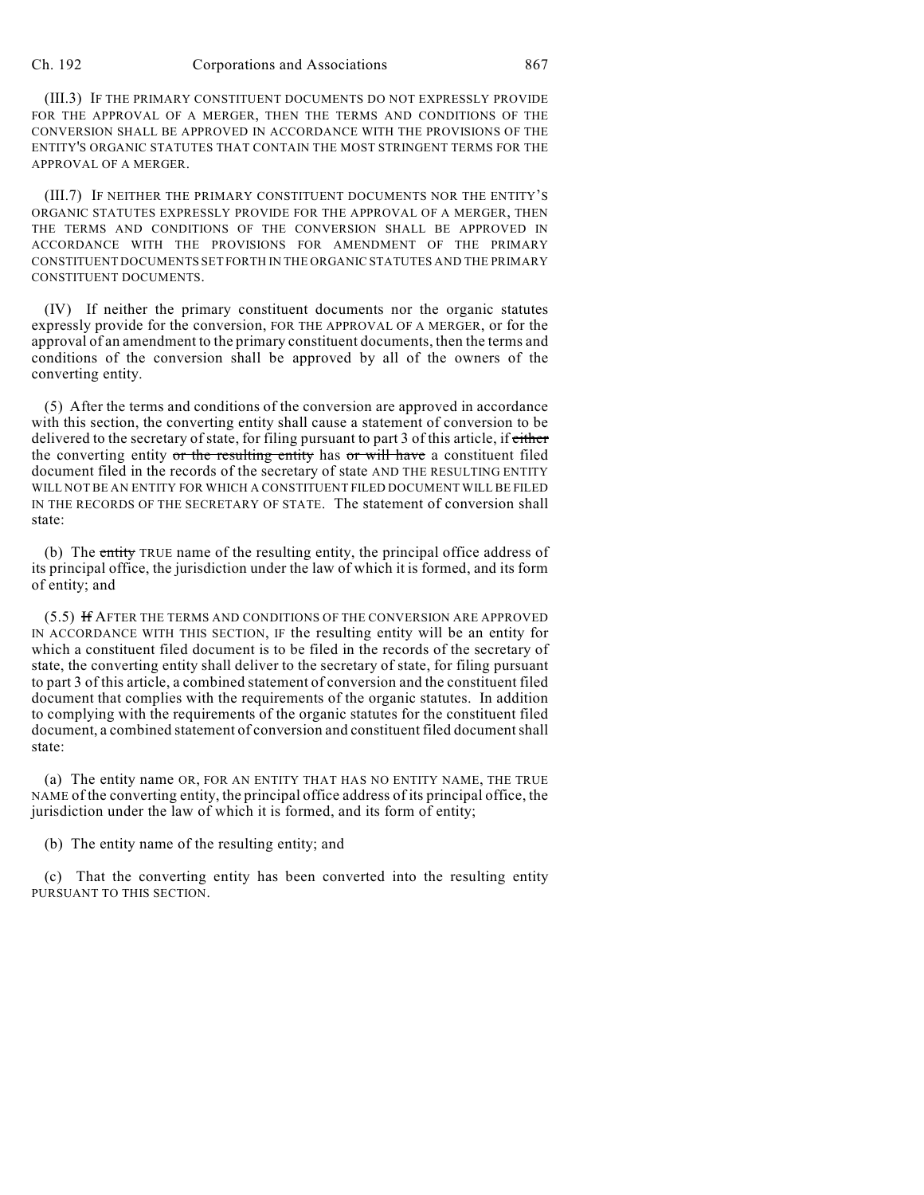(III.3) IF THE PRIMARY CONSTITUENT DOCUMENTS DO NOT EXPRESSLY PROVIDE FOR THE APPROVAL OF A MERGER, THEN THE TERMS AND CONDITIONS OF THE CONVERSION SHALL BE APPROVED IN ACCORDANCE WITH THE PROVISIONS OF THE ENTITY'S ORGANIC STATUTES THAT CONTAIN THE MOST STRINGENT TERMS FOR THE APPROVAL OF A MERGER.

(III.7) IF NEITHER THE PRIMARY CONSTITUENT DOCUMENTS NOR THE ENTITY'S ORGANIC STATUTES EXPRESSLY PROVIDE FOR THE APPROVAL OF A MERGER, THEN THE TERMS AND CONDITIONS OF THE CONVERSION SHALL BE APPROVED IN ACCORDANCE WITH THE PROVISIONS FOR AMENDMENT OF THE PRIMARY CONSTITUENT DOCUMENTS SET FORTH IN THE ORGANIC STATUTES AND THE PRIMARY CONSTITUENT DOCUMENTS.

(IV) If neither the primary constituent documents nor the organic statutes expressly provide for the conversion, FOR THE APPROVAL OF A MERGER, or for the approval of an amendment to the primary constituent documents, then the terms and conditions of the conversion shall be approved by all of the owners of the converting entity.

(5) After the terms and conditions of the conversion are approved in accordance with this section, the converting entity shall cause a statement of conversion to be delivered to the secretary of state, for filing pursuant to part 3 of this article, if either the converting entity or the resulting entity has or will have a constituent filed document filed in the records of the secretary of state AND THE RESULTING ENTITY WILL NOT BE AN ENTITY FOR WHICH A CONSTITUENT FILED DOCUMENT WILL BE FILED IN THE RECORDS OF THE SECRETARY OF STATE. The statement of conversion shall state:

(b) The entity TRUE name of the resulting entity, the principal office address of its principal office, the jurisdiction under the law of which it is formed, and its form of entity; and

(5.5) If AFTER THE TERMS AND CONDITIONS OF THE CONVERSION ARE APPROVED IN ACCORDANCE WITH THIS SECTION, IF the resulting entity will be an entity for which a constituent filed document is to be filed in the records of the secretary of state, the converting entity shall deliver to the secretary of state, for filing pursuant to part 3 of this article, a combined statement of conversion and the constituent filed document that complies with the requirements of the organic statutes. In addition to complying with the requirements of the organic statutes for the constituent filed document, a combined statement of conversion and constituent filed document shall state:

(a) The entity name OR, FOR AN ENTITY THAT HAS NO ENTITY NAME, THE TRUE NAME of the converting entity, the principal office address of its principal office, the jurisdiction under the law of which it is formed, and its form of entity;

(b) The entity name of the resulting entity; and

(c) That the converting entity has been converted into the resulting entity PURSUANT TO THIS SECTION.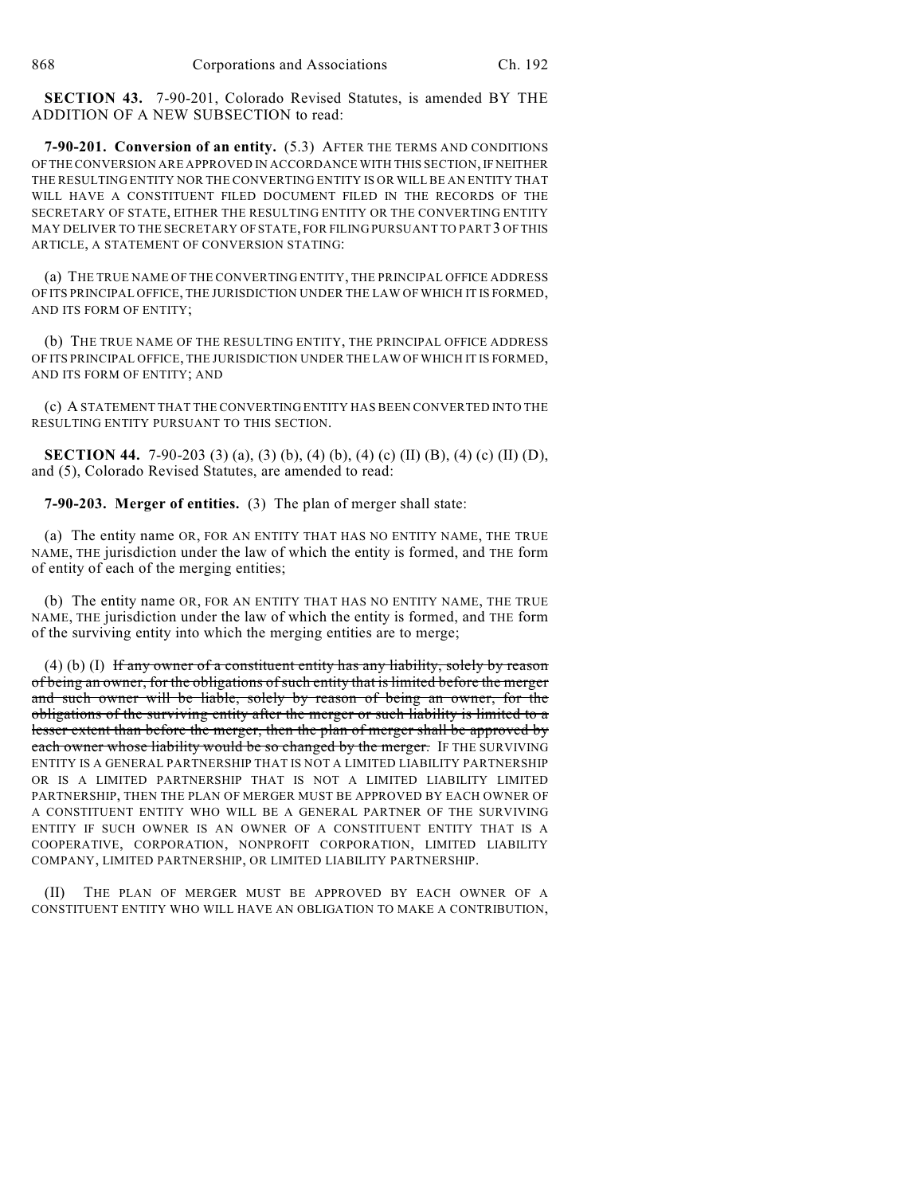**SECTION 43.** 7-90-201, Colorado Revised Statutes, is amended BY THE ADDITION OF A NEW SUBSECTION to read:

**7-90-201. Conversion of an entity.** (5.3) AFTER THE TERMS AND CONDITIONS OF THE CONVERSION ARE APPROVED IN ACCORDANCE WITH THIS SECTION, IF NEITHER THE RESULTING ENTITY NOR THE CONVERTING ENTITY IS OR WILL BE AN ENTITY THAT WILL HAVE A CONSTITUENT FILED DOCUMENT FILED IN THE RECORDS OF THE SECRETARY OF STATE, EITHER THE RESULTING ENTITY OR THE CONVERTING ENTITY MAY DELIVER TO THE SECRETARY OF STATE, FOR FILING PURSUANT TO PART 3 OF THIS ARTICLE, A STATEMENT OF CONVERSION STATING:

(a) THE TRUE NAME OF THE CONVERTING ENTITY, THE PRINCIPAL OFFICE ADDRESS OF ITS PRINCIPAL OFFICE, THE JURISDICTION UNDER THE LAW OF WHICH IT IS FORMED, AND ITS FORM OF ENTITY;

(b) THE TRUE NAME OF THE RESULTING ENTITY, THE PRINCIPAL OFFICE ADDRESS OF ITS PRINCIPAL OFFICE, THE JURISDICTION UNDER THE LAW OF WHICH IT IS FORMED, AND ITS FORM OF ENTITY; AND

(c) A STATEMENT THAT THE CONVERTING ENTITY HAS BEEN CONVERTED INTO THE RESULTING ENTITY PURSUANT TO THIS SECTION.

**SECTION 44.** 7-90-203 (3) (a), (3) (b), (4) (b), (4) (c) (II) (B), (4) (c) (II) (D), and (5), Colorado Revised Statutes, are amended to read:

**7-90-203. Merger of entities.** (3) The plan of merger shall state:

(a) The entity name OR, FOR AN ENTITY THAT HAS NO ENTITY NAME, THE TRUE NAME, THE jurisdiction under the law of which the entity is formed, and THE form of entity of each of the merging entities;

(b) The entity name OR, FOR AN ENTITY THAT HAS NO ENTITY NAME, THE TRUE NAME, THE jurisdiction under the law of which the entity is formed, and THE form of the surviving entity into which the merging entities are to merge;

 $(4)$  (b) (I) If any owner of a constituent entity has any liability, solely by reason of being an owner, for the obligations ofsuch entity that is limited before the merger and such owner will be liable, solely by reason of being an owner, for the obligations of the surviving entity after the merger or such liability is limited to a lesser extent than before the merger, then the plan of merger shall be approved by each owner whose liability would be so changed by the merger. IF THE SURVIVING ENTITY IS A GENERAL PARTNERSHIP THAT IS NOT A LIMITED LIABILITY PARTNERSHIP OR IS A LIMITED PARTNERSHIP THAT IS NOT A LIMITED LIABILITY LIMITED PARTNERSHIP, THEN THE PLAN OF MERGER MUST BE APPROVED BY EACH OWNER OF A CONSTITUENT ENTITY WHO WILL BE A GENERAL PARTNER OF THE SURVIVING ENTITY IF SUCH OWNER IS AN OWNER OF A CONSTITUENT ENTITY THAT IS A COOPERATIVE, CORPORATION, NONPROFIT CORPORATION, LIMITED LIABILITY COMPANY, LIMITED PARTNERSHIP, OR LIMITED LIABILITY PARTNERSHIP.

(II) THE PLAN OF MERGER MUST BE APPROVED BY EACH OWNER OF A CONSTITUENT ENTITY WHO WILL HAVE AN OBLIGATION TO MAKE A CONTRIBUTION,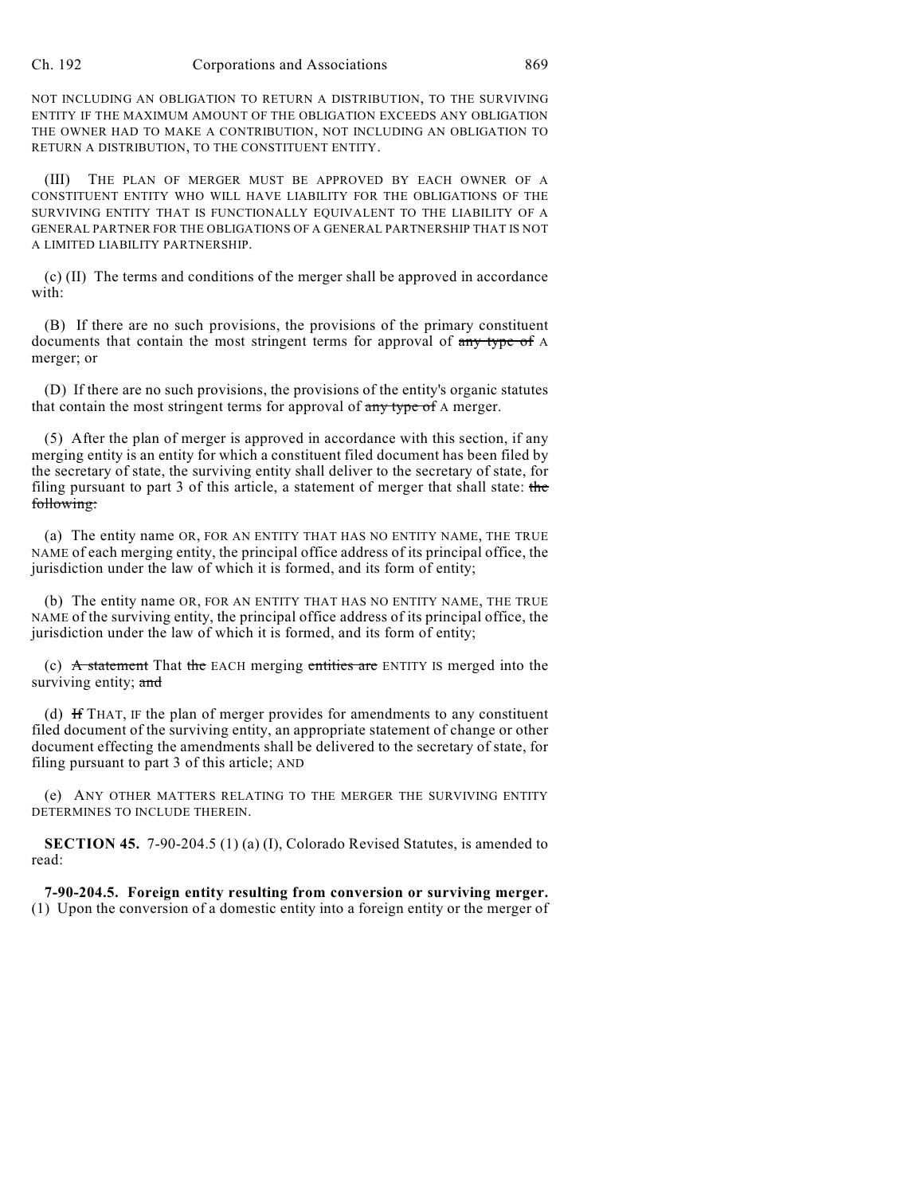NOT INCLUDING AN OBLIGATION TO RETURN A DISTRIBUTION, TO THE SURVIVING ENTITY IF THE MAXIMUM AMOUNT OF THE OBLIGATION EXCEEDS ANY OBLIGATION THE OWNER HAD TO MAKE A CONTRIBUTION, NOT INCLUDING AN OBLIGATION TO RETURN A DISTRIBUTION, TO THE CONSTITUENT ENTITY.

(III) THE PLAN OF MERGER MUST BE APPROVED BY EACH OWNER OF A CONSTITUENT ENTITY WHO WILL HAVE LIABILITY FOR THE OBLIGATIONS OF THE SURVIVING ENTITY THAT IS FUNCTIONALLY EQUIVALENT TO THE LIABILITY OF A GENERAL PARTNER FOR THE OBLIGATIONS OF A GENERAL PARTNERSHIP THAT IS NOT A LIMITED LIABILITY PARTNERSHIP.

(c) (II) The terms and conditions of the merger shall be approved in accordance with:

(B) If there are no such provisions, the provisions of the primary constituent documents that contain the most stringent terms for approval of any type of A merger; or

(D) If there are no such provisions, the provisions of the entity's organic statutes that contain the most stringent terms for approval of any type of A merger.

(5) After the plan of merger is approved in accordance with this section, if any merging entity is an entity for which a constituent filed document has been filed by the secretary of state, the surviving entity shall deliver to the secretary of state, for filing pursuant to part 3 of this article, a statement of merger that shall state: the following:

(a) The entity name OR, FOR AN ENTITY THAT HAS NO ENTITY NAME, THE TRUE NAME of each merging entity, the principal office address of its principal office, the jurisdiction under the law of which it is formed, and its form of entity;

(b) The entity name OR, FOR AN ENTITY THAT HAS NO ENTITY NAME, THE TRUE NAME of the surviving entity, the principal office address of its principal office, the jurisdiction under the law of which it is formed, and its form of entity;

(c) A statement That the EACH merging entities are ENTITY IS merged into the surviving entity; and

(d) If THAT, IF the plan of merger provides for amendments to any constituent filed document of the surviving entity, an appropriate statement of change or other document effecting the amendments shall be delivered to the secretary of state, for filing pursuant to part 3 of this article; AND

(e) ANY OTHER MATTERS RELATING TO THE MERGER THE SURVIVING ENTITY DETERMINES TO INCLUDE THEREIN.

**SECTION 45.** 7-90-204.5 (1) (a) (I), Colorado Revised Statutes, is amended to read:

**7-90-204.5. Foreign entity resulting from conversion or surviving merger.** (1) Upon the conversion of a domestic entity into a foreign entity or the merger of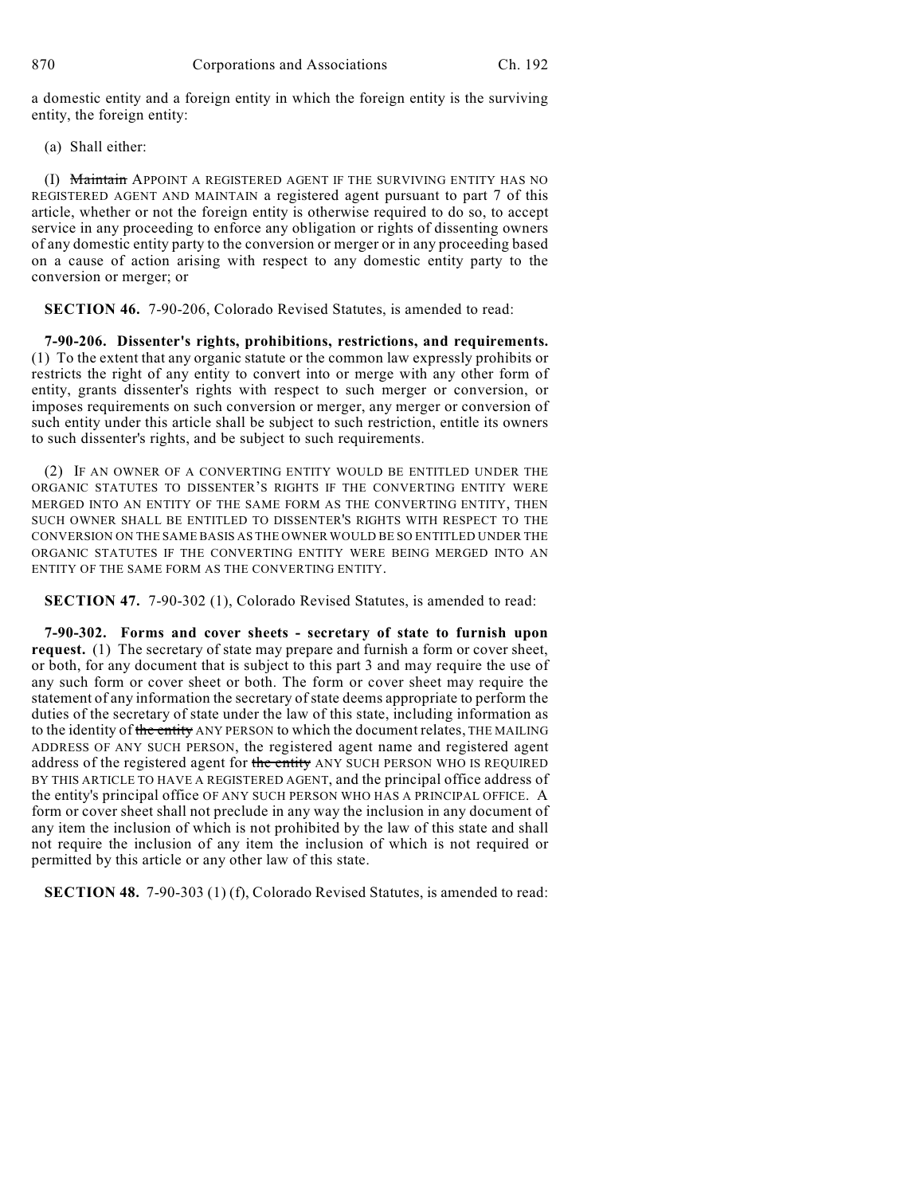a domestic entity and a foreign entity in which the foreign entity is the surviving entity, the foreign entity:

(a) Shall either:

(I) Maintain APPOINT A REGISTERED AGENT IF THE SURVIVING ENTITY HAS NO REGISTERED AGENT AND MAINTAIN a registered agent pursuant to part 7 of this article, whether or not the foreign entity is otherwise required to do so, to accept service in any proceeding to enforce any obligation or rights of dissenting owners of any domestic entity party to the conversion or merger or in any proceeding based on a cause of action arising with respect to any domestic entity party to the conversion or merger; or

**SECTION 46.** 7-90-206, Colorado Revised Statutes, is amended to read:

**7-90-206. Dissenter's rights, prohibitions, restrictions, and requirements.** (1) To the extent that any organic statute or the common law expressly prohibits or restricts the right of any entity to convert into or merge with any other form of entity, grants dissenter's rights with respect to such merger or conversion, or imposes requirements on such conversion or merger, any merger or conversion of such entity under this article shall be subject to such restriction, entitle its owners to such dissenter's rights, and be subject to such requirements.

(2) IF AN OWNER OF A CONVERTING ENTITY WOULD BE ENTITLED UNDER THE ORGANIC STATUTES TO DISSENTER'S RIGHTS IF THE CONVERTING ENTITY WERE MERGED INTO AN ENTITY OF THE SAME FORM AS THE CONVERTING ENTITY, THEN SUCH OWNER SHALL BE ENTITLED TO DISSENTER'S RIGHTS WITH RESPECT TO THE CONVERSION ON THE SAME BASIS AS THE OWNER WOULD BE SO ENTITLED UNDER THE ORGANIC STATUTES IF THE CONVERTING ENTITY WERE BEING MERGED INTO AN ENTITY OF THE SAME FORM AS THE CONVERTING ENTITY.

**SECTION 47.** 7-90-302 (1), Colorado Revised Statutes, is amended to read:

**7-90-302. Forms and cover sheets - secretary of state to furnish upon request.** (1) The secretary of state may prepare and furnish a form or cover sheet, or both, for any document that is subject to this part 3 and may require the use of any such form or cover sheet or both. The form or cover sheet may require the statement of any information the secretary of state deems appropriate to perform the duties of the secretary of state under the law of this state, including information as to the identity of the entity ANY PERSON to which the document relates, THE MAILING ADDRESS OF ANY SUCH PERSON, the registered agent name and registered agent address of the registered agent for the entity ANY SUCH PERSON WHO IS REQUIRED BY THIS ARTICLE TO HAVE A REGISTERED AGENT, and the principal office address of the entity's principal office OF ANY SUCH PERSON WHO HAS A PRINCIPAL OFFICE. A form or cover sheet shall not preclude in any way the inclusion in any document of any item the inclusion of which is not prohibited by the law of this state and shall not require the inclusion of any item the inclusion of which is not required or permitted by this article or any other law of this state.

**SECTION 48.** 7-90-303 (1) (f), Colorado Revised Statutes, is amended to read: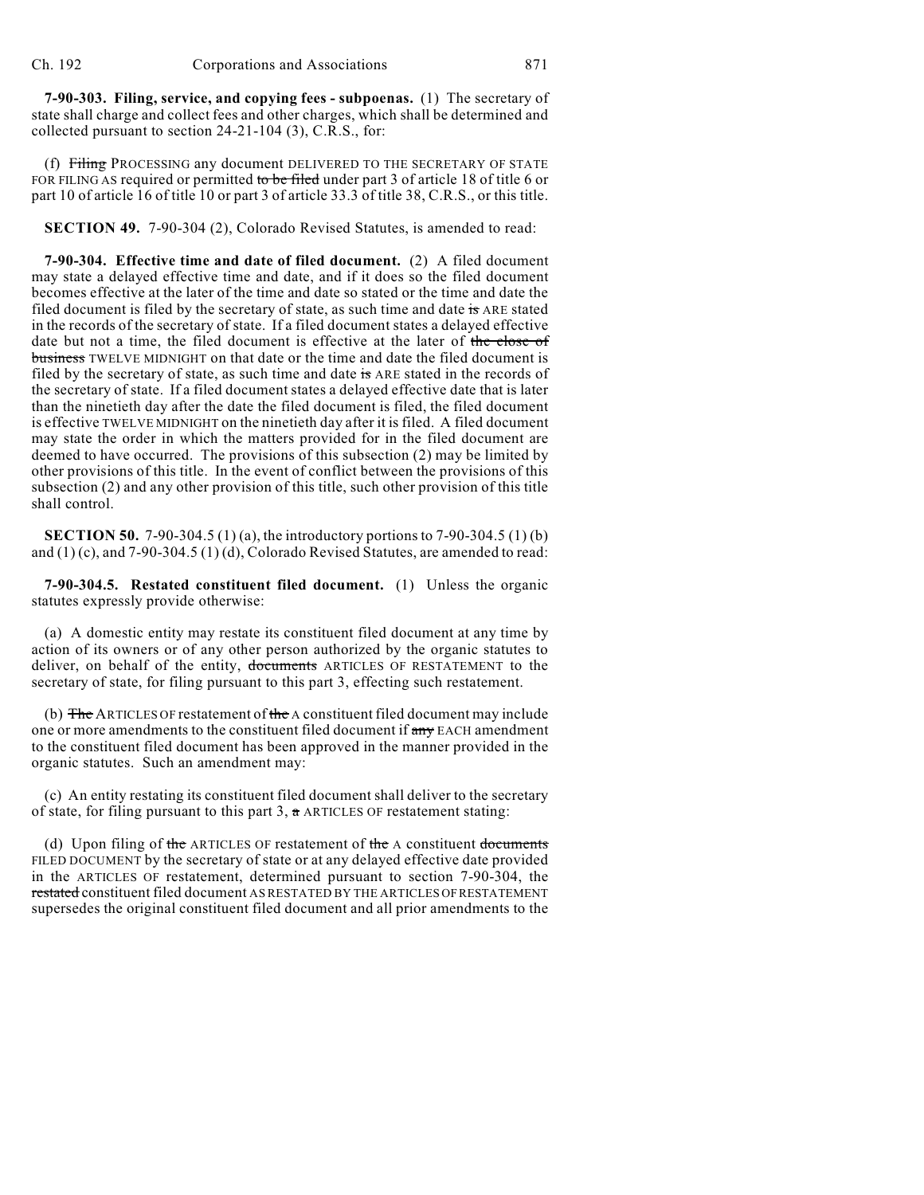**7-90-303. Filing, service, and copying fees - subpoenas.** (1) The secretary of state shall charge and collect fees and other charges, which shall be determined and collected pursuant to section 24-21-104 (3), C.R.S., for:

(f) Filing PROCESSING any document DELIVERED TO THE SECRETARY OF STATE FOR FILING AS required or permitted to be filed under part 3 of article 18 of title 6 or part 10 of article 16 of title 10 or part 3 of article 33.3 of title 38, C.R.S., or this title.

**SECTION 49.** 7-90-304 (2), Colorado Revised Statutes, is amended to read:

**7-90-304. Effective time and date of filed document.** (2) A filed document may state a delayed effective time and date, and if it does so the filed document becomes effective at the later of the time and date so stated or the time and date the filed document is filed by the secretary of state, as such time and date is ARE stated in the records of the secretary of state. If a filed document states a delayed effective date but not a time, the filed document is effective at the later of the close of business TWELVE MIDNIGHT on that date or the time and date the filed document is filed by the secretary of state, as such time and date is ARE stated in the records of the secretary of state. If a filed document states a delayed effective date that is later than the ninetieth day after the date the filed document is filed, the filed document is effective TWELVE MIDNIGHT on the ninetieth day after it is filed. A filed document may state the order in which the matters provided for in the filed document are deemed to have occurred. The provisions of this subsection (2) may be limited by other provisions of this title. In the event of conflict between the provisions of this subsection (2) and any other provision of this title, such other provision of this title shall control.

**SECTION 50.** 7-90-304.5 (1) (a), the introductory portions to 7-90-304.5 (1) (b) and (1) (c), and 7-90-304.5 (1) (d), Colorado Revised Statutes, are amended to read:

**7-90-304.5. Restated constituent filed document.** (1) Unless the organic statutes expressly provide otherwise:

(a) A domestic entity may restate its constituent filed document at any time by action of its owners or of any other person authorized by the organic statutes to deliver, on behalf of the entity, documents ARTICLES OF RESTATEMENT to the secretary of state, for filing pursuant to this part 3, effecting such restatement.

(b) The ARTICLES OF restatement of the A constituent filed document may include one or more amendments to the constituent filed document if any EACH amendment to the constituent filed document has been approved in the manner provided in the organic statutes. Such an amendment may:

(c) An entity restating its constituent filed document shall deliver to the secretary of state, for filing pursuant to this part  $3$ ,  $\alpha$  ARTICLES OF restatement stating:

(d) Upon filing of the ARTICLES OF restatement of the A constituent documents FILED DOCUMENT by the secretary of state or at any delayed effective date provided in the ARTICLES OF restatement, determined pursuant to section 7-90-304, the restated constituent filed document AS RESTATED BY THE ARTICLES OF RESTATEMENT supersedes the original constituent filed document and all prior amendments to the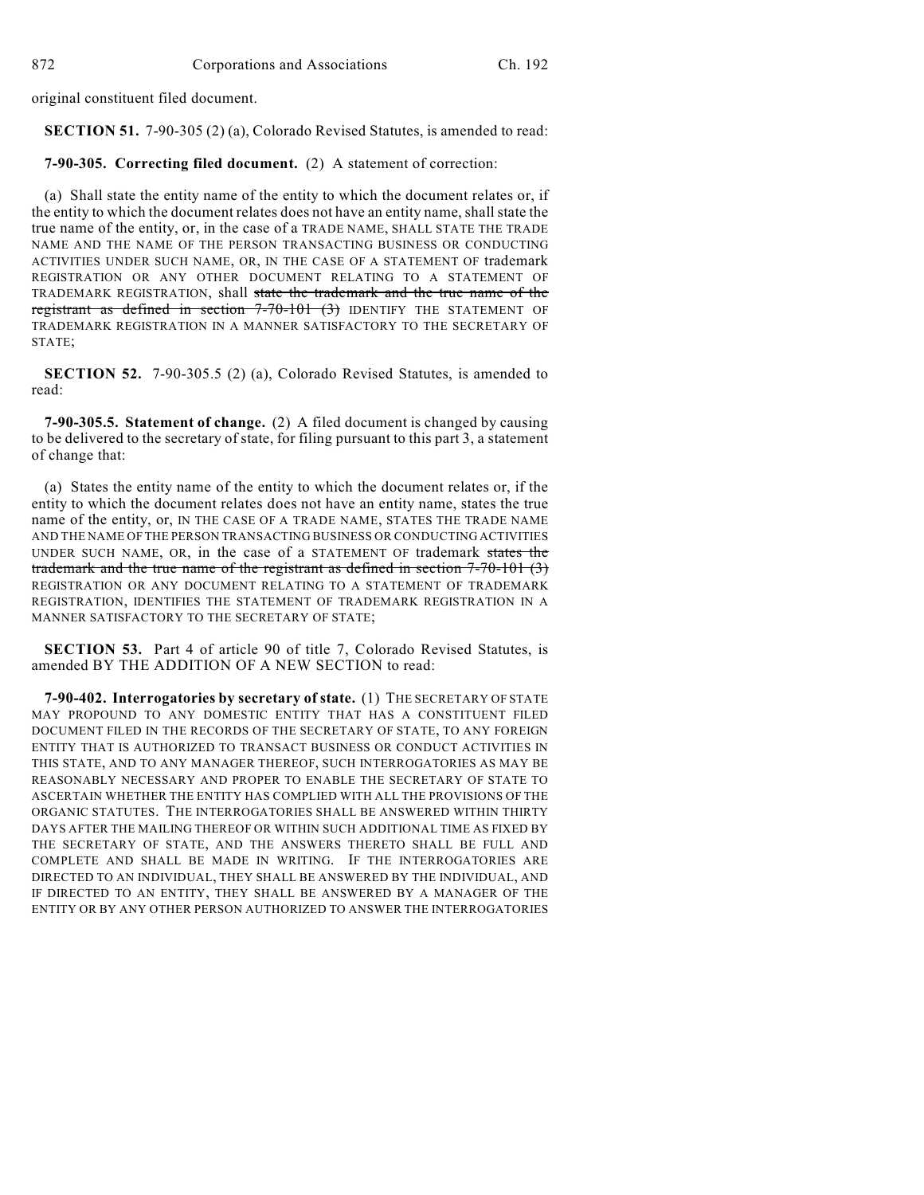original constituent filed document.

**SECTION 51.** 7-90-305 (2) (a), Colorado Revised Statutes, is amended to read:

**7-90-305. Correcting filed document.** (2) A statement of correction:

(a) Shall state the entity name of the entity to which the document relates or, if the entity to which the document relates does not have an entity name, shall state the true name of the entity, or, in the case of a TRADE NAME, SHALL STATE THE TRADE NAME AND THE NAME OF THE PERSON TRANSACTING BUSINESS OR CONDUCTING ACTIVITIES UNDER SUCH NAME, OR, IN THE CASE OF A STATEMENT OF trademark REGISTRATION OR ANY OTHER DOCUMENT RELATING TO A STATEMENT OF TRADEMARK REGISTRATION, shall state the trademark and the true name of the registrant as defined in section 7-70-101 (3) IDENTIFY THE STATEMENT OF TRADEMARK REGISTRATION IN A MANNER SATISFACTORY TO THE SECRETARY OF STATE;

**SECTION 52.** 7-90-305.5 (2) (a), Colorado Revised Statutes, is amended to read:

**7-90-305.5. Statement of change.** (2) A filed document is changed by causing to be delivered to the secretary of state, for filing pursuant to this part 3, a statement of change that:

(a) States the entity name of the entity to which the document relates or, if the entity to which the document relates does not have an entity name, states the true name of the entity, or, IN THE CASE OF A TRADE NAME, STATES THE TRADE NAME AND THE NAME OF THE PERSON TRANSACTING BUSINESS OR CONDUCTING ACTIVITIES UNDER SUCH NAME, OR, in the case of a STATEMENT OF trademark states the trademark and the true name of the registrant as defined in section 7-70-101 (3) REGISTRATION OR ANY DOCUMENT RELATING TO A STATEMENT OF TRADEMARK REGISTRATION, IDENTIFIES THE STATEMENT OF TRADEMARK REGISTRATION IN A MANNER SATISFACTORY TO THE SECRETARY OF STATE;

**SECTION 53.** Part 4 of article 90 of title 7, Colorado Revised Statutes, is amended BY THE ADDITION OF A NEW SECTION to read:

**7-90-402. Interrogatories by secretary of state.** (1) THE SECRETARY OF STATE MAY PROPOUND TO ANY DOMESTIC ENTITY THAT HAS A CONSTITUENT FILED DOCUMENT FILED IN THE RECORDS OF THE SECRETARY OF STATE, TO ANY FOREIGN ENTITY THAT IS AUTHORIZED TO TRANSACT BUSINESS OR CONDUCT ACTIVITIES IN THIS STATE, AND TO ANY MANAGER THEREOF, SUCH INTERROGATORIES AS MAY BE REASONABLY NECESSARY AND PROPER TO ENABLE THE SECRETARY OF STATE TO ASCERTAIN WHETHER THE ENTITY HAS COMPLIED WITH ALL THE PROVISIONS OF THE ORGANIC STATUTES. THE INTERROGATORIES SHALL BE ANSWERED WITHIN THIRTY DAYS AFTER THE MAILING THEREOF OR WITHIN SUCH ADDITIONAL TIME AS FIXED BY THE SECRETARY OF STATE, AND THE ANSWERS THERETO SHALL BE FULL AND COMPLETE AND SHALL BE MADE IN WRITING. IF THE INTERROGATORIES ARE DIRECTED TO AN INDIVIDUAL, THEY SHALL BE ANSWERED BY THE INDIVIDUAL, AND IF DIRECTED TO AN ENTITY, THEY SHALL BE ANSWERED BY A MANAGER OF THE ENTITY OR BY ANY OTHER PERSON AUTHORIZED TO ANSWER THE INTERROGATORIES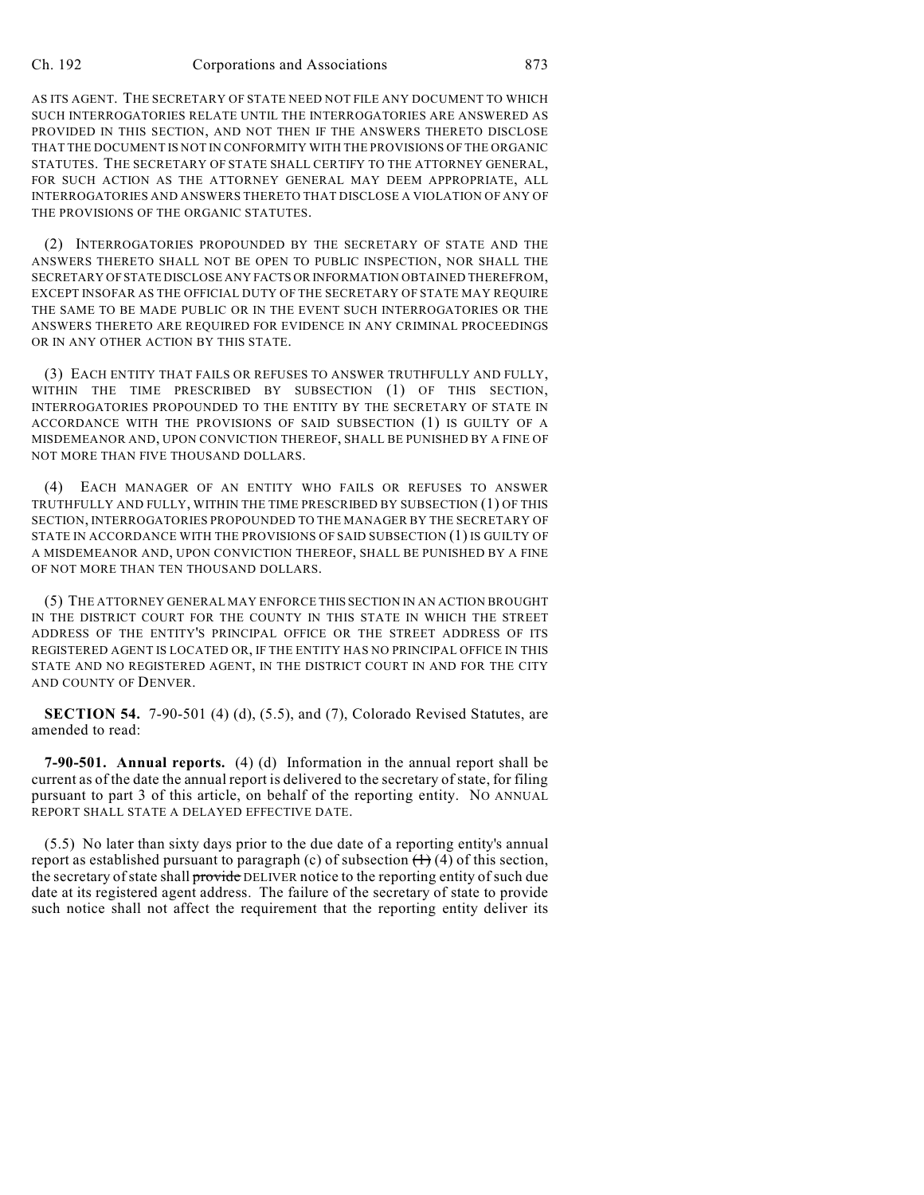AS ITS AGENT. THE SECRETARY OF STATE NEED NOT FILE ANY DOCUMENT TO WHICH SUCH INTERROGATORIES RELATE UNTIL THE INTERROGATORIES ARE ANSWERED AS PROVIDED IN THIS SECTION, AND NOT THEN IF THE ANSWERS THERETO DISCLOSE THAT THE DOCUMENT IS NOT IN CONFORMITY WITH THE PROVISIONS OF THE ORGANIC STATUTES. THE SECRETARY OF STATE SHALL CERTIFY TO THE ATTORNEY GENERAL, FOR SUCH ACTION AS THE ATTORNEY GENERAL MAY DEEM APPROPRIATE, ALL INTERROGATORIES AND ANSWERS THERETO THAT DISCLOSE A VIOLATION OF ANY OF THE PROVISIONS OF THE ORGANIC STATUTES.

(2) INTERROGATORIES PROPOUNDED BY THE SECRETARY OF STATE AND THE ANSWERS THERETO SHALL NOT BE OPEN TO PUBLIC INSPECTION, NOR SHALL THE SECRETARY OF STATE DISCLOSE ANY FACTS OR INFORMATION OBTAINED THEREFROM, EXCEPT INSOFAR AS THE OFFICIAL DUTY OF THE SECRETARY OF STATE MAY REQUIRE THE SAME TO BE MADE PUBLIC OR IN THE EVENT SUCH INTERROGATORIES OR THE ANSWERS THERETO ARE REQUIRED FOR EVIDENCE IN ANY CRIMINAL PROCEEDINGS OR IN ANY OTHER ACTION BY THIS STATE.

(3) EACH ENTITY THAT FAILS OR REFUSES TO ANSWER TRUTHFULLY AND FULLY, WITHIN THE TIME PRESCRIBED BY SUBSECTION (1) OF THIS SECTION, INTERROGATORIES PROPOUNDED TO THE ENTITY BY THE SECRETARY OF STATE IN ACCORDANCE WITH THE PROVISIONS OF SAID SUBSECTION (1) IS GUILTY OF A MISDEMEANOR AND, UPON CONVICTION THEREOF, SHALL BE PUNISHED BY A FINE OF NOT MORE THAN FIVE THOUSAND DOLLARS.

(4) EACH MANAGER OF AN ENTITY WHO FAILS OR REFUSES TO ANSWER TRUTHFULLY AND FULLY, WITHIN THE TIME PRESCRIBED BY SUBSECTION (1) OF THIS SECTION, INTERROGATORIES PROPOUNDED TO THE MANAGER BY THE SECRETARY OF STATE IN ACCORDANCE WITH THE PROVISIONS OF SAID SUBSECTION (1) IS GUILTY OF A MISDEMEANOR AND, UPON CONVICTION THEREOF, SHALL BE PUNISHED BY A FINE OF NOT MORE THAN TEN THOUSAND DOLLARS.

(5) THE ATTORNEY GENERAL MAY ENFORCE THIS SECTION IN AN ACTION BROUGHT IN THE DISTRICT COURT FOR THE COUNTY IN THIS STATE IN WHICH THE STREET ADDRESS OF THE ENTITY'S PRINCIPAL OFFICE OR THE STREET ADDRESS OF ITS REGISTERED AGENT IS LOCATED OR, IF THE ENTITY HAS NO PRINCIPAL OFFICE IN THIS STATE AND NO REGISTERED AGENT, IN THE DISTRICT COURT IN AND FOR THE CITY AND COUNTY OF DENVER.

**SECTION 54.** 7-90-501 (4) (d), (5.5), and (7), Colorado Revised Statutes, are amended to read:

**7-90-501. Annual reports.** (4) (d) Information in the annual report shall be current as of the date the annual report is delivered to the secretary of state, for filing pursuant to part 3 of this article, on behalf of the reporting entity. NO ANNUAL REPORT SHALL STATE A DELAYED EFFECTIVE DATE.

(5.5) No later than sixty days prior to the due date of a reporting entity's annual report as established pursuant to paragraph (c) of subsection  $(1)(4)$  of this section, the secretary of state shall provide DELIVER notice to the reporting entity of such due date at its registered agent address. The failure of the secretary of state to provide such notice shall not affect the requirement that the reporting entity deliver its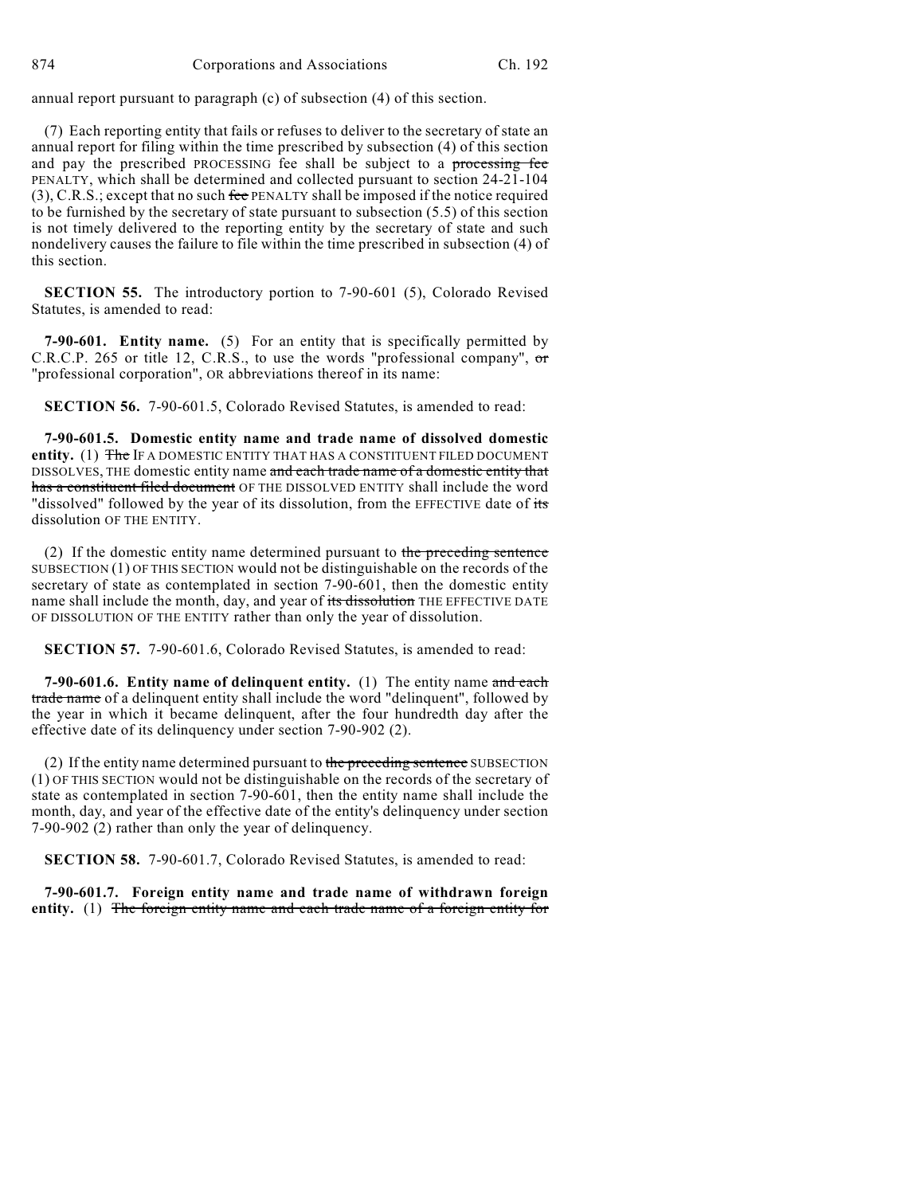annual report pursuant to paragraph (c) of subsection (4) of this section.

(7) Each reporting entity that fails or refuses to deliver to the secretary of state an annual report for filing within the time prescribed by subsection (4) of this section and pay the prescribed PROCESSING fee shall be subject to a processing fee PENALTY, which shall be determined and collected pursuant to section 24-21-104  $(3)$ , C.R.S.; except that no such fee PENALTY shall be imposed if the notice required to be furnished by the secretary of state pursuant to subsection (5.5) of this section is not timely delivered to the reporting entity by the secretary of state and such nondelivery causes the failure to file within the time prescribed in subsection (4) of this section.

**SECTION 55.** The introductory portion to 7-90-601 (5), Colorado Revised Statutes, is amended to read:

**7-90-601. Entity name.** (5) For an entity that is specifically permitted by C.R.C.P. 265 or title 12, C.R.S., to use the words "professional company", or "professional corporation", OR abbreviations thereof in its name:

**SECTION 56.** 7-90-601.5, Colorado Revised Statutes, is amended to read:

**7-90-601.5. Domestic entity name and trade name of dissolved domestic entity.** (1) The IF A DOMESTIC ENTITY THAT HAS A CONSTITUENT FILED DOCUMENT DISSOLVES, THE domestic entity name and each trade name of a domestic entity that has a constituent filed document OF THE DISSOLVED ENTITY shall include the word "dissolved" followed by the year of its dissolution, from the EFFECTIVE date of its dissolution OF THE ENTITY.

(2) If the domestic entity name determined pursuant to the preceding sentence SUBSECTION (1) OF THIS SECTION would not be distinguishable on the records of the secretary of state as contemplated in section 7-90-601, then the domestic entity name shall include the month, day, and year of its dissolution THE EFFECTIVE DATE OF DISSOLUTION OF THE ENTITY rather than only the year of dissolution.

**SECTION 57.** 7-90-601.6, Colorado Revised Statutes, is amended to read:

**7-90-601.6. Entity name of delinquent entity.** (1) The entity name and each trade name of a delinquent entity shall include the word "delinquent", followed by the year in which it became delinquent, after the four hundredth day after the effective date of its delinquency under section 7-90-902 (2).

(2) If the entity name determined pursuant to the preceding sentence SUBSECTION (1) OF THIS SECTION would not be distinguishable on the records of the secretary of state as contemplated in section 7-90-601, then the entity name shall include the month, day, and year of the effective date of the entity's delinquency under section 7-90-902 (2) rather than only the year of delinquency.

**SECTION 58.** 7-90-601.7, Colorado Revised Statutes, is amended to read:

**7-90-601.7. Foreign entity name and trade name of withdrawn foreign entity.** (1) The foreign entity name and each trade name of a foreign entity for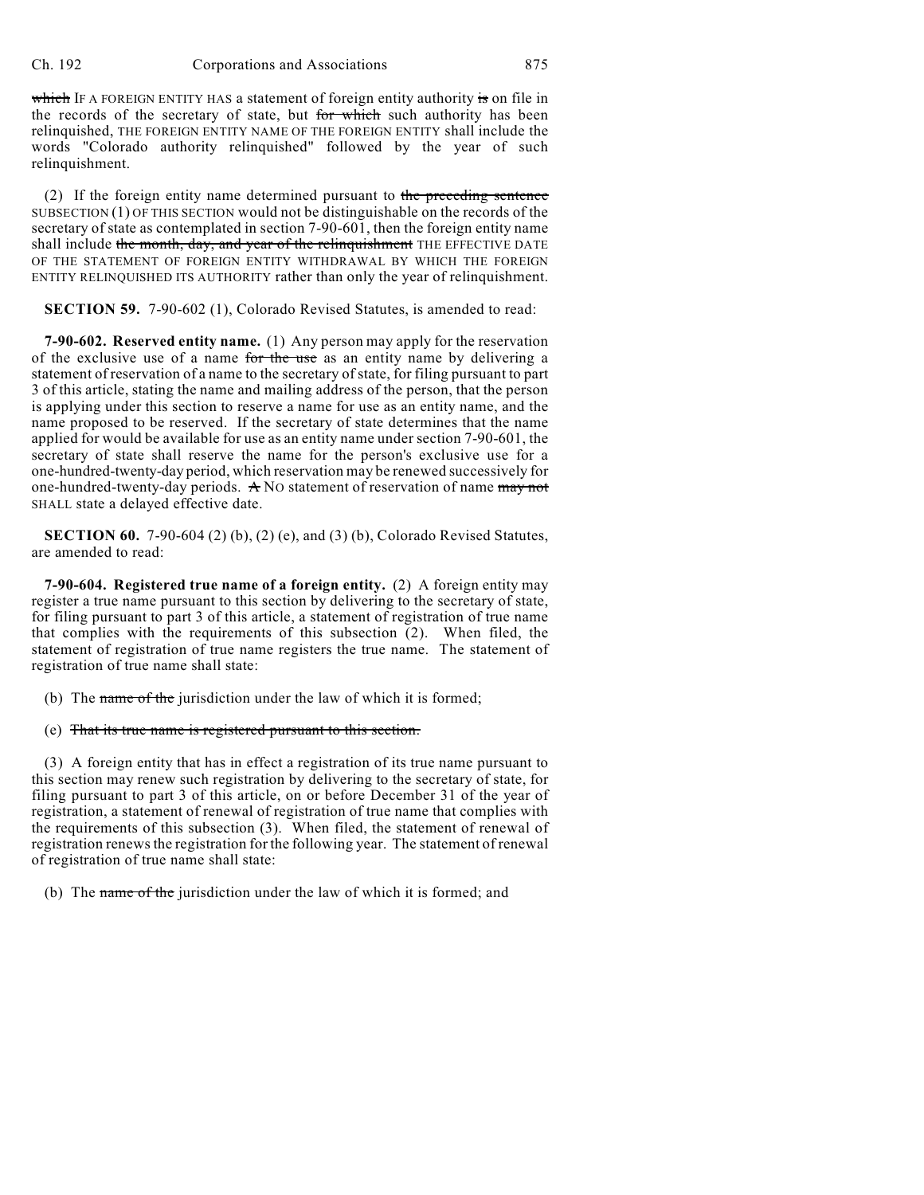which IF A FOREIGN ENTITY HAS a statement of foreign entity authority is on file in the records of the secretary of state, but for which such authority has been relinquished, THE FOREIGN ENTITY NAME OF THE FOREIGN ENTITY shall include the words "Colorado authority relinquished" followed by the year of such relinquishment.

(2) If the foreign entity name determined pursuant to the preceding sentence SUBSECTION (1) OF THIS SECTION would not be distinguishable on the records of the secretary of state as contemplated in section 7-90-601, then the foreign entity name shall include the month, day, and year of the relinquishment THE EFFECTIVE DATE OF THE STATEMENT OF FOREIGN ENTITY WITHDRAWAL BY WHICH THE FOREIGN ENTITY RELINQUISHED ITS AUTHORITY rather than only the year of relinquishment.

**SECTION 59.** 7-90-602 (1), Colorado Revised Statutes, is amended to read:

**7-90-602. Reserved entity name.** (1) Any person may apply for the reservation of the exclusive use of a name for the use as an entity name by delivering a statement of reservation of a name to the secretary of state, for filing pursuant to part 3 of this article, stating the name and mailing address of the person, that the person is applying under this section to reserve a name for use as an entity name, and the name proposed to be reserved. If the secretary of state determines that the name applied for would be available for use as an entity name under section 7-90-601, the secretary of state shall reserve the name for the person's exclusive use for a one-hundred-twenty-day period, which reservation may be renewed successively for one-hundred-twenty-day periods.  $\angle A$  NO statement of reservation of name may not SHALL state a delayed effective date.

**SECTION 60.** 7-90-604 (2) (b), (2) (e), and (3) (b), Colorado Revised Statutes, are amended to read:

**7-90-604. Registered true name of a foreign entity.** (2) A foreign entity may register a true name pursuant to this section by delivering to the secretary of state, for filing pursuant to part 3 of this article, a statement of registration of true name that complies with the requirements of this subsection (2). When filed, the statement of registration of true name registers the true name. The statement of registration of true name shall state:

- (b) The name of the jurisdiction under the law of which it is formed;
- (e) That its true name is registered pursuant to this section.

(3) A foreign entity that has in effect a registration of its true name pursuant to this section may renew such registration by delivering to the secretary of state, for filing pursuant to part 3 of this article, on or before December 31 of the year of registration, a statement of renewal of registration of true name that complies with the requirements of this subsection (3). When filed, the statement of renewal of registration renews the registration for the following year. The statement of renewal of registration of true name shall state:

(b) The name of the jurisdiction under the law of which it is formed; and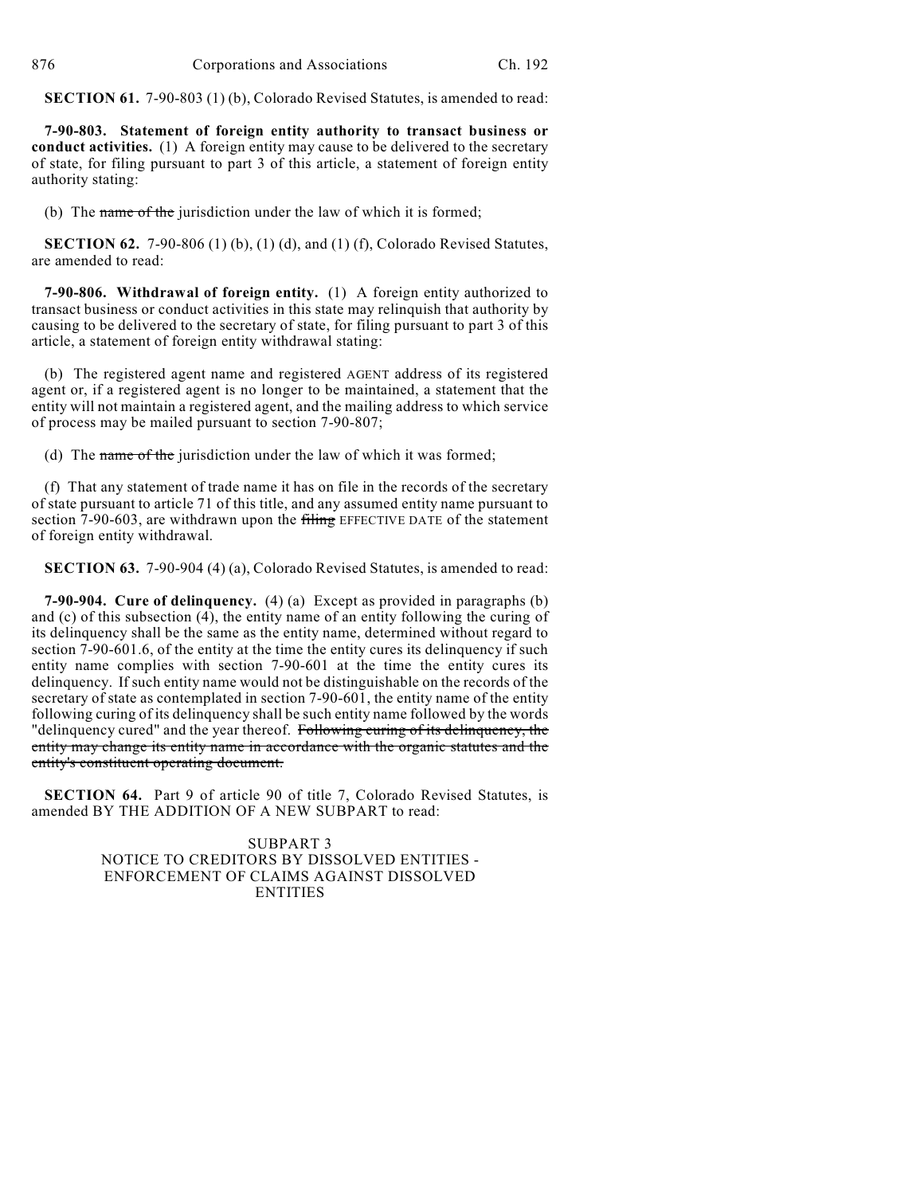**SECTION 61.** 7-90-803 (1) (b), Colorado Revised Statutes, is amended to read:

**7-90-803. Statement of foreign entity authority to transact business or conduct activities.** (1) A foreign entity may cause to be delivered to the secretary of state, for filing pursuant to part 3 of this article, a statement of foreign entity authority stating:

(b) The name of the jurisdiction under the law of which it is formed;

**SECTION 62.** 7-90-806 (1) (b), (1) (d), and (1) (f), Colorado Revised Statutes, are amended to read:

**7-90-806. Withdrawal of foreign entity.** (1) A foreign entity authorized to transact business or conduct activities in this state may relinquish that authority by causing to be delivered to the secretary of state, for filing pursuant to part 3 of this article, a statement of foreign entity withdrawal stating:

(b) The registered agent name and registered AGENT address of its registered agent or, if a registered agent is no longer to be maintained, a statement that the entity will not maintain a registered agent, and the mailing address to which service of process may be mailed pursuant to section 7-90-807;

(d) The name of the jurisdiction under the law of which it was formed;

(f) That any statement of trade name it has on file in the records of the secretary of state pursuant to article 71 of this title, and any assumed entity name pursuant to section 7-90-603, are withdrawn upon the filing EFFECTIVE DATE of the statement of foreign entity withdrawal.

**SECTION 63.** 7-90-904 (4) (a), Colorado Revised Statutes, is amended to read:

**7-90-904. Cure of delinquency.** (4) (a) Except as provided in paragraphs (b) and (c) of this subsection (4), the entity name of an entity following the curing of its delinquency shall be the same as the entity name, determined without regard to section 7-90-601.6, of the entity at the time the entity cures its delinquency if such entity name complies with section 7-90-601 at the time the entity cures its delinquency. If such entity name would not be distinguishable on the records of the secretary of state as contemplated in section 7-90-601, the entity name of the entity following curing of its delinquency shall be such entity name followed by the words "delinquency cured" and the year thereof. Following curing of its delinquency, the entity may change its entity name in accordance with the organic statutes and the entity's constituent operating document.

**SECTION 64.** Part 9 of article 90 of title 7, Colorado Revised Statutes, is amended BY THE ADDITION OF A NEW SUBPART to read:

> SUBPART 3 NOTICE TO CREDITORS BY DISSOLVED ENTITIES - ENFORCEMENT OF CLAIMS AGAINST DISSOLVED **ENTITIES**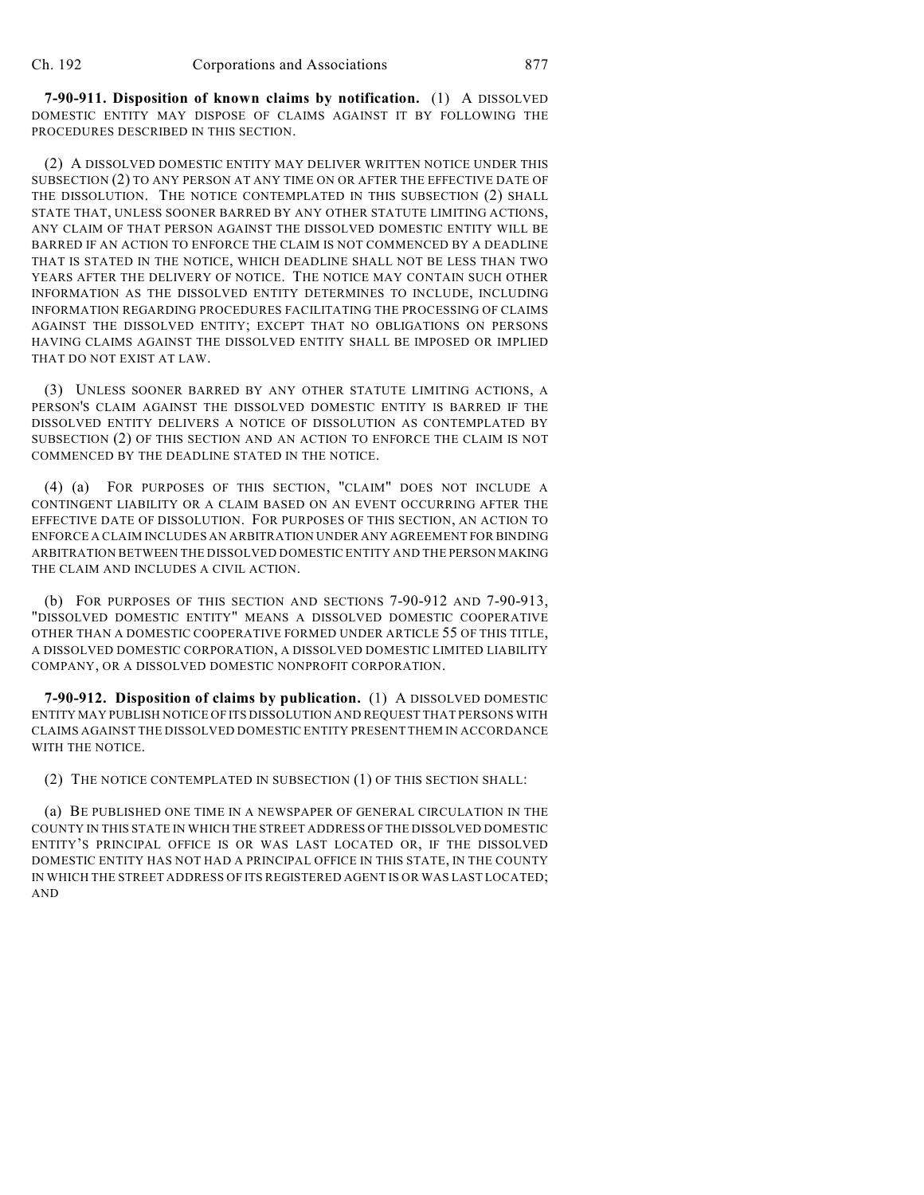**7-90-911. Disposition of known claims by notification.** (1) A DISSOLVED DOMESTIC ENTITY MAY DISPOSE OF CLAIMS AGAINST IT BY FOLLOWING THE PROCEDURES DESCRIBED IN THIS SECTION.

(2) A DISSOLVED DOMESTIC ENTITY MAY DELIVER WRITTEN NOTICE UNDER THIS SUBSECTION (2) TO ANY PERSON AT ANY TIME ON OR AFTER THE EFFECTIVE DATE OF THE DISSOLUTION. THE NOTICE CONTEMPLATED IN THIS SUBSECTION (2) SHALL STATE THAT, UNLESS SOONER BARRED BY ANY OTHER STATUTE LIMITING ACTIONS, ANY CLAIM OF THAT PERSON AGAINST THE DISSOLVED DOMESTIC ENTITY WILL BE BARRED IF AN ACTION TO ENFORCE THE CLAIM IS NOT COMMENCED BY A DEADLINE THAT IS STATED IN THE NOTICE, WHICH DEADLINE SHALL NOT BE LESS THAN TWO YEARS AFTER THE DELIVERY OF NOTICE. THE NOTICE MAY CONTAIN SUCH OTHER INFORMATION AS THE DISSOLVED ENTITY DETERMINES TO INCLUDE, INCLUDING INFORMATION REGARDING PROCEDURES FACILITATING THE PROCESSING OF CLAIMS AGAINST THE DISSOLVED ENTITY; EXCEPT THAT NO OBLIGATIONS ON PERSONS HAVING CLAIMS AGAINST THE DISSOLVED ENTITY SHALL BE IMPOSED OR IMPLIED THAT DO NOT EXIST AT LAW.

(3) UNLESS SOONER BARRED BY ANY OTHER STATUTE LIMITING ACTIONS, A PERSON'S CLAIM AGAINST THE DISSOLVED DOMESTIC ENTITY IS BARRED IF THE DISSOLVED ENTITY DELIVERS A NOTICE OF DISSOLUTION AS CONTEMPLATED BY SUBSECTION (2) OF THIS SECTION AND AN ACTION TO ENFORCE THE CLAIM IS NOT COMMENCED BY THE DEADLINE STATED IN THE NOTICE.

(4) (a) FOR PURPOSES OF THIS SECTION, "CLAIM" DOES NOT INCLUDE A CONTINGENT LIABILITY OR A CLAIM BASED ON AN EVENT OCCURRING AFTER THE EFFECTIVE DATE OF DISSOLUTION. FOR PURPOSES OF THIS SECTION, AN ACTION TO ENFORCE A CLAIM INCLUDES AN ARBITRATION UNDER ANY AGREEMENT FOR BINDING ARBITRATION BETWEEN THE DISSOLVED DOMESTIC ENTITY AND THE PERSON MAKING THE CLAIM AND INCLUDES A CIVIL ACTION.

(b) FOR PURPOSES OF THIS SECTION AND SECTIONS 7-90-912 AND 7-90-913, "DISSOLVED DOMESTIC ENTITY" MEANS A DISSOLVED DOMESTIC COOPERATIVE OTHER THAN A DOMESTIC COOPERATIVE FORMED UNDER ARTICLE 55 OF THIS TITLE, A DISSOLVED DOMESTIC CORPORATION, A DISSOLVED DOMESTIC LIMITED LIABILITY COMPANY, OR A DISSOLVED DOMESTIC NONPROFIT CORPORATION.

**7-90-912. Disposition of claims by publication.** (1) A DISSOLVED DOMESTIC ENTITY MAY PUBLISH NOTICE OF ITS DISSOLUTION AND REQUEST THAT PERSONS WITH CLAIMS AGAINST THE DISSOLVED DOMESTIC ENTITY PRESENT THEM IN ACCORDANCE WITH THE NOTICE.

(2) THE NOTICE CONTEMPLATED IN SUBSECTION (1) OF THIS SECTION SHALL:

(a) BE PUBLISHED ONE TIME IN A NEWSPAPER OF GENERAL CIRCULATION IN THE COUNTY IN THIS STATE IN WHICH THE STREET ADDRESS OF THE DISSOLVED DOMESTIC ENTITY'S PRINCIPAL OFFICE IS OR WAS LAST LOCATED OR, IF THE DISSOLVED DOMESTIC ENTITY HAS NOT HAD A PRINCIPAL OFFICE IN THIS STATE, IN THE COUNTY IN WHICH THE STREET ADDRESS OF ITS REGISTERED AGENT IS OR WAS LAST LOCATED; AND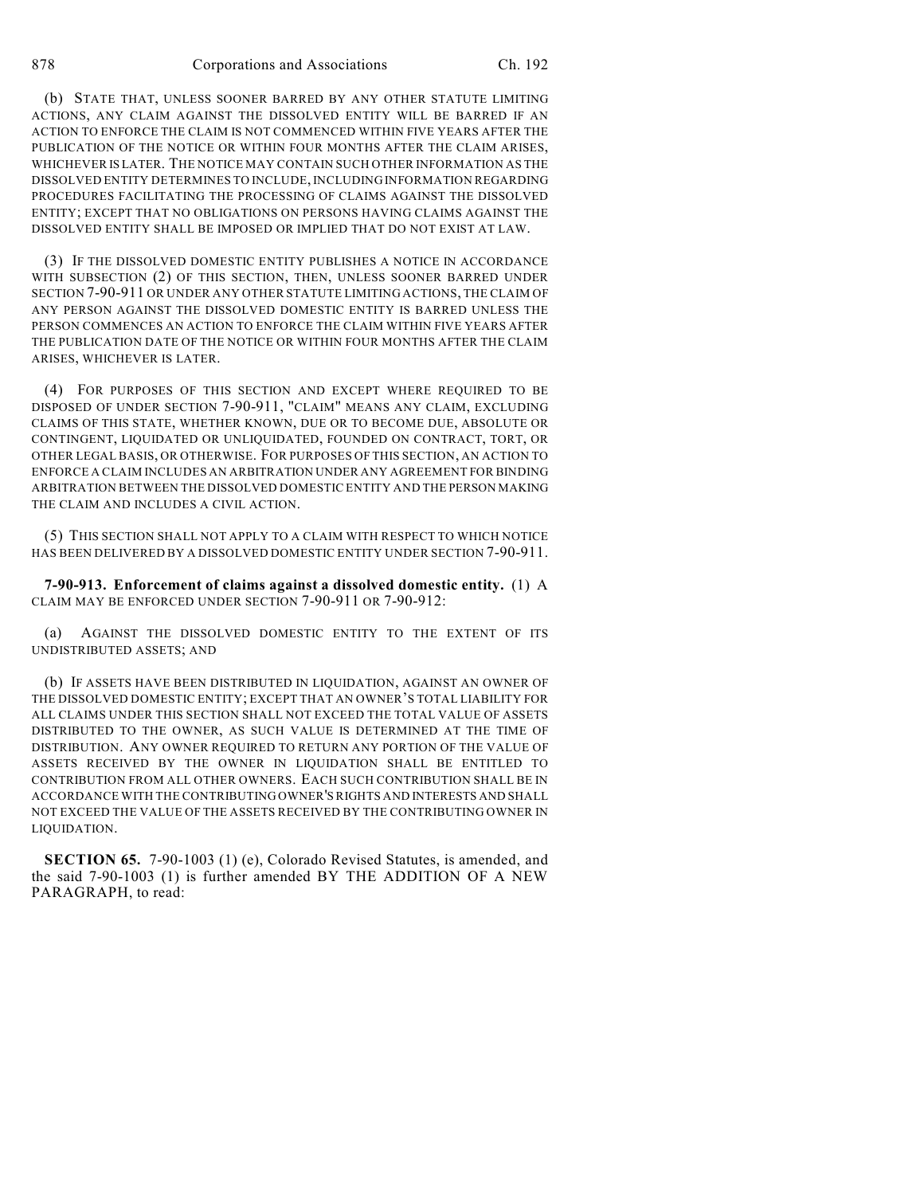(b) STATE THAT, UNLESS SOONER BARRED BY ANY OTHER STATUTE LIMITING ACTIONS, ANY CLAIM AGAINST THE DISSOLVED ENTITY WILL BE BARRED IF AN ACTION TO ENFORCE THE CLAIM IS NOT COMMENCED WITHIN FIVE YEARS AFTER THE PUBLICATION OF THE NOTICE OR WITHIN FOUR MONTHS AFTER THE CLAIM ARISES, WHICHEVER IS LATER. THE NOTICE MAY CONTAIN SUCH OTHER INFORMATION AS THE DISSOLVED ENTITY DETERMINES TO INCLUDE, INCLUDING INFORMATION REGARDING PROCEDURES FACILITATING THE PROCESSING OF CLAIMS AGAINST THE DISSOLVED ENTITY; EXCEPT THAT NO OBLIGATIONS ON PERSONS HAVING CLAIMS AGAINST THE DISSOLVED ENTITY SHALL BE IMPOSED OR IMPLIED THAT DO NOT EXIST AT LAW.

(3) IF THE DISSOLVED DOMESTIC ENTITY PUBLISHES A NOTICE IN ACCORDANCE WITH SUBSECTION (2) OF THIS SECTION, THEN, UNLESS SOONER BARRED UNDER SECTION 7-90-911 OR UNDER ANY OTHER STATUTE LIMITING ACTIONS, THE CLAIM OF ANY PERSON AGAINST THE DISSOLVED DOMESTIC ENTITY IS BARRED UNLESS THE PERSON COMMENCES AN ACTION TO ENFORCE THE CLAIM WITHIN FIVE YEARS AFTER THE PUBLICATION DATE OF THE NOTICE OR WITHIN FOUR MONTHS AFTER THE CLAIM ARISES, WHICHEVER IS LATER.

(4) FOR PURPOSES OF THIS SECTION AND EXCEPT WHERE REQUIRED TO BE DISPOSED OF UNDER SECTION 7-90-911, "CLAIM" MEANS ANY CLAIM, EXCLUDING CLAIMS OF THIS STATE, WHETHER KNOWN, DUE OR TO BECOME DUE, ABSOLUTE OR CONTINGENT, LIQUIDATED OR UNLIQUIDATED, FOUNDED ON CONTRACT, TORT, OR OTHER LEGAL BASIS, OR OTHERWISE. FOR PURPOSES OF THIS SECTION, AN ACTION TO ENFORCE A CLAIM INCLUDES AN ARBITRATION UNDER ANY AGREEMENT FOR BINDING ARBITRATION BETWEEN THE DISSOLVED DOMESTIC ENTITY AND THE PERSON MAKING THE CLAIM AND INCLUDES A CIVIL ACTION.

(5) THIS SECTION SHALL NOT APPLY TO A CLAIM WITH RESPECT TO WHICH NOTICE HAS BEEN DELIVERED BY A DISSOLVED DOMESTIC ENTITY UNDER SECTION 7-90-911.

**7-90-913. Enforcement of claims against a dissolved domestic entity.** (1) A CLAIM MAY BE ENFORCED UNDER SECTION 7-90-911 OR 7-90-912:

(a) AGAINST THE DISSOLVED DOMESTIC ENTITY TO THE EXTENT OF ITS UNDISTRIBUTED ASSETS; AND

(b) IF ASSETS HAVE BEEN DISTRIBUTED IN LIQUIDATION, AGAINST AN OWNER OF THE DISSOLVED DOMESTIC ENTITY; EXCEPT THAT AN OWNER'S TOTAL LIABILITY FOR ALL CLAIMS UNDER THIS SECTION SHALL NOT EXCEED THE TOTAL VALUE OF ASSETS DISTRIBUTED TO THE OWNER, AS SUCH VALUE IS DETERMINED AT THE TIME OF DISTRIBUTION. ANY OWNER REQUIRED TO RETURN ANY PORTION OF THE VALUE OF ASSETS RECEIVED BY THE OWNER IN LIQUIDATION SHALL BE ENTITLED TO CONTRIBUTION FROM ALL OTHER OWNERS. EACH SUCH CONTRIBUTION SHALL BE IN ACCORDANCE WITH THE CONTRIBUTING OWNER'S RIGHTS AND INTERESTS AND SHALL NOT EXCEED THE VALUE OF THE ASSETS RECEIVED BY THE CONTRIBUTING OWNER IN LIQUIDATION.

**SECTION 65.** 7-90-1003 (1) (e), Colorado Revised Statutes, is amended, and the said 7-90-1003 (1) is further amended BY THE ADDITION OF A NEW PARAGRAPH, to read: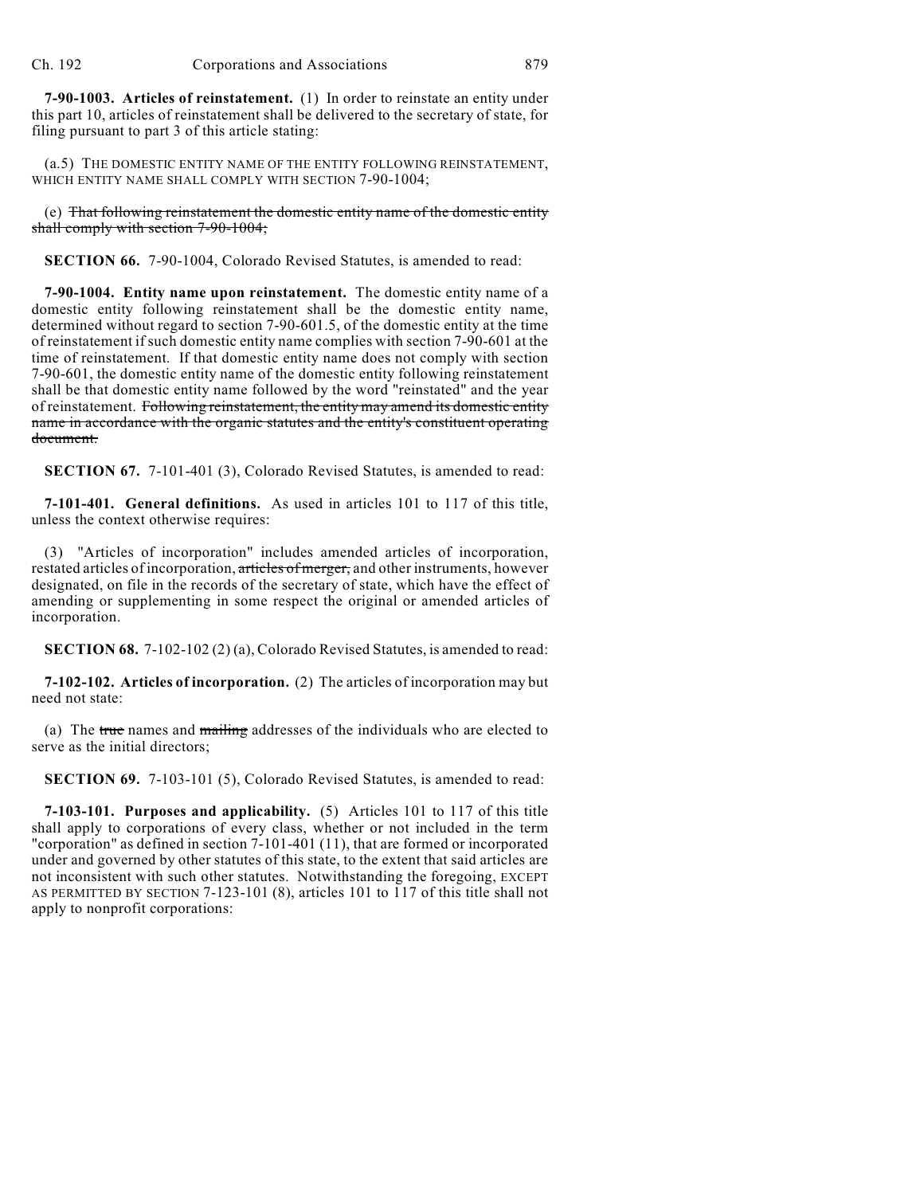**7-90-1003. Articles of reinstatement.** (1) In order to reinstate an entity under this part 10, articles of reinstatement shall be delivered to the secretary of state, for filing pursuant to part 3 of this article stating:

(a.5) THE DOMESTIC ENTITY NAME OF THE ENTITY FOLLOWING REINSTATEMENT, WHICH ENTITY NAME SHALL COMPLY WITH SECTION 7-90-1004:

(e) That following reinstatement the domestic entity name of the domestic entity shall comply with section 7-90-1004;

**SECTION 66.** 7-90-1004, Colorado Revised Statutes, is amended to read:

**7-90-1004. Entity name upon reinstatement.** The domestic entity name of a domestic entity following reinstatement shall be the domestic entity name, determined without regard to section 7-90-601.5, of the domestic entity at the time of reinstatement if such domestic entity name complies with section 7-90-601 at the time of reinstatement. If that domestic entity name does not comply with section 7-90-601, the domestic entity name of the domestic entity following reinstatement shall be that domestic entity name followed by the word "reinstated" and the year of reinstatement. Following reinstatement, the entity may amend its domestic entity name in accordance with the organic statutes and the entity's constituent operating document.

**SECTION 67.** 7-101-401 (3), Colorado Revised Statutes, is amended to read:

**7-101-401. General definitions.** As used in articles 101 to 117 of this title, unless the context otherwise requires:

(3) "Articles of incorporation" includes amended articles of incorporation, restated articles of incorporation, articles of merger, and other instruments, however designated, on file in the records of the secretary of state, which have the effect of amending or supplementing in some respect the original or amended articles of incorporation.

**SECTION 68.** 7-102-102 (2) (a), Colorado Revised Statutes, is amended to read:

**7-102-102. Articles of incorporation.** (2) The articles of incorporation may but need not state:

(a) The true names and mailing addresses of the individuals who are elected to serve as the initial directors;

**SECTION 69.** 7-103-101 (5), Colorado Revised Statutes, is amended to read:

**7-103-101. Purposes and applicability.** (5) Articles 101 to 117 of this title shall apply to corporations of every class, whether or not included in the term "corporation" as defined in section 7-101-401 (11), that are formed or incorporated under and governed by other statutes of this state, to the extent that said articles are not inconsistent with such other statutes. Notwithstanding the foregoing, EXCEPT AS PERMITTED BY SECTION 7-123-101 (8), articles 101 to 117 of this title shall not apply to nonprofit corporations: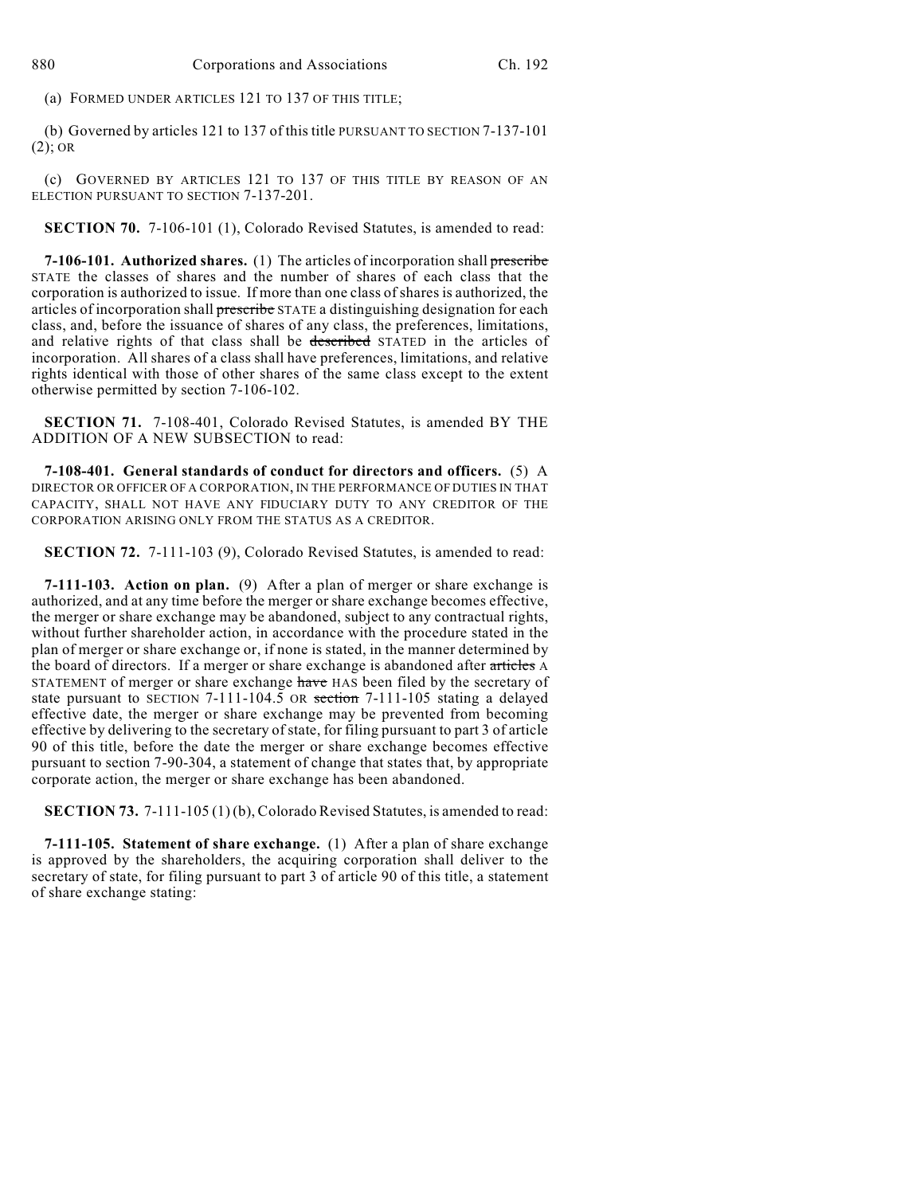(a) FORMED UNDER ARTICLES 121 TO 137 OF THIS TITLE;

(b) Governed by articles 121 to 137 of this title PURSUANT TO SECTION 7-137-101 (2); OR

(c) GOVERNED BY ARTICLES 121 TO 137 OF THIS TITLE BY REASON OF AN ELECTION PURSUANT TO SECTION 7-137-201.

**SECTION 70.** 7-106-101 (1), Colorado Revised Statutes, is amended to read:

**7-106-101. Authorized shares.** (1) The articles of incorporation shall prescribe STATE the classes of shares and the number of shares of each class that the corporation is authorized to issue. If more than one class of shares is authorized, the articles of incorporation shall prescribe STATE a distinguishing designation for each class, and, before the issuance of shares of any class, the preferences, limitations, and relative rights of that class shall be described STATED in the articles of incorporation. All shares of a class shall have preferences, limitations, and relative rights identical with those of other shares of the same class except to the extent otherwise permitted by section 7-106-102.

**SECTION 71.** 7-108-401, Colorado Revised Statutes, is amended BY THE ADDITION OF A NEW SUBSECTION to read:

**7-108-401. General standards of conduct for directors and officers.** (5) A DIRECTOR OR OFFICER OF A CORPORATION, IN THE PERFORMANCE OF DUTIES IN THAT CAPACITY, SHALL NOT HAVE ANY FIDUCIARY DUTY TO ANY CREDITOR OF THE CORPORATION ARISING ONLY FROM THE STATUS AS A CREDITOR.

**SECTION 72.** 7-111-103 (9), Colorado Revised Statutes, is amended to read:

**7-111-103. Action on plan.** (9) After a plan of merger or share exchange is authorized, and at any time before the merger or share exchange becomes effective, the merger or share exchange may be abandoned, subject to any contractual rights, without further shareholder action, in accordance with the procedure stated in the plan of merger or share exchange or, if none is stated, in the manner determined by the board of directors. If a merger or share exchange is abandoned after articles A STATEMENT of merger or share exchange have HAS been filed by the secretary of state pursuant to SECTION 7-111-104.5 OR section 7-111-105 stating a delayed effective date, the merger or share exchange may be prevented from becoming effective by delivering to the secretary of state, for filing pursuant to part 3 of article 90 of this title, before the date the merger or share exchange becomes effective pursuant to section 7-90-304, a statement of change that states that, by appropriate corporate action, the merger or share exchange has been abandoned.

**SECTION 73.** 7-111-105 (1) (b), Colorado Revised Statutes, is amended to read:

**7-111-105. Statement of share exchange.** (1) After a plan of share exchange is approved by the shareholders, the acquiring corporation shall deliver to the secretary of state, for filing pursuant to part 3 of article 90 of this title, a statement of share exchange stating: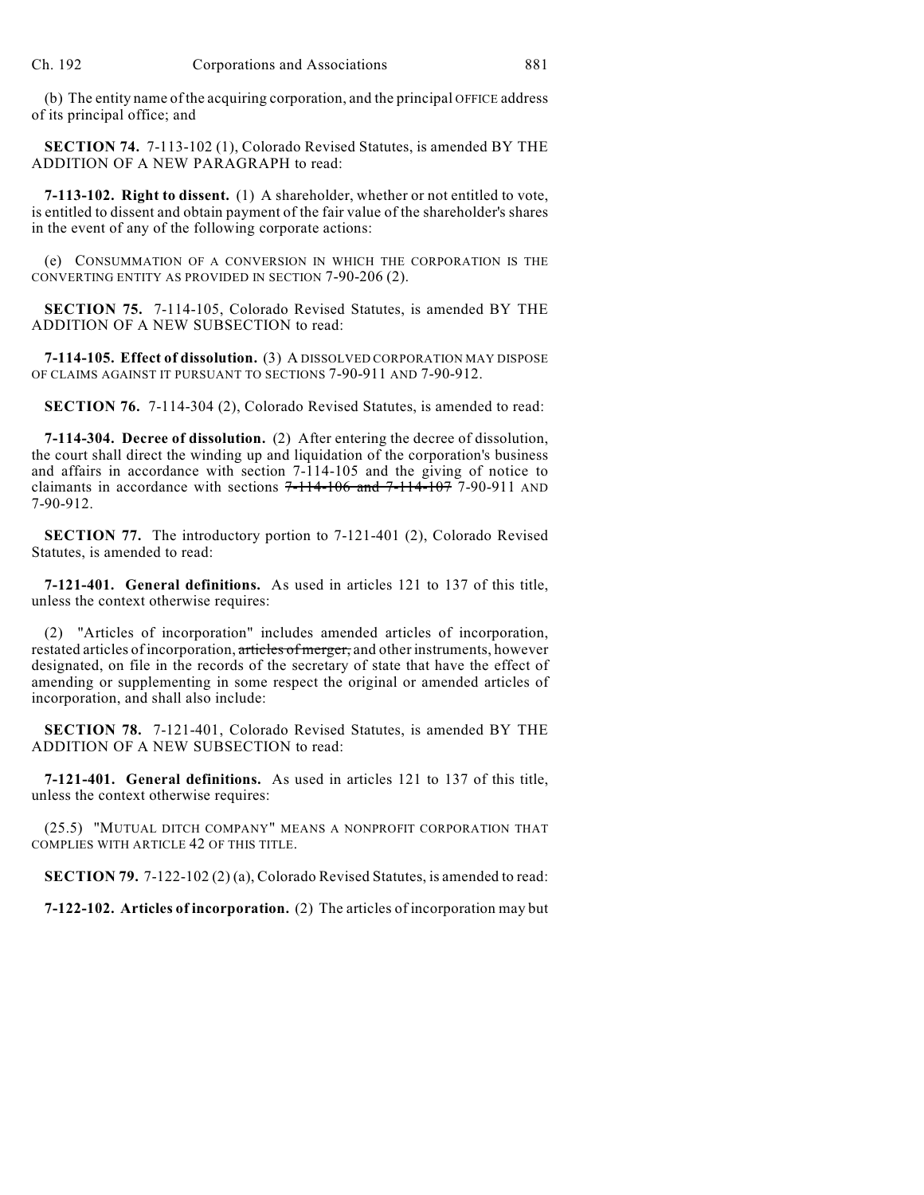(b) The entity name of the acquiring corporation, and the principal OFFICE address of its principal office; and

**SECTION 74.** 7-113-102 (1), Colorado Revised Statutes, is amended BY THE ADDITION OF A NEW PARAGRAPH to read:

**7-113-102. Right to dissent.** (1) A shareholder, whether or not entitled to vote, is entitled to dissent and obtain payment of the fair value of the shareholder's shares in the event of any of the following corporate actions:

(e) CONSUMMATION OF A CONVERSION IN WHICH THE CORPORATION IS THE CONVERTING ENTITY AS PROVIDED IN SECTION 7-90-206 (2).

**SECTION 75.** 7-114-105, Colorado Revised Statutes, is amended BY THE ADDITION OF A NEW SUBSECTION to read:

**7-114-105. Effect of dissolution.** (3) A DISSOLVED CORPORATION MAY DISPOSE OF CLAIMS AGAINST IT PURSUANT TO SECTIONS 7-90-911 AND 7-90-912.

**SECTION 76.** 7-114-304 (2), Colorado Revised Statutes, is amended to read:

**7-114-304. Decree of dissolution.** (2) After entering the decree of dissolution, the court shall direct the winding up and liquidation of the corporation's business and affairs in accordance with section 7-114-105 and the giving of notice to claimants in accordance with sections  $7-114-106$  and  $7-114-107$  7-90-911 AND 7-90-912.

**SECTION 77.** The introductory portion to 7-121-401 (2), Colorado Revised Statutes, is amended to read:

**7-121-401. General definitions.** As used in articles 121 to 137 of this title, unless the context otherwise requires:

(2) "Articles of incorporation" includes amended articles of incorporation, restated articles of incorporation, articles of merger, and other instruments, however designated, on file in the records of the secretary of state that have the effect of amending or supplementing in some respect the original or amended articles of incorporation, and shall also include:

**SECTION 78.** 7-121-401, Colorado Revised Statutes, is amended BY THE ADDITION OF A NEW SUBSECTION to read:

**7-121-401. General definitions.** As used in articles 121 to 137 of this title, unless the context otherwise requires:

(25.5) "MUTUAL DITCH COMPANY" MEANS A NONPROFIT CORPORATION THAT COMPLIES WITH ARTICLE 42 OF THIS TITLE.

**SECTION 79.** 7-122-102 (2) (a), Colorado Revised Statutes, is amended to read:

**7-122-102. Articles of incorporation.** (2) The articles of incorporation may but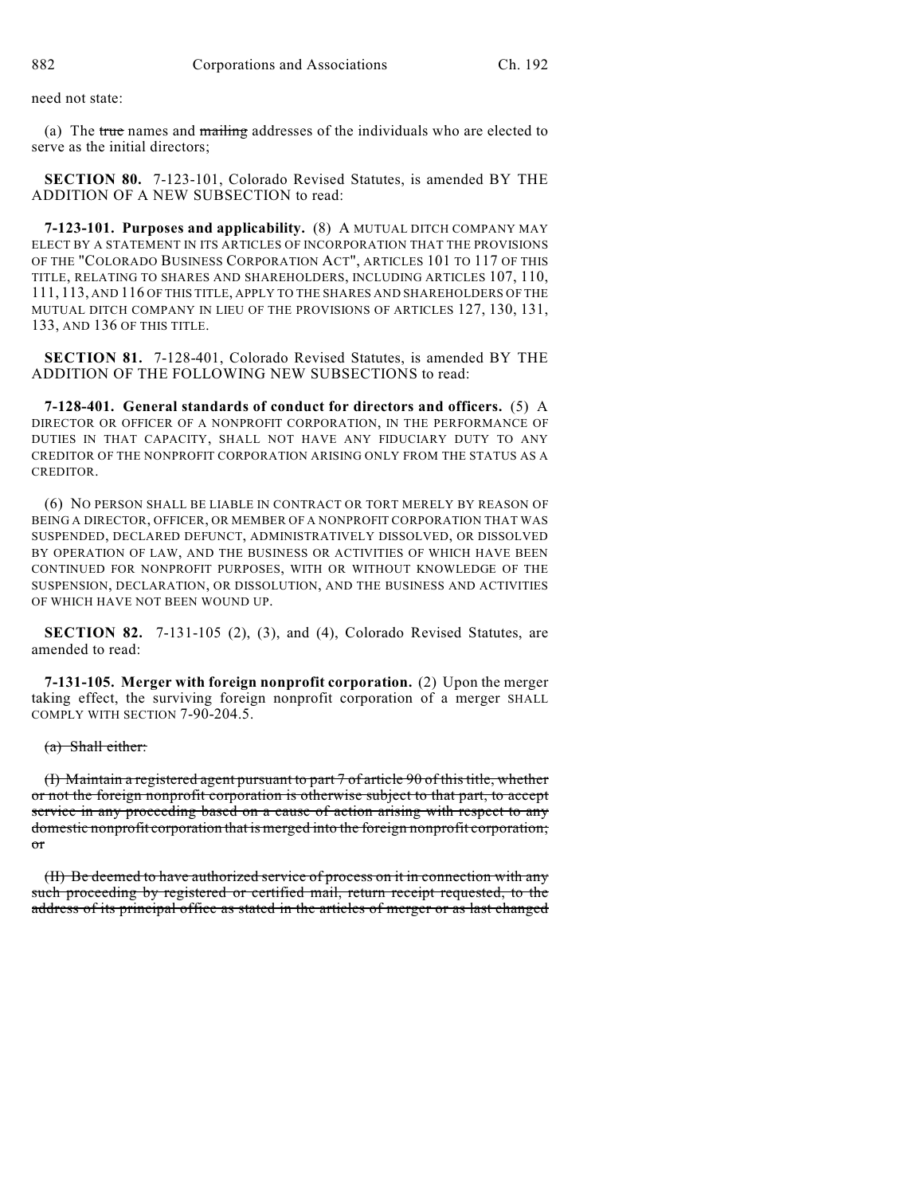need not state:

(a) The true names and mailing addresses of the individuals who are elected to serve as the initial directors;

**SECTION 80.** 7-123-101, Colorado Revised Statutes, is amended BY THE ADDITION OF A NEW SUBSECTION to read:

**7-123-101. Purposes and applicability.** (8) A MUTUAL DITCH COMPANY MAY ELECT BY A STATEMENT IN ITS ARTICLES OF INCORPORATION THAT THE PROVISIONS OF THE "COLORADO BUSINESS CORPORATION ACT", ARTICLES 101 TO 117 OF THIS TITLE, RELATING TO SHARES AND SHAREHOLDERS, INCLUDING ARTICLES 107, 110, 111, 113, AND 116 OF THIS TITLE, APPLY TO THE SHARES AND SHAREHOLDERS OF THE MUTUAL DITCH COMPANY IN LIEU OF THE PROVISIONS OF ARTICLES 127, 130, 131, 133, AND 136 OF THIS TITLE.

**SECTION 81.** 7-128-401, Colorado Revised Statutes, is amended BY THE ADDITION OF THE FOLLOWING NEW SUBSECTIONS to read:

**7-128-401. General standards of conduct for directors and officers.** (5) A DIRECTOR OR OFFICER OF A NONPROFIT CORPORATION, IN THE PERFORMANCE OF DUTIES IN THAT CAPACITY, SHALL NOT HAVE ANY FIDUCIARY DUTY TO ANY CREDITOR OF THE NONPROFIT CORPORATION ARISING ONLY FROM THE STATUS AS A CREDITOR.

(6) NO PERSON SHALL BE LIABLE IN CONTRACT OR TORT MERELY BY REASON OF BEING A DIRECTOR, OFFICER, OR MEMBER OF A NONPROFIT CORPORATION THAT WAS SUSPENDED, DECLARED DEFUNCT, ADMINISTRATIVELY DISSOLVED, OR DISSOLVED BY OPERATION OF LAW, AND THE BUSINESS OR ACTIVITIES OF WHICH HAVE BEEN CONTINUED FOR NONPROFIT PURPOSES, WITH OR WITHOUT KNOWLEDGE OF THE SUSPENSION, DECLARATION, OR DISSOLUTION, AND THE BUSINESS AND ACTIVITIES OF WHICH HAVE NOT BEEN WOUND UP.

**SECTION 82.** 7-131-105 (2), (3), and (4), Colorado Revised Statutes, are amended to read:

**7-131-105. Merger with foreign nonprofit corporation.** (2) Upon the merger taking effect, the surviving foreign nonprofit corporation of a merger SHALL COMPLY WITH SECTION 7-90-204.5.

(a) Shall either:

(I) Maintain a registered agent pursuant to part 7 of article 90 of this title, whether or not the foreign nonprofit corporation is otherwise subject to that part, to accept service in any proceeding based on a cause of action arising with respect to any domestic nonprofit corporation that is merged into the foreign nonprofit corporation; or

(II) Be deemed to have authorized service of process on it in connection with any such proceeding by registered or certified mail, return receipt requested, to the address of its principal office as stated in the articles of merger or as last changed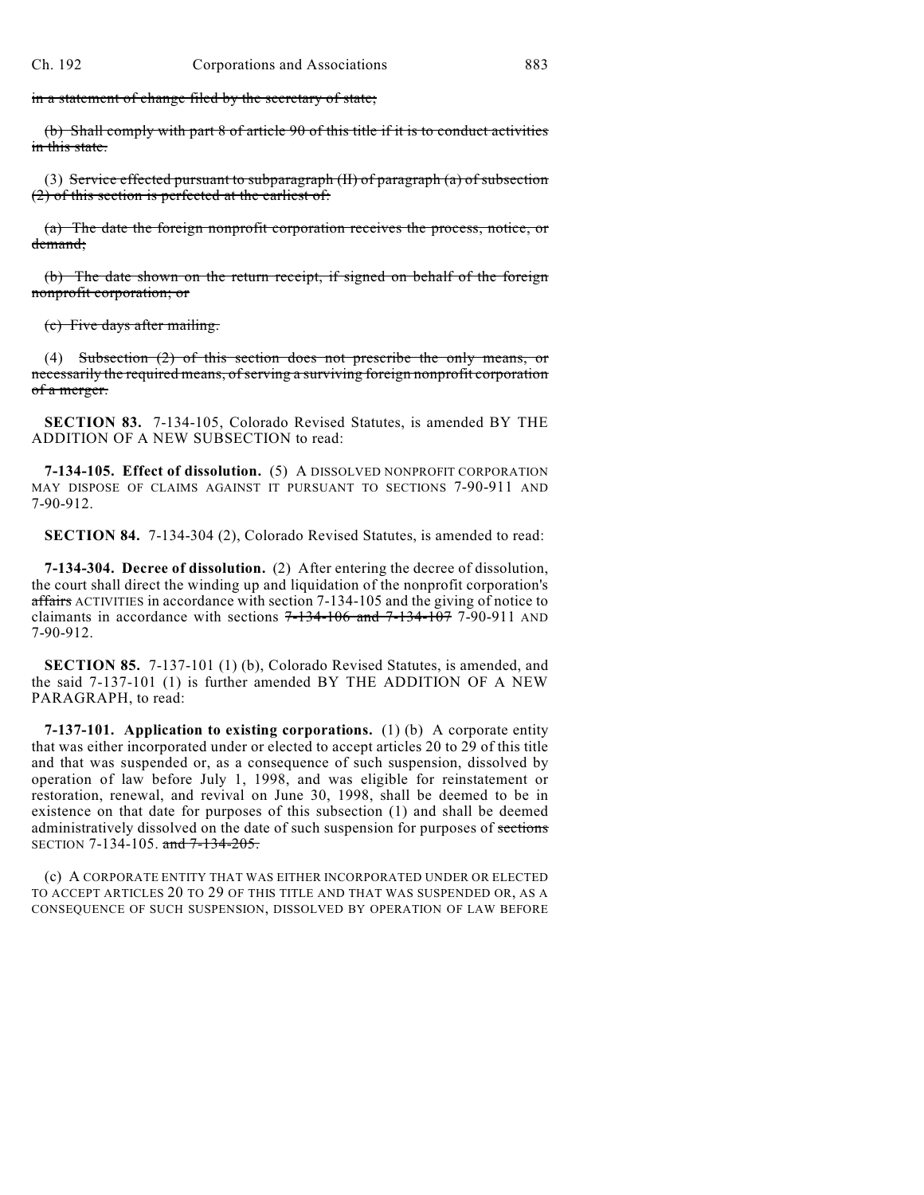in a statement of change filed by the secretary of state;

(b) Shall comply with part 8 of article 90 of this title if it is to conduct activities in this state.

(3) Service effected pursuant to subparagraph (II) of paragraph (a) of subsection (2) of this section is perfected at the earliest of:

(a) The date the foreign nonprofit corporation receives the process, notice, or demand;

(b) The date shown on the return receipt, if signed on behalf of the foreign nonprofit corporation; or

(c) Five days after mailing.

(4) Subsection (2) of this section does not prescribe the only means, or necessarily the required means, of serving a surviving foreign nonprofit corporation of a merger.

**SECTION 83.** 7-134-105, Colorado Revised Statutes, is amended BY THE ADDITION OF A NEW SUBSECTION to read:

**7-134-105. Effect of dissolution.** (5) A DISSOLVED NONPROFIT CORPORATION MAY DISPOSE OF CLAIMS AGAINST IT PURSUANT TO SECTIONS 7-90-911 AND 7-90-912.

**SECTION 84.** 7-134-304 (2), Colorado Revised Statutes, is amended to read:

**7-134-304. Decree of dissolution.** (2) After entering the decree of dissolution, the court shall direct the winding up and liquidation of the nonprofit corporation's affairs ACTIVITIES in accordance with section 7-134-105 and the giving of notice to claimants in accordance with sections  $7-134-106$  and  $7-134-107$  7-90-911 AND 7-90-912.

**SECTION 85.** 7-137-101 (1) (b), Colorado Revised Statutes, is amended, and the said 7-137-101 (1) is further amended BY THE ADDITION OF A NEW PARAGRAPH, to read:

**7-137-101. Application to existing corporations.** (1) (b) A corporate entity that was either incorporated under or elected to accept articles 20 to 29 of this title and that was suspended or, as a consequence of such suspension, dissolved by operation of law before July 1, 1998, and was eligible for reinstatement or restoration, renewal, and revival on June 30, 1998, shall be deemed to be in existence on that date for purposes of this subsection (1) and shall be deemed administratively dissolved on the date of such suspension for purposes of sections SECTION 7-134-105. and 7-134-205.

(c) A CORPORATE ENTITY THAT WAS EITHER INCORPORATED UNDER OR ELECTED TO ACCEPT ARTICLES 20 TO 29 OF THIS TITLE AND THAT WAS SUSPENDED OR, AS A CONSEQUENCE OF SUCH SUSPENSION, DISSOLVED BY OPERATION OF LAW BEFORE